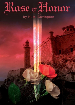# <u>Rose of Honor</u>

## by H. A. Covington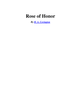# **Rose of Honor**

*By H. A. Covington*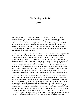### *The Casting of the Die*

*Spring, 1457*

#### **I.**

We arrived at Raby Castle, in the northern English county of Durham, on a rainy afternoon in early April. Our horses clattered across the drawbridge after the queen's heralds had formally demanded entry and the castle gates were opened. The royal entourage had been strung out along the road since before dawn, slogging onward after a miserable night spent huddled around hissing campfires in a sodden meadow beside a roadside inn wherein the queen had slept. In the pre-dawn darkness and drizzle we had struck the pavilions, folded the soggy things and heaved them onto carts, and then we trudged through the mud towards Raby.

We were a small army, over five hundred of us in the entourage: noblemen, knights of the guard such as myself, noble ladies and their tirewomen, soldiers, priests, minstrels, clerks, courtiers, scullions, valets, pages, squires, archers, doxies, leeches, porters, clowns, laundresses, pastry cooks, astrologers, heralds, huntsmen, and hornblowers. At the centre of it all was the queen herself, Margaret of Anjou: a proud, strong and beautiful woman whom some believed to be possessed by the devil. So she was. The devil that possessed our queen was hate, endlessly athirst and unslakeable, and she was perforce dragging us all with her as she toured the kingdom from end to end in search of support for her most cherished goal in life, the destruction of the Plantagenet Duke of York and all his kinsmen. For in Anno Domine 1457, the year of which I speak, the two great Plantagenet houses of York and Lancaster were mortal enemies, and ill fared England.

I am Sir John Redmond, born outside Tavistock in Devonshire. In that time of which I write, I was then a landless knight in the queen's service. As I had not been among the fortunate ones chosen to remain behind in London with the Tower garrison, thus it was that on that misty afternoon so long ago in the days of my youth, I found myself leaning on my saddle pommel in the fine drizzle in Raby's outer courtyard. The castellan, a rotund little man in ill-fitting armour, stood bareheaded as Margaret stepped regally from her litter. Then he knelt upon the muddy flagstones of the courtyard and kissed her hand, formally surrendering the keys of the castle to her. The amenities now over, the castellan escorted the queen and her ladies into the great hall and thence to their chambers. We knights of the household dismounted and handed over the reins of our horses to squires or servants, save for a few such as myself who were too poor to afford either and who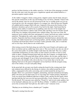perforce led their destriers to the stables ourselves. As the last of the entourage crowded into the wide outer ward, the gates gave a lugubrious squeak and crashed behind us, a precaution against surprise attack.

At the stables I snagged a skinny young groom, slapped a penny into his hand, and gave him specific instructions on the care and feeding of my war-horse, Thunder. I had to look out for the animal, since he was all I possessed in the way or worldly goods save for my sword and my wits, the customary legacies of a younger son. After having seen Thunder off-saddled and his manger filled with oats, I inquired of the groom the location of the bachelors' dormitory and set off in search of my bed for the night. I had feared that by delaying at the stables I would be late in grabbing a bed, but most of the knights had stopped off in the hall for a drink to take off the chill, and there were few besides myself in the long, low chamber with groined stone vaulted ceiling. The room was clean, the mattresses newly stuffed with straw and purged of vermin, and fresh new rushes crackled underfoot. Throughout the castle, signs of preparation for this rare royal visit were manifest. Tapestries had been cleaned and patched, burnished harness adorned the menat-arms, the stables boasted new-cut bracing timbers, and the sleeping chamber smelled of perfume and fresh linen which I savoured. Castles generally stink, and so would this one in a few days, but by then no one would notice

After testing several of the beds along one wall of the room I found a soft mattress and threw my helmet and my saddle bags down onto it. This reserved for me only one side of the coarse linen pallet, for another knight would share the other half. This was a rather comfortable arrangement. In some castles we had visited it was three or four to a bed, while in others, cramped Norman keeps built just after the Conquest, we knights had to sleep on the rushes in the great hall along with the soldiers, the servants, and the dogs. I eyed my gear and shrugged. If one of these Lancastrian pugs tossed it aside and took my bed I'd remove the intruder with a fist in the face. It was ironic that so far the only fighting I had seen in the queen of England's service had been with the arrogant young men of her retinue, over just such paltry things.

In the great hall, the servants were busily setting the board for the evening meal, their task rendered more difficult by the throng of courtiers who milled around the trestle tables, congregated in the aisles conversing, and crowded around the ale kegs for a draught. There was a good deal of laughter, pummeling, and loud ostentatious horseplay, albeit a bit more nervous than usual, for we were deep into Yorkist territory. Richard of York was raised from childhood right here in Raby Castle, and the Neville family which had then held the fief were now his most powerful allies. Cecily, Duchess of York was a Neville herself. We Lancaster men called her "Proud Cis" and several cruder epithets, but to her husband's adherents she was still "the Rose of Raby". A babble of voices drifted across the cavernous hall "God split me, this stuff is sour!" someone swore.

"Mayhap you are drinking from a chamber pot!" Laughter

"My mail is rusting from the rain."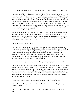"I wish in the devil's name Her Grace would stay put for a while, like York at Ludlow!"

"Ah, who's that fair bit hoisting the trencher of livers?" In nine month's time they'll have to replace every maidservant in the castle, I reflected. I strode over to the keg, grabbed a pewter mug, and bulled my way through the milling knights and squires to draw myself a drink. When I had first come to court seven months before I would have hesitated before shoving any of these young blades aside. Then I had been alone and friendless, confused and overwhelmed by the bustle and the ceremony and the immediacy of politics and statecraft. Being new and last in the pecking order I had been bullied and badgered by the court bravos for a while, but many of them found out that I could only be pushed so far, so that now I was generally left alone.

Filling my mug with the sour beer, I drank deeply and brushed my long reddish-brown hair out of the forth and out of my eyes, making a mental note that I needed to trim it. A hand clapped me heartily on the shoulder, making me choke. It was Tommy Caxton, a blond, wiry young Staffordshire knight who was my only friend in the entourage. "Well, how's the terror of Dartmoor?" he cried.

"Drunk already, are you?" I asked

"Nay, just glad to be in out of that bleeding drizzle and behind stout walls, instead of lying out in the heather like we did last night waiting for some Yorkist rogue to sneak up on me and cut my throat. John, my lad, even though you are an ignorant West Country savage and devoid of every grace and virtue, I mean to do you a good turn. Being a previous visitor to this dingy little keep, I'm going to introduce you to one of the chambermaids I know, as accomplished and accommodating a wench as ever I have known, who but for a slight token of your affection..."

"Since when...?" I began, cocking my eye at the grinning knight, but he cut me off.

"Oh, don't be such a damned prig," he insisted, tugging at my sleeve. "Come on, let's take a walk, and maybe drop a few stones on the swans in the moat for merriment." I allowed myself to be led outside into the chilly, darkening courtyard, still thronging with menials and men-at-arms and those unloading the carts. The castle servants were lighting the cressets, iron baskets filled with pitch-soaked straw, and they sputtered and hissed in the damp twilight. Tommy jerked his head and we mounted the stone stairs to the parapet, where he leaned on a merlon.

"Right, what's all this about?" I demanded. "You know I don't go in for whores."

"You didn't mind lovely Janet at Christmas in London, at the Twelfth Night revel," returned Caxton.

"So I suffer occasional lapses. Why are we out here getting wet and chilly all over again?"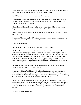"I have something to tell you and I want you to know about it before the whole bleeding court finds out, which God knows will be soon enough," he said.

"Well?" I asked, frowning at Caxton's unusually serious tone of voice.

"I overheard Wiltshire and Hungerford talking. There's been a rider in from the West Country, awaiting Her Grace's arrival here. Do you know a Devonman named John Brinton, a landed knight of Tavistock?"

"I know him well indeed. He's my brother-in-law. Married my oldest sister, Melissa. Taught me swordplay and the longbow. What about him?" I asked.

"Get this: Brinton, his two sons, and your brother William Redmond rode into Ludlow about a week ago!"

"Damnation!" I cursed angrily. "It's bad enough that my father refuses to attend the court! Now I'm in for it! Has the queen heard yet?"

"If not, she will very soon."

"What about my father? Has he gone to Ludlow as well?" I asked.

"No, Lord Redmond seems neutral thus far. From the snippet of conversation I overheard I gather that he's sitting tight, nor does it look like he'll make a move any time soon." I nodded. Now that William had gone with York and I was here at the court of Lancaster, I could imagine my sire's feelings. He must be the most puzzled by my behaviour, for while brother William had never made any secret of his Yorkist propensities, I had simply left home abruptly and taken service with Margaret, telling no one of my secret personal reason for so doing."

"Old Brinton is a fine man," I said. "Now that he's gone to Ludlow, a good many in Devon will swing towards Duke Richard's party."

"I don't know Brinton," said Tommy, "But I have heard that he is a man of sufficient influence so that Margaret's grip on Devonshire is now shot to hell in a handgun. I don't know what her reaction will be where you're concerned, but I wouldn't gamble on it being pleasant. And I do know how the majority of the court will react."

"I can handle those bog knights and clods in the entourage," I growled. "I've broken enough heads around here to make them back off. But I'm worried about the queen. The only reason she took me on was to keep my district in Devon sewn up by showing favour to the son of a local landowner. I don't think she quite trusts me, under the best of conditions."

"Should she?" asked Caxton flatly.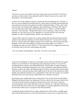"What?"

"See here, it's none of my affair, but why in God's name do you stay here? You'll never convince me that you have been taking this guff all winter because you love poor old King Henry, sixth of that name!"

I stared out over the rampart at the grey countryside and the darkening sky. Out there to the west, across England, my brother and my cousins and an iron-hard, great-hearted old man whom I loved well were gathered at Ludlow behind the Duke of York, and I could not deny that I envied them their allegiance and would fain be with them. The name of our sovereign lord evoked only a bitter chuckle from me. "Henry is a feeble-minded imbecile," I said moodily. "Though God forgive me for speaking so about one of His anointed. It is not meet, but it is true. Margaret is a vicious slut who will wreck the kingdom in order to bequeath Henry's throne to her bastard son."

"Agreed. Then why do you lend your sword to support that lewd Frenchwoman and the product of her adulterous dalliance with the Duke of Somerset?" I stood silent. Tommy went on, "I know some who support Lancaster out of greed, and some because they hate Richard of York. But I don't think any of the usual reasons apply to you. There is something here that you want. What is it?" The sound of his voice snapped my mind from its musings, back to the rain-swept parapet and reality.

"You were right at the beginning," I growled. "It's none of your affair."

II.

At the court of Margaret of Anjou, the old feudal custom of the salt still held. The queen found it a convenient device for dispensing minor patronage and also on occasion for disciplining those courtiers who had displeased her. After months of maneuvering and near groveling, I had finally managed to win a seat at mealtimes at the high board above the great ceramic salt cellars, the traditional place for those of gentle birth, and since then I had striven to avoid any misstep which might result in the loss of this distinction. Many knights and gentlemen felt that it was a degradation of the old ways to place any of gentle blood below the salt, and with this traditionalist view I heartily concurred.

Entering the great vaulted hall for the evening meal, I was struck by the fear that Queen Margaret had already shown her displeasure with my relatives by shoving me back down to the lower board with the commoners and the men-at-arms. Nervously, I took my accustomed place at the trestle table above the salt. I did not sit, as the queen had not yet arrived in the hall, but stood by my stool and fidgeted, eyeing the gathering crowd for the steward who would come to reassign me had I been demoted.

I spotted the dinner herald for the evening, marked by his staff of office, a middle-aged man of the professional service class born and raised to court service, wearing the livery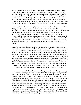of the House of Lancaster on his back, old John of Gaunt's red-rose emblem. My heart sank as the man espied me and began pushing his way towards my place at the high board. Evidently some of the courtiers had already heard of the Devon defections, for several stopped to watch the little drama unfold. Standing stiff and straight, I fought to control myself*. By God,* I thought*, That churl had damned well better be polite about it, or I'll smash his teeth down his throat!* I stared straight ahead as the liveried servitor tapped me on the shoulder. Gripping my self-possession like a starving dog grips a bone, I turned to face the man. "Your sword, please, sir knight," said the steward courteously.

"Ah, yes, of course," I stammered, fighting to conceal my relief. "I forgot to check it with the squire." No one was allowed to carry swords or other weapons in the hall at mealtimes, other than the marshals appointed by the steward. It was a wise rule, for as the evening wore on and the drink flowed freely, soldiers and knights often became quarrelsome. Since I had arrived at courts there had been a number of fist fights and several outright brawls at dinner which the doorwards had broken up with cudgels and sword flats, although as yet no one had drawn a dagger, these being perforce allowed for the cutting of meat. I unbuckled my sword and sheath and handed them to the steward, who carried them off to the squire-armourer who had charge of the weaponry this evening

There was a bustle as the queen entered, and behind her the ladies of the entourage. Margaret stopped to converse with Lord Hungerford, and also with her current lover and favourite James Butler, Earl of Wiltshire. This gave the women and girls time to find their seats. My eyes searched the female throng, looking for the brilliant yellow hair of one whom I knew would be there. Another old custom followed at the court of Lancaster was the practice of seating the courtiers alternately by sex, with the gentleman serving the lady on his right throughout the meal, cutting her meat for her, keeping the dogs from jumping up on her and stealing her food, and so forth. Within the limits of propriety and discretion, the unmarried ladies were allowed a degree of choice as to whom they sat beside, this hailing back to the old custom of courtly love. I was resigned to having the Dowager Countess of Kent on my left as always, but I fervently hoped that tonight the Lady Melisande would fill the place of favour on my right as she sometimes did.

I saw her across the hall, dressed demurely and simply in dark velvet. I caught her eye, and she smiled and began to move in my direction when another girl came up behind me and firmly stationed herself by my right elbow. I regarded her with annoyance. "Hello, Jeanetta," I said coolly. "I take it you're honouring me with your attendance this night?" Jeanetta Talbot had been flirting and coquetting with me ever since I had arrived at court. What she saw in me I could not possibly imagine. I was the landless younger son of a back-country baron and she was the daughter of one of the most prominent noble houses in the realm, a niece of the Earls of Shrewsbury and Kent, and related by blood or by marriage to virtually every powerful magnate in England. This evening she wore a tall conical headdress with flamboyant yellow streamers, beneath which she let her honeygold hair hang free, beautiful enough to be sure, but in my mind surpassed by Melisande's shimmering sunlight tresses. "You didn't think I'd leave you to that little hoyden Sandy Grey, did you?" demanded Jeanetta, sticking her tongue out at her rival.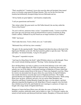"That's uncalled-for!" I muttered. Across the room the other girl hesitated, then turned away to sit beside a pug named Sir Roger Kenelm. This was not the first time that Jeanetta had deliberately disrupted things between Melisande and me.

"All my family are great fighters," said Jeanetta complacently.

"I call you quarrelsome and boorish."

"But valiant withal. My great uncle was Old Talbot himself, the one they called the Terror of the French."

"So you've told me, numerous times, in fact," I responded wearily. "I seem to recall the four years ago your ferocious uncle got himself blown to pieces in Guienne by King Charles' artillery. Offhand I'd say the French are no longer terrified of you Talbots."

"Fffft!" she hissed

"Don't make that noise. You're a bitch, not a cat," I said rudely.

"Melisande Grey will feel my claws someday."

"Be quiet. It's the opening health." Queen Margaret had taken her place at the head of the high board, Wiltshire on her left. The Earl raised his goblet to open the meal. "My lords and ladies," he intoned formally, "Long live the queen!"

"The queen!" responded everyone.

"And long live King Henry the Sixth!" added Wiltshire almost as an afterthought. Those who weren't already drinking muttered "The king," before draining their cups.

Poor old King Henry was lucky to achieve even this brief deference at his wife's table. The son of the mighty Henry the Fifth of Agincourt fame, he had been born under an unlucky star, out of his father's sword-point marriage to Katherine of France which had brought the insanity-tainted blood of the house of Valois into England's royal line. When his warrior sire descended into the grave thirty-five years before, he had left behind a nine-month-old infant to wear the dual crown of England and France. The trouble spawned thereby tore England in half and lost us all our French possessions. While young Henry grew up pious, sheltered, and naive, his two uncles Duke Humphrey and Gloucester and Henry Cardinal Beaufort fought like tigers over the regency, and their adherents despoiled the kingdom at will. King Harry's French conquests were first held, then whittled away bit by bit, until finally his son's marriage to a princess of Anjou was bought with a huge chunk of English-held France.

Margaret of Anjou had been fifteen years old when she came to England. She was beautiful, sensuous, politically astute, and as lethal as a viper. To everyone's surprise she turned on both factions and destroyed both their leaders. Humphrey of Gloucester died of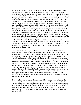poison while attending a special Parliament at Bury St. Edmunds; his wife the Duchess was condemned for witchcraft on highly questionable evidence and buried alive in a castle dungeon so remote no one even knew if she still lived, or where. Cardinal Beaufort she subtly stripped of all his power and reduced to impotence, hurrying him into his grave through rage and sheer mortification. Then, to make her power absolute, Margaret struck at the most powerful of the kingdom's lords, Richard Plantagenet, Duke of York. Here she met her match, and for almost a decade the two of them, queen and duke, intrigued and conspired and snarled and snapped at one another like fighting dogs. Margaret used her weak-willed, religious husband and his throne as a pawn in her game of power, while Duke Richard rallied around him the bulk of the realm's nobility who were jealous of their rights and fearful for their prerogatives, as well as a growing number of merchants and commons who were tired of the years of misrule and chaos. Time and again York rigged Parliaments against the queen, exiling and sometimes executing her lovers. One of York's mercenary captains named Jack Cade had stirred a peasant's revolt in Kent and almost captured London, but Margaret bribed and charmed the aldermen and guilds of the city into defending her, and Cade's rabble were defeated in a pitched battle on London Bridge and routed back into the countryside. York was exiled to Dublin as King's Lieutenant of Ireland, a post meant to be his political grave as Ireland so often was, but in short order he brought such peace and prosperity to the Pale and so gained the respect of the wild Irish clans that he had to be recalled for fear he would establish his own kingdom in the Emerald Isle.

Finally, two years before, open civil war had broken out. Margaret had entrusted command of the Lancastrian army to her lover of the moment, the Duke of Somerset, who was brave enough but devoid of any capacity for generalship or strategy. There was a battle at the village of St. Albans a few miles outside London, the Lancastrians were crushed, and Somerset was hacked down in the streets in his smashed armour. London was open and was captured quickly. Margaret and Henry were trapped in the Tower and were forced to make terms. It was clear what had to be done. The young Earl of Warwick and the Duke's father-in-law, the Earl of Salisbury, were all in favour of imprisoning the queen, waiting a few months, and then having her quietly strangled in her cell one night. King Henry would abdicate and retire to a monastery, and England would have a new monarch. But ironically, Richard of York was no traitor. He was still reluctant to take the final necessary step. So a gimcrack "council" arrangement was cobbled together which in theory gave the Yorkists effective power, and the Duke's army disbanded. Queen Margaret promptly violated the agreement, seized the person of King Henry, and raised troops to defend her position.

So taxes fell into arrears and the Crown fell into debt. Commerce was collapsing, the barons engaged in private warfare, the roads were unsafe, public offices were bought and sold like meat pies at a fair, and justice disappeared as the law courts became the playtoy of whichever action had the most blades. Four decades before England had been the paramount power of Europe; now we were descending into chaos and anarchy, all because of this lovely woman who now presided over the board at Raby with wit, charm, grace, and gaiety.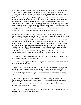After dinner I escaped Jeanetta's company with some difficulty. When I returned to my sleeping chamber I found that my helmet and saddlebags had not been disturbed. Evidently the troublemakers were learning their lesson. I was further relieved to see that Tommy Caxton was to be my bedfellow. The court didn't turn into until after compline, the last service of the day, and I had nearly two turns of the glass until then. I was undecided what to do. I wanted to see Melisande if I could, but I didn't know her plans for the evening. Sometimes she would return to the great hall after the tables were stacked for a game of chess, or the new pastime of gaming with painted pasteboard cards. If she were there tonight I could talk to her, although as per usual we would be under the watchful eye of the dowager Countess of Kent or some other venerable crone, assisted by a squad of duennas. The young, unmarried noblewomen of the court were always well attended, and it was seldom that Melisande and I could converse alone.

When I re-entered the great hall, the trestle tables had been taken down and stacked against the walls, and the stools and benches were moved back against the table tops until the next meal By the light of flambeaux and spluttering cressets I could see several chess and card games in progress, while men-at-armed diced in the corners. A few young men and girls were twanging on lutes or stroking spinets, while a page was playing softly on a recorder, an old Welsh air that I remembered from my childhood in Devon. My sister's husband and family would visit us, or we them, and John Brinton's Welsh squire Toby would play for us. I shook off the momentary twinge of homesickness and searched the hall with my eyes, but Melisande was not present. Sighing, I strode over to a group of hardened tosspots gathered around the ale keg, the third or fourth broached this evening. Tommy Caxton cheerily raised his mug in salute. "Come and imbibe!" he shouted.

"I never cease to marvel at your capacity for drink," I told him, smiling as I filled a mug of my own to the brim with dark brown ale

"And I ever wonder at your asceticism," he responded. "The world looks so much better over the lip of horn or goblet."

"It doesn't look so good with ringing ears, a splitting head, and a spewing belly the next morning," I said, sitting down next to him. I leaned back, sipping, and spoke softly to him. "Is there any news? I haven't gotten any ordure about William and the Brintons yet. I had at least thought that swine Roger Kenelm would venture one of his wonted stupid sallies."

"I imagine that like always, the luminaries of the court are awaiting a sign from above," Caxton muttered. "You probably have a day or two of grace while the powers that be decide what they want to do about it. Margaret has a lot on her plate right now, and she may let you slide for a bit." He continued aloud, "John, I fear that you have yet to discover the pleasures of a life of sin!"

"Enjoy it here, reprobate, for on death your soul will doubtless drop like a stone into the nethermost pit!" I admonished him solemnly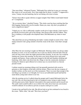"One more thing," whispered Tommy. "Melisande Grey asked me to pass on a message. She wants to see you privately. Now what might that be about, I wonder?" I suppressed a wince. Tommy was just bantering, but he was hitting a bit close to home.

"I'd have been able to speak with her at supper tonight if that Talbot wench hadn't butted in!" I complained.

"Ah, no mystery there," chuckled Tommy. "The whole court has been watching that fine little baggage chasing after you for months. Damn you, man, why don't you partake of such a magnificent repast?"

"I thank you, no. Life is sufficiently complex in this pit of vipers already. I don't need to get illicitly involved with a girl of her lineage. One doesn't trifle with the Talbots. They have a tendency to kill people who displease them. Did Melisande say where to meet her?"

"She asked that you not go blundering into ladies' country tonight in search of her. After matins tomorrow she's going outside to feed the swans in the moat. I trust that's enough said."

After Mass the next morning I sought out Melisande. Morning routine was always rather desultory at court, so no one would miss me or note my absence from the hall of the tilt yard, the long course where the nights practised their jousting. At any rate, few would be running any courses this morning, for the mists were moist and pervasive and rusted weapons and harness. Some young men lounged in the hall and chambers drinking and bantering, while others rode down into the village or into the countryside, hunting or looking for whatever sport offered, be it a horse race or a tavern brawl or a buxom peasant wench.

I seldom wasted my mornings tilting at all, but generally practised with sword or guisarme or shot longbow at the butts with the archers. These were the true weapons of modern warfare, not the mock war of the tournament. There was more than enough of the real thing to go around, or so I thought, for I was as yet unblooded myself and had the usual idiotic young man's desire to see war.

After the morning service I walked along the parapet until I espied Melisande below the east wall. She was throwing bread to the evil-tempered swans, trying to make friends with the great snowy birds. Quietly I descended to the nearest postern and let myself out. The castle watch would be able to see us below the walls, but at least our conversation would be unheard. It was about as private as anyone could get in a castle

I strode to her and knelt by her side. She did not look at me but continued to toss bread to the swans. "Hello, John," she said. "How have you been?"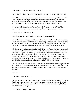"Still breathing," I replied cheerfully. "And you?

"I am quite well, thank you. Did Sir Thomas tell you of my desire to speak with you?"

"Yes. What service may I render you, fair Melisande?" She looked up and smiled softly at the compliment, although I'd made it sound like the typical turn of phrase which protocol demanded of a knight addressing a girl of noble birth. Her eyes were not the blue that her golden hair might have led one to expect, but a soft golden brown.

"I wanted to ask you about your brother," she said. "He's gone over to York." She stopped and watched for my reaction. I shrugged and tugged at a blade of grass.

"I know," I said. "That is his affair."

"Does it not trouble you?" she asked, her tone not quite reproachful.

"I'm not his keeper. Perhaps now William will be attainted and I shall become heir to my father's title and estate." The harshness of my own reply surprised me; I had not intended to sound so brutal, but I desperately wanted to avoid talking politics with Melisande. Damnation! I cursed silently to myself. Why do I always say the wrong thing to her?

"No, John," said Melisande, shaking her head. "I know you're not like that. Sometimes I believe you are the only man I know who isn't." She sat silently for a moment, her hand extended to a huge old swan holding a piece of bread. The bird cocked a beady eye and regarded the proffered hunk suspiciously. Then his long neck shot out like a striking serpent and snatched it. She jerked back her hand with a little cry, and I saw a bright crimson splash of blood hit the murky water and diffuse down into the darkness. I cursed and kicked at the swan, who squawked away in a huff. "He bit you," I said.

"He didn't mean to," she replied sadly. She wiped the blood off her injured finger onto the grass, then dried it on the hem of her gown. I seated myself on the sward next to her, and we watched the swans in awkward silence for a while. "What's he like?" she said after a little while.

"William?"

"Yes. What sort of man is he?"

"Well, he is a man of courage," I said slowly. "A good fighter. He was with Old Talbot at Castillon and was taken prisoner. We had to mortgage our manor to ransom him back from the French." There was silence for while, then I felt compelled to add, "He does what he believes to be right."

"You like him, don't you?" she asked.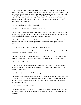"Yes," I admitted. "He is my friend as well as my brother. I like old Brinton too, and respect his judgment. He fought as an archer at Agincourt when he was but fifteen years old, and he was a household knight to Harry Fift afterwards. I've often heard him speak of King Hal, for Brinton loved him well, as did all England. I know he would never betray his old sovereign's son unless his conscience told him there was no other way." Blast! I raged inwardly. Another slip. I knew what the next question would be, one I desperately wanted to avoid.

"Do you think he's right, John?" she asked.

"If I did, do you think I'd be here?" I hedged, scowling.

"I don't know," she replied quietly. "Somehow, I just can't see you as an ardent partisan of Lancaster. I know you don't like the court." I chuckled bitterly at this understatement, for I loathed all things Lancastrian, but I kept my voice steady.

"Not all the queen's adherents are like these," I told her. "There are good and decent men who wear the read rose because they feel King Henry owns their loyalty and true allegiance."

"You still haven't answered my question," she reminded me.

"What would you have, madam?" I demanded irritably. "Should I speak treason? Am I condemned for what my brother does?"

"Oh, John, I didn't mean to make you angry," she said with a little laugh. "It's just that I can't believe you follow Margaret because you love her poor half-witted husband."

"He is still king," I asserted.

"Yes, and withal a good and holy man. I meant no ill. But John, why came you hence? You hate the court, you cleave not to Margaret's cause---no, gainsay me not, it's true. Why do you stay here?"

"Why do you stay?" I asked, which was a stupid question.

"I'm a royal ward, remember? I have no choice," she reminded me. "When my father died Queen Margaret paid my Uncle Reginald twenty pounds for my mainpast, although I haven't a clue why. Reginald's branch of the family is the wealthy one. I've no dowry, only an illustrious name."

"You underrate yourself!" I protested.

"Not really, although it's sweet of you to say so." She cocked her head at me. "Why is it that you never answer any of my questions? You still haven't told me why you follow Lancaster."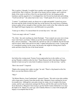This is perfect, I thought. I wouldn't have another such opportunity for months. At last I could tell her. But I could not. The sight of her beauty tied my tongue, and I could not think of the words to tell her of the love my heart held for her, the longing and the loneliness and the anguish of it. I worshipped her, but I bowed my head and said nothing. "You'll not tell me?" she asked, hurt in her voice. "I shall speak of't to no one. I promise."

"I cannot." I could barely speak, my throat was so tight and painful. I stared out across the moat and the fields towards the dark line on the horizon, the royal forest of Durham, trying to gather all my strength to blurt out three short words to her. But within the castle the chapel bell began ringing terce, and Melisande rose gracefully.

"I must go to offices. I've missed them for several days now," she said.

"You're not angry with me?" I asked.

"No, John," she said, touching my cheek fleetingly. "Your counsels are your own to keep. I just wish I knew you better. I think you are the most honourable and admirable man here, and yet sometimes..." She trailed off, and left my side as if suddenly she felt she had said too much, while I had said far too little. I sighed and picked up a stone. Toying with it, I considered casting it at the swans, but because she might be looking back I laid it aside and threw them the last of the bread instead.

III.

Just before the evening meal, Tommy Caxton approached me in the stables as I was giving Thunder a rubdown after his feed. "Dame Rumour hath it that Queen Margaret intends to haul you up for some kind of audience tomorrow or the next day," said he.

"How's her mood?" I inquired.

"Right at the moment she's rather on edge," he said. "There's a big haunch on the fire. Have you met that Morriss fellow yet?"

"Who?"

"Sir Robert Morriss, from Cumberland," returned Tommy. "He rode in just after midday with a large party of gentry from that goodly shire. Margaret's been courting his favour for months now. Although he's just gone twenty he wings a lot of weight in his home county, and he's got connections amongst the Percies and Nevilles and even the bloody Scots themselves. Margaret's been trying to get the North Country behind her ever since the battle at St. Albans two years ago, and evidently Morriss is a man with enough pull largely to accomplish that for her."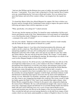"And now that William and the Brintons have gone to Ludlow she needs Cumberland all the more," I said grimly. "Ever since Cade's rising back in '50 she's had the West Country sewn up, counterbalancing the York men in Kent and London. Now my relations have upset that balance and sent all her counters rolling. I can imagine how she regards me now."

"I've heard this Morris fellow has offered Margaret his support. He's here to dicker over the price and he's brought all his Cumberland cronies along to impress the queen with his following and impress them with his importance at court."

"What, specifically, is he asking for?" I asked curiously

"I'm not sure, but the rumours are flying. I've heard he wants wardenship of all the royal forests and fisheries north of the Tyne, administration of all royal manors in Cumberland, a cut of the Bourchier lands if Margaret can ever manage to confiscate them, and get this- --command of the castle of Carlisle!"

I let out a low whistle. "Immense wealth and a fortress from which he would virtually rule the North. He has a high opinion of himself for a youth!"

"I gather Margaret shares it. I saw him at the formal presentation this afternoon, and youth or not he's a hard one. These Border reivers have to be, else the Scots or their enterprising neighbours will carry off everything that's not nailed down. Captain Marguerite wants him with us badly, and so she may let you slide for a few days while she strokes Morriss. She may end up giving him Carlisle. Oh, I forgot," Caxton added, "Morriss is also looking for an advantageous marriage. Be interesting to see which of our court lovelies Margaret dangles in front of him as bait."

Sudden dismay struck me. For all her poverty, Lady Melisande Grey was still one of the most high-born noblewomen at court, a close relation to the Greys of Ruthin who, after precipitating Own Glendower's revolt fifty years before, had managed to land on their feet and come out of the rebellion with seisin of half the land along the Welsh Marches and immense estates throughout the rest of England. It did not take a wizard as Glendower was reputed to have been to prophesy that we were coming into a time when the mortality rate among England's magnates would be high, and distant relations would find themselves inheriting large legacies from men who lay dead on the battlefield of bloody civil war. Melisande was beautiful, vulnerable, and a legal chattel for Margaret to toss like a bone to any swaggering bog-knight who would give her twenty swords to fight her battles against the Duke of York. I grew more disturbed that night at dinner, when Robert Morriss usurped the place of honour by the queen's side, temporarily displacing the morose Earl of Wiltshire. He was a tall and handsome knight with a massive mane of tawny hair, surprisingly elegant and debonair for an erstwhile Border bandit who held his lands with steel. In his following were over a score of more typical Border reivers, scarred and truculent men who thrived on the dangers of the war-torn Scottish frontier. They crowded the hall and conversed among themselves in the half-Scots tongue of their country which was only barely understandable as a dialect of English to those of us from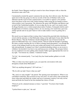the South. I knew Margaret would give much to have these hotspurs with us when the showdown came with York.

I momentarily awaited the queen's summons the next day, but it did not come. Her Grace spent most of the day going over the tax records of the City of Durham with several aldermen and the royal revenue commissioners, in an effort to squeeze a few pennies more from those in the town with Yorkist leanings while easing the tax burden on those whose politics were Lancastrian. The afternoon she spent with Wiltshire and Morriss and several of the Cumberland notables. It was an edgy day for me, and I very nearly struck Sir Roger Kenelm over a veiled remark about traitors' brothers. Fortunately both he and I thought better of it before coming to blows; he was missing a few teeth from a previous similar episode and on my part I had no wish to make matters worse by getting into a brawl.

My mood was not improved that evening when I entered the great hall after checking my sword with the armourer, to find Melisande sitting on the right hand of none other that Sir Robert Morriss. That the Northerner should relinquish the seat of honour beside the queen for Melisande Grey was a sinister portent. I did not relish the thought of spending the entire evening watching the two of them exchange banal pleasantries, even though the society of the banquet board was the most sedate and formal of all courtoisie between lady and gentleman. So piqued was I that I considered pleading sickness as an excuse to withdraw, but decided it was best to stay and keep an eye on things. The prospect before me was rendered even more galling when Jeanetta Talbot again appropriated the stool on my right. "You honour me, madam," I muttered wearily.

"So I do," she returned pertly. "I see Lady Grey has found another gallant to sit with tonight."

"Why is it that every time I speak to you, you open the conversation with some derogatory remark about Melisande?"

"Did I say anything derogatory? All I said was..."

"Oh, be still, my lady! I know what you said!"

"My, aren't we surly tonight?" she purred. The opening toast interrupted us. When it was concluded I seated her, then sat down on my own stool. As each course came around she chose what meat and drink she wished, and out of customary courtesy I not only cut her meat and broke her bread for her but emulated her choice of foods

"Protocol can be a damned nuisance at times," I growled. "You know that I loathe lampreys!"

"I picked them to spite you," she said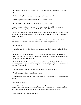"I'm sure you did," I returned wearily. "You know that lampreys were what killed King John?"

"You're not King John. Here's a nice fat segment for you. Eat up."

"Why don't you like Melisande?" I mumbled a little while later

"Don't talk with your mouth full," she scolded. "It's very vulgar."

"Since when does vulgarity bother you? It's what you get for making me eat these detestable eels. I said, why don't you like Melisande Grey?"

"Perhaps it's because we're hereditary enemies," Jeanetta replied primly. "In days gone by our families on the Marches spent almost as much time fighting one another as they did battling the Welsh."

"If you go into that declamation about the Talbot grandeur again, bigod I'll stuff this whole bowl of lampreys down your throat! Now answer the question!"

"What question?"

I counted to ten, slowly. "For the last time, madam, why don't you and Melisande Grey get along?"

"Oh, no reason," she replied airily. "She's a mewling little lap kitten of no parts with sawdust for brains, whose only purpose in life is the highly dubious one of ornament, but I've nothing at all against the child."

"God's chillblains, that's no answer!" I exploded. "Although I might add that if Melisande is a kitten you are a spiteful little monkey who does nothing save get into people's things and throw them about!"

"That is no way to speak to someone who is about to do you a favour, sir."

"Your favours put ordinary calamities to shame!"

"I could be offended at that, but I consider the source," she drawled. "I've got something for you."

"And what might that be?"

"I won't tell you here. No, John, I'm not just teasing. I don't think anyone is listening to us prattling, but I don't want to take the chance of being overheard. I've a strong suspicion that this is not something you would want proclaimed to the assembled court."

"Egad, Jeanetta, if this is some silly little..."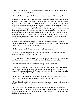"It isn't," she assured me. "I'll take the white wine, please. It goes well with seafood. Will you play chess with me after dinner?

"Very well," I assented gloomily. "If I don't die from these damnable lampreys!"

At the conclusion of the meal I was relieved to see Morriss retire to the queen's chambers with Her Grace, Wiltshire, and several other courtiers, while Melisande left the hall with the other girls. Jeanetta obtained a chessboard and pieces, and we sat on a bench beneath a flickering cresset and began our game, but before I could speak the Dowager Countess of Kent and another elderly lady appropriated the other end of the bench for a sedate game of dominoes. I suspected that this was deliberate; the Dowager no doubt considered it a major part of her duties as senior lady of the court to keep an eye on so flighty a maiden as Jeanetta, although I personally doubted anyone's ability to keep the Talbot girl on the straight and narrow. I knew Jeanetta well enough to believe that if she wished to conduct an amour, steal the queen's jewels, or practice witchcraft she was quite capable of doing so undetected

At long last the Dowager and her gossip concluded their game and rose. I eyed the chessboard suspiciously. "Stop throwing the game," I demanded. "I know you're not that stupid. Check. Now what is this you've got for me?"

"No, I'm not that stupid. Check yourself, and you lose as bishop."

"Jeanetta..." I intoned dangerously. "Have you eve wondered why the troubadours so often sing of maidens murdered by young men?"

"Fffft!" she hissed. "All right, pushy. This afternoon an old family servant of ours arrived here from the March country with routine reports and a letter from my father."

"He's in Hereford now, isn't he?" I asked abstractly, studying the board

"Mm-hmmm. He's supposed to be keeping an eye on York and Salisbury and Warwick and that lot at Ludlow. But he's got little use for Captain Marguerite, and he openly tolerates Yorkists in his household. The man who came today is one such, and before he came here he stopped off at Ludlow Castle."

"Did he, now?" I exclaimed, my eyebrows shooting up. "See here, I know this whole court is riddled with Duke Richard's agents, but don't tell me that you...?"

"No, no, although this fellow does a lucrative trade in that sort of thing. But in addition to the letter from my father to me, he brought a letter for you."

"Oh," I said. I didn't need to ask who would be writing to me from the Duke of York's stronghold. I sat for a moment, staring at the chessboard without concentration. Suddenly a thought struck me, and I moved my remaining bishop. "Check. Why did this man give the letter to you and not to me?"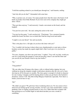"I told him anything related to you should pass through me," said Jeanetta, smiling

"And why did you do that?" I demanded with some heat.

"Why, to protect you, of course. Too many people know that this man is the bearer of all kinds of goodies from Duke Richard. If you were seen in his company they might get ideas. Check."

"They get ideas anyway," I said morosely. I made a movement on the board, and she laughed.

"You just lost your rook," she said, suiting the action to the word

"You just lost the game," I said conclusively. "Checkmate." For a moment Jeanetta studied the board, but there was no doubt that I had her king boxed and nailed.

"I ought to cut your throat!" she said succinctly.

"This is the place for it. All right, do you have this letter with you?"

"Yes. I couldn't risk leaving it about where nosy chambermaids or court spies or those hoydens society has made my equals might find it. But I won't give it to you here in public."

"For once, Jeanetta, you show rare good sense," I sighed. "Very well, my lady, would you care for a stroll along the parapet to some private place where I can read the letter and you can tell all your friends I tried to rip your bodice?"

"No."

"I beg pardon?"

"Oh, any other time I'd jump at the chance, with or without bodice-ripping, but your walking me along the ramparts tonight would attract attention after the way you've been shoving me off for the past six months. The chess game is enough of a break in character for one evening. I imagine you'll be hearing about it when you get back to the bachelor's dormitory. I know I will. The little trollop Margery Chadwicke especially. Now there's a bodice you'd not have to rip."

"Eh?"

"Oh, didn't you guess? We girls have been wondering about you. No one seems to have observed you feeling up the serving wenches, nor have you come around ladies' country plunking a lute or reading wretched poetry to any of us. Other than that escapade with that greensleeves on Twelfth Night we had about decided you were a monk or something."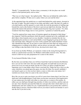"Really?" I responded airily. "In these times a monastery is the last place one would expect to find spiritual purity such as mine."

"That was *not* what I meant," she replied archly. "Meet me out behind the stables half a glass before compline. I'll take you to a place where you can read the letter."

At the appointed time she guided me to a small shed behind the castle tannery, deserted at this time of night. The place reeked of raw hides and fuller's earth. She had a lit candle in a tin dark lantern, and she opened it a crack while she took the precaution of stuffing rags beneath the crack at the bottom of the door to prevent any light from showing. Then she opened the lantern full and drew a leather pouch from her long sleeve pocket. "I've often wondered what those floppy sleeves were good for," I grunted as I untied the pouch.

"You'd be surprised how many items of feminine apparel are designed to hide things," she simpered. I held the parchment which the pouch contained up to the candlelight, nor did I object when Jeanetta read over my shoulder. I needed no reminder that she was jeopardizing her position at court and probably a royal flogging by giving me the letter. Like all female rulers, Margaret was more swift to punish and cruelly humiliate women who offended her than men. In my time at court I had seen more than one strung up to a whipping post or writhing in the pillory, and not always servant girls, either. If Jeanetta was willing to take that kind of risk for me, she deserved to know why.

It was from my brother William, as I surmised, written in the strong flowing hand of a monk or a professional scrivener, for William could neither read nor write. The only reason I could was my early preparation for a career in the church.

To my honour'd Brother John, (it ran)

By the time you read these lines you will have heard that I and our kinsmen the Brintons have cast our lots with York. Our most noble and gentle sire hath bade me do all in my power not to tar you with our brush, but the love I bear you allows nought but that I importune you to come hither where I know your heart lies. Father has not a clue as to the cause wherefore you attend upon the queen, nor does Sir John. For myself, methinks I can hazard a guess as to why you have taken a course so false unto your nature, for I watched you closely when we came to the court at Exeter.

How like you are to gain your desire you will of course know better than I, but I fear you shall meet with disappointment. If and when you become convinced of the hopelessness of your endeavours you shall wish either to come unto us or return to Devonshire. In either case you shall pass through long stretches of white-rose territory, and the roads are not safe. I have therefore procured the Duke his seal upon this letter which shall serve as identification and safe-conduct for you. I understand that in your position this could be a deadly thing to possess, therefore think well ere you retain it and do not hesitate to cast it into the fire if you feel at risk.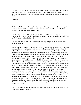Come and join us soon, my brother! Our numbers and our puissance grow daily as more and more of this realm's gentlefolk and commons alike grow weary of Margaret's misrule. God grant that I shall see you next in Ludlow's hall and not across some bloody field.

- William

And below William's mark was affixed the seal which might mean my death, along with a few words scrawled in a bold hand. "Custodet cacher et passez J. Redmonde, Eques. - Ricardus Princeps Anglorum et Dux Yorke."

"A thousand devils!" I raved. "Has William taken leave of his senses to send me something like this, now of all times? Does he want to get me shortened by a head? What in God's name was he thinking of?"

"I take it then that you are going to destroy this deadly thing as all good sense dictates?" inquired Jeanetta.

Would I? I thought furiously. My brother was not a stupid man and not generally given to rash acts. Surely he realized he could well be sending me my death warrant? Slowly I calmed down and looked at the matter with as much objectivity as I could muster. Yes, the letter and the pass were dangerous, but occasions might arise where they could also save my life. I suddenly recalled something John Brinton had said to me, the last night at home in Devon before I had ridden to join the court at Exeter. We were sitting by a roaring hearth supping our last tankard of mulled ale. "Lad," he said, "Your reasons for going are your own and I won't pry, but I will tell you this: you're riding into a snake pit. I've lived at court for many years, not just here in England but in France, in Rome, in Constantinople and all up and down Europe. They're fascinating worlds all their own, but bloody dangerous even to those who know the ropes. Power corrupts, without exception, and Margaret is more corrupt than most. Her court is accordingly more dangerous than most and you can be very seriously hurt in every sense of the word if you make a misstep. Keep your own counsel, form your friendships and alliances but stand ready to break them at need, and above all keep as many irons in the fire as you can. Always keep every wager covered, lad, for you never know which is the one that will pay off." Suddenly I understood that although the pass had come from William the agile mind of an old veteran who was my friend was actually behind it. I knew that John Brinton was giving me another iron to stick in the fire, and I was surprised and honoured to perceive that he trusted my judgment sufficiently not to burn myself with it. It was up to me to vindicate that trust.

"No," I told Jeanetta. "I'm not going to burn it just yet. But then who would expect good sense from a Devonshire savage?"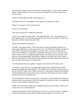"Are you sure you know what you're doing?" she asked quietly. "You're under suspicion already. If they find that on you you're as good as shortened. I don't fancy seeing your head on a pike."

"Indeed? I should think the sight would amuse you."

"Oh, didn't I tell you?" she laughed. "We're going to be married, you and I."

"What?" I exclaimed. "First I've heard of it!"

"Oh, yes, it's all decided."

"And why me, pray tell?" I inquired courteously.

"I want you to teach me to play chess," she returned prettily. "No, I've marked you as a lad to gamble a life on. You're the quiet type who rises slowly but steadily. Twenty years from now you'll be a lord in this land, John."

"Or get myself killed in the process."

"Possibly," she agreed soberly. "That's the chance one takes nowadays, and there's no surety against bad luck or a stray arrow and a fever. You might die in battle or get thrown from a horse. But then the same applies to any other man, or woman. I might not rise from my first childbed, or I might die of a pestilence that passes you by, or in the course of this coming civil war I might fall into the hands of men who rape me and then cut my throat as a casual afterthought. Death follows behind us all, John, and we can't choose when he will reach for us. But I decided long ago that I could and would choose who will be at my side on the journey. I've chosen you."

"I'm honoured and flattered, madam," I laughed, "But what if I don't choose you?

"And what's wrong with me?" shed demanded, performing a short pirouette and then leaning back against the wall insolently. "I'm no Helen of Troy but I'm not that uneasy on the eye, and I'm a Talbot with a Talbot-sized dowry, a big manor in Hereford and another in Gloucestershire and a chest full of money and jewels. You'd gain more from wedding me than if you were your father's heir."

"Oh, don't think I'm unaware of my penury," I said dryly. "Certain gentlemen around here are disinclined to let me forget it. But I'd be afraid of a wife like you, Jen. You might take a fancy to some stable boy and poison me."

"Ffffft!" she hissed in her catlike way, running her finger across my cheek. "I'll have you in bed with me yet, John Redmond!"

I mistook her meaning. "Well, if that's all you want we've no need of a priest." I stepped forward and hooked my hand under her bodice, quite prepared to swive her on the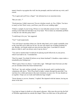tanner's bench or up against the wall, but she promptly sank her teeth into my wrist, and I cursed.

"Try it again and you'll lose a finger!" she informed me in no uncertain terms.

"But you said...?"

"Good gracious, I didn't mean now! I'm not a kitchen wench, sir, I'm a Talbot. You have to marry us first! Don't worry, you'll have your fill on our wedding night."

"If that's a sample of your loving, I'll have to wear full plate armour to bed," I muttered, sucking on the hunk she had taken out of my hand. "Never mind, my immediate problem is what do I do with this pesky letter?"

"I could keep it for you," she suggested.

"You?" I said suspiciously

"You can't keep it anywhere about you. On the other hand, you've made it painfully clear to the court that you've little use for me. No one will suspect me of hiding anything for you. Besides, our female minds are more devious than yours. I can think of a dozen places to hide it, and I can always carry it up my sleeve."

"You omit to mention that I would also be placing myself effectively in your power, which I am loath to do," I reminded her.

"Don't be stupid. You think I'd inform on my future husband? A headless corpse makes a remarkably poor bridegroom."

"Well, I guess I have no choice," I said with a sigh, "Although I must forewarn you that you are mistaken about the future husband idea."

"We'll see," she said, smiling wickedly. I gave her the pouch, and it vanished up her voluminous silk sleeve. "Now I'll go back to ladies' country through the great hall. You wait here for a while and return to the men's dormitory on your own. No one should see us together. I hope you see toads and loathsome hags tonight."

"Sweet dreams to you too, Jeanetta," I replied. She departed with the lantern, leaving me alone in the dark.

IV.

I was kept no longer in doubt as to the queen's pleasure. After mass the next day the Earl of Wiltshire approached me outside the chapel. There was little trace of the polish and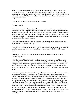urbanity for which James Butler was famed in his demeanour towards me now. "Her Grace would speak with you privily this morning, in her study," he told me in a low, brusque tone. He did not state the purpose of the audience, nor was I naive enough to ask. "Terce. Be on time." Wiltshire turned and stalked off. Tommy Caxton glided up in the surly nobleman's wake.

"That, I presume, was Margaret's summons?" he asked.

"It was," I replied

"Would it be impertinent of me to ask how you intend to explain away your kinsmen's conduct? Whatever it is you're after here at court, you'll now be lucky to get away with a whole skin unless you can somehow wriggle off this jolly wee hook that your brother and these Brinton gents have stuck you on." I was acutely aware of the truth of his words and I had been pondering my alternatives worriedly ever since I had heard the news, but I had no intention of showing any unease.

"I will simply convince the queen that I do not hold with my brother's actions and that I repudiate them as treason and folly."

"Coz, if you've the kind of silver tongue which can accomplish that, although it has yet to manifest itself to me, then you do indeed have a future here," said Tom with a grim chuckle.

"Gadzoons, it's not as if I'm the only individual around here with any relations at Ludlow!" I protested

"True, but most of the other parties to whom you refer perform some useful service or other for the Lancastrian cause which makes it worth the queen's while to overlook their family skeletons. You offer Captain Marguerite one unblooded sword, and she can get those three for a shilling. But the best of luck to you. Oh, by the by, when Wiltshire's bullies are stretching you on the rack and asking for names, I'd be obliged if you'd forget mine."

"Already forgotten, Tom," I sighed bitterly, although it was a perfectly reasonable request under the circumstances. He clapped me on the shoulder and strode off towards the stables. I had nearly two hours before my interview with the queen, and I wandered deep in thought through the outer bailey of the castle, then across the open drawbridge and beyond the walls. My footsteps took me in the direction of a small orchard perhaps ten rods from the keep. There I sat beneath an apple tree, toying with fallen white blossoms and staring up into the sunny blue sky. Spring was in the air at last; majestic white cloudmountains floated across the firmament like airy ships under full sail. The beauty of the morning depressed me. I wanted to take Thunder for a run across the dales, or play at bowls, or shoot a few clothyard shafts in good company, not sit and cudgel my brain over a senseless danger which threatened me for no reason having anything to do with rationality.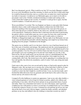But I was threatened, gravely. What would be my fate? If I was lucky Margaret wouldn't be in an overly bloodthirsty mood this morning, in which case the best I could really hope for would be dismissal from the court as a security risk, no matter how much I protested my fealty to Lancaster. I would never see Melisande again, never mind ever be able to pay proper court to her. I briefly considered returning to London and waiting on the court's return that I might see her secretly, if somehow I could get her to agree, but that would be madness. I would risk arrest as a spy.

Worse possibilities? I scowled. This was England, not Spain or some petty little German dukedom where a ruler could strong up his subjects without trial, but if Her Grace suspected anything of the true opinions I had formed of the court and of her person, in these times due process would be whatever she said it was, and that was unlikely to be overly punctilious. I harbored to illusions that I could long resist the kind of questioning the queen's officers would inflict upon me; never a man was born who could resist the rack or the thumbscrews for any length of time, and I would confess to whatever Wiltshire or Hungerford might care to fabricate. The last sight of me Melisande ever saw as she rode out beneath the portcullis with the departing court might be my broken body dangling from the parapet. I shuddered at the thought.

The queen was no idealist, and if ever she knew what love was it had been burned out of her in the years of treachery and intrigue. She understood only the cynical pragmatism of politics, the grasping considerations of personal gain. Unless I could defend myself to her on those grounds, I was lost. If I were to tell her I had come here because I loved a young girl enough to give up everything just to be near her I just might save my life, if she believed me, but she would surely cast me from the court as a chuckleheaded fool. She was canny enough so that she didn't want fools around her; fools might lose her the coming battle with York. She locked men to her side by appealing to everything that was base and ignoble, but effectively nonetheless, until of course York came along and made a better offer.

I had come to this court of my own accord and by doing so I had tacitly agreed to play by Margaret's rules. My one hope was to convince the vicious bitch that I could be of some assistance to her in destroying her enemies. I had nothing to offer now. Very well, I would try to show her that I might be a useful tool later. I rose, my decision made, and I brushed the fallen blossoms from my garments and strode back to the castle to bury my honour and my self esteem in the mud.

I stopped off at the bathhouse to neaten my appearance. I put on my only other doublet, a wine-coloured garment of velvet I kept for formal occasions, added a few ribbons and gold buckles to my attire, slid off my boots and put on my good pointed shoes of green and white. There was a burnished steel mirror over one of the basins, and I vigorously scrubbed my face with pumice to remove several days of youthful beard, for I was unable to afford the expensive luxury of a razor. I trimmed my red-gold hair up off my ears and shaved the back of my neck with my dagger, washed my hands carefully, and splashed perfume on my face and rubbed it into my clothing to somewhat sweeten my smell. I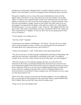polished my sword pommel, although I knew I would be required to hand it over to an equerry of the royal guard, as well as my poignard, before entering the queen's presence

The queen's chambers were in a wing of the castle which had been reserved for the highest nobles and officers of state, and at this time of day the corridors were notably empty, in contrast to the congested bustle in other areas around the keep. Several small tapestry-covered alcoves were set into the stone passageways, and just around the corner from the royal chambers I caught a motion in one of these out of the corner of my eye and stopped. I recognized the soft slippers with curled toes which were visible beneath the billowing arras. "I see you, Jeanetta," I said. "Come out." She stepped forth. She wore green today, with a blue coif and ribbon in her hair, all trimmed with fox fur. "Egad, now who's a greensleeves?" I laughed. "It suits you. Now why are you spying up here where you've no business?"

"I wasn't spying. I was waiting for you."

"And why is that?" I inquired.

"I heard about your audience with Margaret," she told me. "If it goes ill for you might need a certain document in a hurry. I want to set a meeting place for this afternoon." I was taken aback, but it made good sense, and I told her so.

"I salute your percipience," I said. "Is that tanner's room open during the day?

"Yes, but we can't use it. It's full of people scraping hides and doing revolting things with earth from the castle jakes. It had better be somewhere in the castle. You might be watched. In fact, not to be a sibyl of doom, but what if they throw you in the dungeon?"

"Then I'm as dead as if I were already swinging. See here, if you hear that I am downstairs in the lockup, you burn that bloody letter and forget I ever existed. For all your transgressions against God and man I don't want you to get hurt because you tried to do me a good turn. Don't try to see me or do something foolish because you think you're in love with me or anything of the kind. This is serious. If Margaret thinks you're involved with me in some kind of Yorkist conspiracy she won't hesitate to toss two ropes over the beam instead of one."

"Don't worry, dear, I mean to ensure that our first dance together is on our wedding day. Have you seen that old wall-up postern in the south wall? There's a guard chamber there full of rubbish. Meet me there half a glass after the midday meal."

"I hope you see me at the midday meal!"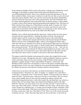In the outermost chamber which served as the queen's waiting room, I handed my sword and dagger to the knight on guard without being asked and plumped down on an overstuffed upholstered bench. These were normally the personal apartments of the fat little castellan of Raby, whose name I could never recall, but now they served as the royal study and council chamber. There was a private room beyond, the queen's bedchamber, closed to all but her tirewomen, and, in the nocturnal hours, the Earl of Wiltshire and a few other selected gentlemen who assisted Her Grace in delicate matters of state similar in nature to those which rumour declared had produced the kingdom's heir. The Prince of Wales had been born during one of King Henry's periodic spells of insanity, the Valois madness which darkened the sovereign's mind on occasion, and when he came to his senses and was presented with the infant Henry was said piously to have thrown up his hands and declared that the boy must be the child of the Holy Spirit.

Muffled voices could be heard through the oaken door. I glanced idly out of the narrow casement into the courtyard below, watching the bustle of activity, the people and animals going to and fro, trying not to fidget under the gaze of the expressionless equerry. After a while the door opened and from the room beyond emerged Sir Robert Morriss and one of the Cumberland knights, a thick-set bowlegged old sinner with a white face and one eye smashed in by a blow in some long-past fight, and over which the hoary reiver scorned even to wear a patch. A North Country speech whistled through his three missing front teeth. "Wi' the Fenby men and aal my lances we can..." They saw me as I rose and the old man cut himself off. Morriss acknowledged my presence with a curt bow and they left. I was interested to notice that neither Morris nor the older man had been deprived of their swords, no doubt a concession to their fierce Border pride.

The equerry entered the chamber and announced my name, then stepped back out and nodded for me to enter. Through the open door I could see Margaret sitting at a massive, ornate cedar table which served as her escritoire, while Wiltshire and her personal attendant, a gigantic knight of Anjou named Hubert D'Agenais, stood by her side. Wiltshire stood in order more conveniently to read over the queen's shoulder rather than through protocol, for he was wont to flaunt his close personal relationship with Her Grace by sitting in her presence and otherwise flouting courtoisie and precedence.

I knelt down on one knee in the doorway, my head lowered and my feathered cap sweeping the floor. I heard her say, "Rise, sir knight," in a clipped voice, and I did so. "Come here." I entered the room. "Close the door, Hubert. You may look at me while we speak, Sir John." I raised my gaze. I had never seen her so close before. She was twentyseven, almost middle-aged, yet slim and icily beautiful in salmon-coloured silk embroidered along hem and sleeve with cloth of gold. Her ash-blond hair was coifed in a business-like roll, her slender fingers ink-stained from holding the quill on the table before her. Her face was clean carven ivory, her eyes blue and cold. "I always look in a man's eyes when I talk to him, so I'll know whether or not he's lying. I always know, with a man. Women are a different story. A woman can fool another woman, sometimes. With women I look at their hands. With men I watch their eyes. No man has ever deceived me, Sir John, except once. Only once. The Duke of York. That's one of the reasons I'm going to kill him one day." I knew then that today had to be the second time, or she'd kill me.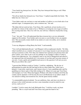"Your family has betrayed me, Sir John. They have betrayed their king as well. What have you to say?"

"Not all my family has betrayed you, Your Grace," I replied respectfully but firmly. "My father has not. I have not."

"Your father sends one son here to court and another to Ludlow to cover both side of our national wager. A transparent ploy, and a common one," she said.

"My father did not send me here, Your Grace. He is apolitical, at least insofar as it is possible for a baron of the realm to be so. William is covering his own wager at Ludlow. I'm covering mine here. One of us will win, one will lose. I think he's backed the wrong horse."

"I see," she said. "You will understand that these treasons have cost me substantial support in Devonshire. Your brother and even more so your brother in law are popular men. This necessarily creates doubt in my mind as to your own utility, not to mention your reliability."

"I owe my allegiance to King Henry the Sixth," I said neutrally.

"Very well and diplomatically put," said Margaret with an unpleasant chuckle. "Sir John, when I enrolled you as a retainer of Lancaster it was in large measure to prevent precisely such an occurrence as this. Now that your relations have ignored your presence here and gone Yorkist, your value to me is nil save perhaps as an example to others of what to expect from opposing me. You voluntarily came to my lord of Hungerford and asked to me engrossed onto my household roll. I was unsure of you then and I am more unsure of you now. I want a quick and straightforward answer to the question I will ask you now. Why do you follow this court?"

"I guessed that William would go Yorkist," I told her, unblinking. "By the law of primogeniture he gains the title and land in Devon when Father dies, while I get a pittance. I want more, much more, and I mean to have it. I am a gambling man, and I'm gambling now that in spite of that little mishap at St. Albans two years ago Your Grace will triumph over York. When that happens William will either be killed or he'll flee the country and be attainted. I will become the next Lord Redmond on my father's death." I was unused to telling such monstrous lies, but the queen merely nodded.

"A commendably practical attitude. You are ambitious, then, and since you desire to advance in the world I presume you have some immediate reward in mind for your service, such as it is?"

I nodded. "I wish to marry the Lady Melisande Grey," I told her evenly, my heart pounding. "She is a royal ward and Your Grace may grant her hand to me."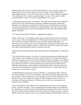Margaret stared out the narrow casement abstractedly for a few moments, toying with a paperweight. It was an ivory statuette, carved in the shape of one of Mandeville's mythological bestiary, a beast with flat feet and a nose like a serpent called an oliphaunt. "I can understand why you desire a good marriage," she said. "Your family is rather newly ennobled, is it not? As I recall, your grandfather was a lawyer."

"A rather shady lawyer at that," I confirmed. "He had the good fortune to save Henry the Fourth's life on one of that illustrious monarch's campaigns against the Welsh rebel Glendower, for which he was knighted. His eldest son, my uncle Richard, received the accolade on the battlefield at Agincourt, as did John Brinton and others. My own father served as Richard's squire and was in turn knighted at Patay, where the English fought against La Pucelle..."

"You mean the Holy Maid of Orleans!" snapped Queen Margaret.

"Quite, Your Grace," I immediately reassured her, cursing myself for the slip. "I forgot, we are at peace with your motherland now. Old habits die hard. Forgive me. At any rate, some twenty years ago just before I was born, my father loaned old Humphrey of Gloucester a sum of money, and in lieu of repayment he accepted a baronetcy. But we're just jumped-up country knights, with but a single manor in the entire family. Having that Grey name in the household would be an enormous step up."

"Uniting you and Lady Melisande would amount almost to disparagement," remarked the queen.

"That matters little nowadays, Your Grace, so long as the gap between husband and wife is not too great. Let us be frank: chivalry is dead, if indeed it ever existed at all outside the pages of romance and the songs of the troubadours. Besides, although we are indeed a more, ah, modern lineage, we are a prominent and well respected family, as you yourself have admitted. Nor have we lacked for honours. My soldier uncle was Duke John of Bedford's standard-bearer, and my father was high sheriff of Devonshire for about three years before Cardinal Beaufort conspired to have him removed." Another slip! I bit my tongue, but it was too late to correct it.

"Cardinal Beaufort arranged my marriage with Henry," said the Queen dryly. "Most of his former adherents are now in my entourage, while those still living who opposed him are at Ludlow. And your father was in well enough with that old swine Gloucester to buy himself a barony. Your family has a history of enmity with my faction. In short, your credentials are rather poor right now. What have you to offer me in exchange for an important royal wardship?"

"I know that William and the Brintons have undermined a good deal of your support in Devon," I told her smoothly. "They are indeed popular. But the damage isn't irreparable. I'm a Redmond, too, and I am fairly well hooked into the grapevine down there. I can tell you who's irretrievably lost to Richard of York and who's wavering. I can give several of Father's enemies the needed excuse to step in against William and the Brintons, and I can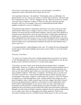tell you how to seize upon every local issue to your advantage. I can build an organization which will hold the West Country fast for you."

"I do need help in that area," she admitted. "Unfortunately, there are difficulties. Sir Robert Morriss, for one, since he also wishes to wed the lady in question." My heart sank, but I maintained my poise. "Tell me," Margaret went on, "Why do you desire to wed her, a poor girl with no substance to speak of? There are other girls with more material rewards to offer you. For example, I am given to understand that Gerald Talbot's daughter would not be averse to wedding you."

"I'll grant that Lady Jeanetta is handsomely endowed in every sense of the word, and I realize that the Talbot name is naught to sneeze at. But as I said, I'm a gambling man. Jeanetta is far down the line for both family earldoms, with two uncles and a plethora of assorted cousins ahead of her, and in any case the honours of Shrewsbury and Kent put together do not command as much as the Ruthin appanage. Lady Melisande is the sole niece of Reginald Grey and if memory serves, the only marriageable female in the house. Lord Grey has two sons, one of whom is sickly and not expected to survive childhood. If both die without issue, Lady Melisande's husband will enjoy the whole Ruthin estate. I want a crack at it."

"I can understand that," replied Margaret with a nod. "It is neither the most distinguished nor the largest of the realm's holdings, but in terms of real wealth it is one of the richest in England."

"Precisely, Your Grace."

"As such it is of concern to the crown, and the potential line of succession is of concern as well. But Reginald Grey's eldest son is hale and hearty and betrothed as well. He may produce an heir, and then all you'd have is a useless pretty pauper."

"Your Grace, of course, knows more about the national situation than I," I returned deferentially. "However, it is plain to any thinking man that the present disturbed state of affairs cannot endure. Something must give. Am I correct in assuming that before two years are out, there shall be open warfare once more between Lancaster and York?" The queen nodded wordlessly. "Well, then," I continued, "Sir Thomas Grey is not due to be wed until a year from now, when his bride shall turn thirteen and the marriage can be consummated. That young, it might be a while before she conceives. I know Sir Thomas by reputation as a wild and impetuous youth, violently inclined and courageous to the point of stupidity. Likes to fight cornered stags with only a dagger, that kind of thing. If he doesn't get himself gored or spiked in a tavern brawl or some similar idiotic end, I believe that he will fall gallantly in your service when war comes. My brother once described to me Thomas Grey's conduct during the assault at Castillon, and clearly nothing but divine providence preserved him from death. Such good fortune cannot last." Margaret sat silent, deep in thought. I urgently wondered what was going on behind those eyes of coldest azure, but I was beginning to feel faintly optimistic. I had at least succeeded in putting myself on a credible footing with the queen, for she was obviously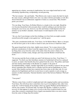appraising my scheme, assessing its implications, her razor-edged mind hard at work calculating, hypothesizing, extrapolating, second-guessing.

"The fact remains," she said finally, "That Morriss also wants to marry the lady for much the same reasons, although I believe he's also very taken with her personally as well. He's shown himself to be an enthusiastic supporter of mine at a crucial time. Why should I prefer you to him?"

"For one thing, Your Grace, Sir Robert Morriss is a leader in his own right. Should he ever become dissatisfied with your party there would be nothing to prevent him from turning his coat. In my case, however, my title and fortune would depend in the first instance on my brother's attainder, which means it would depend on the victory of Lancaster."

"Ah, yes, but if your designs on the Grey holdings ever bore fruit you might consider yourself powerful enough to turn against me," said the queen

"The same consideration holds true, Your Grace, for Sir Robert Morris. More so, because he will not have gone so far or done so much to earn your favour as I shall have done."

The queen leaned back in her chair, slightly more relaxed. "So it comes down to the political consideration of where I need the support most, Devon or Cumberland? Both far-flung shires away from the centre of the realm where the action is likely to be. Cumberland is a border county, though, and I may need the Border to hold back the Scots."

"Or you may need the Scots to help you catch York between two fires, Your Grace," I suggested. "In which case their hereditary enemies in Cumberland will not be so pleased to assist, no matter what benefits they have gained from the crown. The politics and feuds and inter-family relationships of the Border are complex to the point of incomprehensibility, madam, virtually impossible for an outsider to unravel, but you must always remember that a Border lord is a Border lord first and an Englishman or a Scot second. Most families up there have married into Scots clans on the other side. It is not unknown for Englishmen and Scots to join forces to raid or punish or seek revenge on enemies of either nationality. National identities tend to blur between Hadrian's Wall and Galloway."

#### "Your point?"

"Morriss comes from a world of complicated and wide-ranging loyalties and associations, Your Grace. He will always have somewhere else to go if you displease him, other irons in the fire. I will be burning all my bridges when I go against William and the Brintons. I will be your creature. If Lancaster falls, my hopes fall. Besides, I submit to you that a recovery of what appears to many to be a reverse in the West would do better for your cause than a tenuous commitment from a largely uncommitted shire even more remote from the center of things than Devonshire."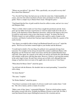"Whom can you deliver?" she asked. "Who, specifically, can you pull in on my side? How about Peter Marmion?"

"Yes, I'm told Your Grace has had your eye on him for some time. Understandably, of course, since he's the richest merchant in Exeter and is prominent in all the important guilds. There's a simple way to Master Peter's heart. Through his purse."

"I had hoped that the flow of gold would be from his coffers to mine, and not vice versa," said Margaret flatly.

"There is a bribe which would cost Your Grace naught but parchment and ink. Some years ago my father received a royal license to vend our manor-made ale in the city of Exeter, to the detriment of Peter Marmion's breweries, which are the largest in the town. It would be worth much to him to have that license revoked." In silence the Earl of Wiltshire leaned over and scribbled a notation with a quill in a quire of paper on the escritoire, and bitterly I realized that I had just impoverished my father by a quarter of his yearly income.

"Any chance you might be able to bring Lord Redmond himself over to us?" asked the queen. "He'd be an even better counterweight to your brother and the Brintons."

"I would tend to doubt it. For one thing, his political views genuinely diverge from Lancaster. For example, he has always favoured this country's traditional alliance with Burgundy over the French ties which Your Grace and the late Cardinal Beaufort have cultivated. Then again, the counsels of his eldest son and his old friends like John Brinton will certainly weigh more with him than mine. However, I believe I can keep him neutral, in the early stages at least. He and I have always got on fairly well, although that may change as I perforce kick over more of his apple carts in the service of Your Grace."

"What about Sir Henry Cabot?" asked the queen.

"An old feud with the Brintons. He shouldn't take too much persuading," I assured her with a shrug.

"Sir James Byerly?"

"The same," I replied

"Sir Walter Haddon?" asked the queen.

"Your Grace's assistance in the matter of a divorce would work wonders there," I told her. "His wife is barren, and he is frantic for an heir."

"Make a note of that, James," commanded Margaret. "Find out which prelates require their palms crossed with silver. Probably the Bishop of Exeter to start with. Sir John, I want that blasted Exeter mayor Shillingford removed. He is insolent and too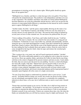presumptuous in insisting on the city's charter rights. Which guilds should my agents there stir up against him?"

"Shillingford was a butcher, and there is a bad cleavage in his own guild, if Your Grace will pardon the unintentional pun. The poulterers want independence and their own seat on the corporation. The chandlers and bakers and smiths are firmly behind Shillingford, but Peter Marmion can swing the goldsmiths and the brewers, and if you can procure the election of a man named Jennis Henson as councilman for the masons he can be counted upon to oppose Shillingford in all things."

"Another matter, Sir John," said the queen, imperceptibly allowing me the status of an advisor now. "Lord Thomas Courtenay, the brother of Devon's earl, has asked me to rescind a decree of exile against his son Cedric. The man has been rotting in Ireland for several years on foot of some criminal case. No one knows his political bent. Do you?"

"I know nothing of his politics, Your Grace, and I rather doubt he has any," I told her earnestly. "The man is a lunatic. He was exiled for the nasty murder of a young girl out on Dartmoor. Violated her in every conceivable way, naturally and unnaturally, and then strung her up to a tree limb and flogged her to death. I hear that in Ireland he has gathered about him a band of outlaws, Irish and the scum of the English garrisons, and he spends his time raiding the Gael to plunder them and capture women, whom he carries back to some stronghold in the bogs he's built, where he rapes and tortures the wretched girls until they die or go mad."

"This is going to be a very nasty war, and we'll need experienced outriders," decided Margaret. "He will be sufficiently grateful to us for ending his exile to place his sword at our service. Draw up a pardon, James, and inform Sir Cedric by letter that he may bring with him on his return to England all his present retainers and men-at-arms. I must admit, Sir John, that you seem to provide proof of your pudding. You have a mind refreshingly free from idle scruple. I like that." Indeed I have proven myself worthy to serve her, I thought. I had robbed my father, condemned poor Lucy Haddon to a bitter end in a convent or some relations' begrudged corner, stirred up strife in Exeter which would probably end in bloodshed, and loosed a homicidal madman and his hand-picked band of marauders upon England, all in the course of a single conversation.

"I'm sure Your Grace begins to understand my potential value to your service," I said suavely. "Sir Robert Morriss brings you swords, but swords can always be had. I bring you my refreshingly unscrupulous mind, as you put it, a commodity not completely unknown in these times, to be sure, but of sufficient rarity to merit a royal ward, I should think."

"Ensure that your head remains at my service, Sir John, else it shall not long remain on your shoulders," she said flatly. "If you begin to win men over to Lancaster for me, you may begin to entertain the delusion that you can convert them to York at your pleasure. Disabuse yourself of any such notion. Traitors are common these days, true, but when the blades are unsheathed then you will find my memory long for slights and betrayals. You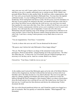state your case very well. I must confess I never took you for so cold blooded a realist, and that as you say is a quality sufficiently rare to warrant reward. Well, I think I can persuade Robert Morriss to take another bride. He shall have other compensations, after all. Very well, you are hereby betrothed to Melisande Grey. You may have the nuptials celebrated in June. As your wedding gift I'll present you with a house of mine in Southwark. I'll be touring Kent and Sussex in July, but I'll excuse you from attendance on that trip. If you're going to be married to the lady, you should at least have some time to get to know her before you are called into the royal service; you won't have too much time together for some years after that, I fear. Once we defeat York I'll give you a post in the West Country commensurate with the service you've rendered, if you live up to your promise. You will rejoin the court in September; I want to be off to Devon by Michaelmas and start repairing some of the damage your relations have inflicted on our cause out there. I have to have the Western counties shored up before the crunch comes with York. I can't have a strong Yorkist presence on my flank when we move on Ludlow."

"You are magnanimous, Your Grace," I assured her.

"I can be, to those who serve me well. You are dismissed for the nonce."

"My queen, may I inform the Lady Melisande of these happy tidings?"

"Not yet. The Dowager of Kent is in charge of the unmarried women and it's her prerogative. Protocol and all that." I began backing out of the royal presence. "Sir John," she called after me. "A final word. Try to be kind to the girl. Political marriages are a necessary evil, but they can be...hard on a woman. Believe me, I know."

I bowed low. "Your Grace, I shall do even as you say."

V.

At the midday meal I noticed that Melisande again sat by the side of Sir Robert Morriss, which at first chagrined me, but then I reflected that she had not yet been told of our betrothal, and so the delay became in a way almost pleasant. The seat on my right was taken by a plump, giggling Lincolnshire girl whose name I could never recall, but halfway through the meal I managed to catch Jeanetta Talbot's eye about a dozen places down the board and give her a nod that all was well. She looked away, but I knew she had seen me. I would meet her that afternoon and destroy the embarrassing Yorkist document she held.

She was at the disused guardroom before me, and I found her seated cross-legged on a pile of woolsacks. She rose quickly as I entered the chamber. "What happened?" she demanded.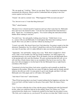"We can speak up," I told her. "There's no one about. They've organized an impromptu tournament this afternoon. Morriss and his Cumberland lads are going to run a few courses against our best lances."

"I heard," she said in a normal voice. "What happened? Will you need your pass?"

"Yes, but not to use it. I want that thing destroyed."

"Why?" asked Jeanetta.

"Because I won. I cleared myself of suspicion and I got what I came here for. Melisande Grey and I are to be married in June." I saw her face and realized that I had dealt her a blow. "Egad, Jen," I exclaimed in surprise, "You weren't telling the truth about all that blather about wanting to wed me?"

"In sooth I was," she said quietly, looking away from me. "I didn't know it was so...serious with you and Melisande. It would appear that I have been making a fool of myself. How were you able to court her without my hearing of it?"

"I wasn't, not really. She doesn't know how I feel about her. I'm going to speak to her this afternoon. Damnation, Jen, I'm a block! I should have told you I loved another from the very start. It's just that, well, it's rather difficult to take you seriously sometimes."

"Apparently," she said briskly, wiping away a tear. "Well, there's nought for it. Don't worry, John, I won't trouble you with any female foolishness, nor shall I impose my unwanted presence on you any longer. We're all chattels, from me and Melisande down to the peasant girls who carry the trenchers. We grow up knowing that full well, yet we still wail like a Greek chorus when we are reminded of the fact in our own lives. But pray, how did you happen to win the hand of the fair Melisande from so tight-fisted a custodian as Her Grace?"

"I promised to be her boot-licker, hod carrier, errand boy and eventually no doubt her hangman in Devonshire. When the war comes I'll fight my family and my friends and kill whoever she tells me to kill. At some point it's got to end, though, and then I will take Melisande out of this pigsty and we will make a life together."

"And what if York wins?" asked Jeanetta.

"Then I'll die knowing that in my heart I wanted nothing but her happiness and mine, but it was not God's will that I attain it at the price I have paid. That's the chance I have taken."

"I see. You have rolled the dice of fate with the queen of England and with God himself for her, when you could have had me for the asking? *Damn you! Damn you!"* Tears coursed down her cheeks now. I tentatively reached for her hand, but she jerked it away. "Oh, God, you've made me cry, you *bastard!* No one has ever done that! I didn't even cry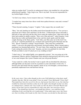when my mother died!" I stood by in embarrassed silence; she trembled for a bit and then pulled herself together. "John, forgive me. This is my fault. You are not responsible for my foolish flights of fancy."

"As God is my witness, I never meant to hurt you," I told her gently.

"I wonder how many times have those words been spoken between a man and a woman?" she whispered.

"Times beyond counting, I suspect," I sighed. "I also suspect they are usually true."

"Here," she said, handing me the leather pouch from beneath her sleeve. "You can tear a strip from one of these sacks and burn it on the floor." I followed her advice and made a little pile of rags and twigs and dry dirty leaves upon the earthen floor. I then took out the letter and scanned its deadly contents. "Have you a flint and steel?" asked Jeanetta. I took them from my wallet and handed them to her, and she struck sparks until the tinder caught, blowing on the flame gently. "Ach! John, your flint came out of the lock! Can you fix it?" I laid the parchment on a woolsack and worried the pyrite flint back into the lock. *"Merde!* Someone's coming!" hissed Jeanetta. "They must have smelled the smoke!" I moved to the plank door and listened, but heard nothing. When I turned again a parchment was burning high and hot. "No one's there. Best stamp that out quick, though," I said, suiting the action to the word. "Jeanetta, you have my gratitude for your help. Would you think it cruel if I asked you to my wedding in June?"

"I shan't miss it," she replied lightly, now apparently restored. "Are you going out to the tournament? Morriss and his Cumberland clods should be hard pressed at the tilt by some of our court hotspurs like Aymer Chandos and your old gossip Kenelm."

"I may watch for a while, but mostly I want to speak with my betrothed this afternoon, although belike our discourse won't be as pointed as yours and mind is wont to be." I bowed to her and strode from the chamber, intent on my own thoughts, convinced that a potentially unpleasant loose end had been tied up.

In the years since, I have often thought on the scene I left behind me in that dusty small *chamber that day. Did she weep aloud? Curse my name? Curse Melisande? Curse God? That might have been the way of it to the eye, had anyone been there to see, but what has troubled my mind and sometimes woken me in the night is the thought of what was done to a human heart, a human soul. Can I really say that she did it to herself? Reason and justice tell me that I am not responsible for what came after, but conscience always niggles. "You should have foreseen...you should have known...you could have done something if only you'd had the wit to understand." It has taken many years, but I know now that everything which made my life what it became was decided on that afternoon,*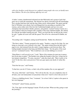*with a few heedless words between two confused young people who were yet hardly more than children. The die of my lifelong suffering was cast.*

A ladies' country chambermaid informed me that Melisande and a group of girls had gone out to watch the tournament. The tiltyard was about a bowshot from the drawbridge. New sawdust had been laid, and the lane chutes newly whitewashed. The queen and the Earl of Wiltshire were absent, but Lord Hungerford was presiding as marshal of the tourney, and at either end of the lists the Cumberland knights and our own court champions had raised their shields, pennons, and guidons. I joined Tommy Caxton on a grassy hillock where he lounged with a number of the more indolent knights. He saluted me with the inevitable foaming ale jack. "Well, you look like the cat that got the cream," he said. "I gather all went well with the queen? Not off to be a doorward in Dublin, are we?"

"Exceeding well," I laughed, seating myself beside him. "Rather dry afternoon."

"The hint is taken." Tommy gestured to his squire. "Samkin, a mug for Sir John. No, just bring us a keg and a save yourself a few trips." The squire trotted down the hill with a page in tow, and returned from the sutler's wagon lugging a cask between them. The loafing knights knocked in the bung and filled their mugs. "Ah, the perks of the royal service!" exclaimed Caxton. "This would have cost several shillings in a tavern."

"King Henry is well served in you," I said. "Most of his retainers he must pay in pence, but you he pays in pints!" The heralds were riding the bounds of the lists, crying out for last minute competitors. "To arms, messires!" came the ritual calls. "Here is glory to be won! To the lists, show your prowess! Fair eyes gaze upon your deeds of valour this day!"

"Fuck the fair eyes," said Tommy.

"Is that how you do it? Certes, so that's why all the maidens flee at your approach!"

"Fly away, little bird," said Tommy. "Now tell me the tale. Are you completely clear of all taint, your soul immaculate in Lancastrian virtue now? And if so how did you do it?"

"Clear as a babbling brook, Tom," I returned. "As to how I did it, I spoke to the queen in her own language."

"In French?" asked Tommy, puzzled.

"No, Tom, that's not the language I meant. I'll tell you later. When are they going to start the jousting?"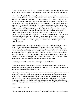"They're waiting on Morriss. He was summoned before the queen just after midday meat today, and he just rode down from the castle ere you arrived. He's probably still arming."

I downed my ale quickly. "Something I must attend to," I said, climbing to my feet. I pushed off into the crowd looking for Melisande. I wanted at least to be present when she was told of our betrothal. The throng was thick, and I had difficulty in making my way through the milling spectators, pie vendors, beer carts, and armoured knights. Finally I shouldered my way to the chest-high palisade demarking the tiltyard, searching the faces across the lists, looking for Melisande. The trumpets sounded for the first course, and it spite of myself I stopped to watch it run. Jousting is increasingly irrelevant on the modern battlefield, but it is still a breathtaking spectacle. The thundering hooves of horses in heavy brocade jupons and men clad in iron and steel shook the earth, churning the sawdust freshly laid over the spring mud, and at the crash of the impact and the splintering of the wooden lances a roar arose from the spectators and the trumpets blared simultaneously, making a sound unlike any other on earth. I knew these men to be nothing more than carrion crows in human form, but at such moments the old ideal of chivalry seemed to live and breathe again, and rise above the hatred and greed which surrounded us all.

Then I saw Melisande, standing a bit apart from the crowd, in the company of a dumpy female whom I recognized as the Dowager Countess of Kent and a knight fully accoutered in gleaming plate armour, tawny of mane, immediately recognizable as Sir Robert Morriss. It took me a few moments to stride up to them, the Dowager Countess moving away even as I approached. Morriss spied me, frowned, and bowed truculently. Melisande was startled to see me, and she dipped low in a formal curtsey. "Hello, John," she said, eyes modestly downcast. "I am informed that you are to have my hand in two months' time. I was unaware of so personal an interest on your part."

"It seems you've had the better of me, sir knight!" barked Morriss

"I trust you conveyed these tidings to my Lady Grey with proper speech and courteous demeanour," I replied coolly. Meddling ass! I cursed silently. My hand was on my sword hilt. If you would quarrel then I am for you.

"Certainly, messire, although we Cumberland men are ever forthright of speech and scorn going about our elbow to get to our thumb. I accompanied her ladyship of Kent that I might return to Lady Melisande her kerchief, which I meant to wear in today's tourney and which she was gracious enough to bestow upon me a few hours gone. Under the circumstances I must now decline her favour as inappropriate." He lowered his helmet over his head, snapped his visor shut, and stalked off to the lines where his squire held his mount.

## "A surly fellow," I remarked

"He but speaks in the manner of his country," replied Melisande, her eyes still downcast.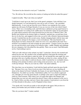"You know he also desired to wed you?" I asked her.

"Yes. He told me. He even did me the courtesy of asking me before he asked the queen."

I sighed inwardly. "May I ask what you replied?"

"I told him it wasn't up to me, that I was in the queen's mainpast. I also told him I was deeply honoured. As I am honoured by your suit as well, of course," she concluded diplomatically. A roar went up from the crowd. Morriss was running his first course, against my old enemy Sir Roger Kenelm. It was an even toss of the coin which I hated worse. There was a resounding crash, and both lances splintered, giving equal honour to both, but Kenelm was reeling in his saddle and as he turned his squire ran up and jerked at a girth which seemed to have been knocked loose by the force of Morriss' blow. The Border lord whirled on his destrier light as a butterfly, snatched up a second lance from the row by the lists, and snapped it down into *encouché* with a flourish. Interested despite myself, I watched him run the second course, flashily changing hands with his lance and standing in his stirrups for the impact, a real crowd-pleaser. This time Kenelm went flying head over heels, bounced off a chute two rows over, and rolled in the mud. For a moment I was tempted to run and scrounge up some armour---Tommy Caxton was about my size and obviously wasn't going to be using his today---saddle Thunder and challenge the new champion, but I discarded the idea quickly. There was no need. I had Melisande, not he. I had nothing to prove.

"Will you walk with me in the orchard, my lady?" I asked her. Gravely she assented and offered me her arm. We strolled to the secluded dell here I had spent the morning and conceived my successful plan to make her mine. We sat beneath the same apple tree, now glowing in the rays of golden afternoon. Melisande sat silent for a time, staring off into the distance at some object I could not discern, while I watched her in worshipful silence, drinking in her pristine loveliness and reveling in her possession. Aye, she was well worth any betrayal. "Why do you want me, John?" she asked suddenly.

This time there was no hesitation. I took both her hands and knelt upon the grass beside her. "Because I love you. I have loved you since I first laid eyes on you, kneeling all alone in the chancel at Exeter Cathedral, the beauty of your spirit blazing like a torch that blinded me. You didn't see me then. I hid behind a pillar, for I was afraid to approach you. I thought you were the queen herself, or perhaps some saint or angel descended to earth for a brief moment. Then when I saw you again that night at the banquet and learned that you were not only mortal but unwed, I knew what my purpose in life was to be. I had to follow you then, and now I know that somehow I must preserve you from the evil that abounds in this place, in all of England in these times."

"You speak well. I am told you spoke as fair and glib to the queen. Did you have to betray your brother and your friends in order to gain my hand?"

"How do you know that?" I asked, startled.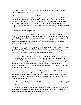"Sir Robert told me. Oh, I know everything is ruled by politics. I've seen that long ago. But was there no other way, John?

"No, my love, there was no other way," I told her simply. "A ruler like Margaret needs one thing above all else, the total complicity of men completely without scruple. I cannot acquire lands, I cannot draw down gold from the air or make a thousand soldiers rise from the earth full-armed. The only thing I had to offer her was myself, and you're right, I did speak fair and glib to her. I had to phrase that offer in the terms she would accept. If I'd told her I want you because I worship the ground you walk on she would have laughed her head off and then had me scourged from the court as a madman."

"But it's wrong, John!" she protested

"Yes, my love. It is. I must do wrong for the queen so that I may do right for you. Otherwise I can do nothing for you at all, and you will be given to some brutal baronial bully like Robert Morriss who will enjoy your beauty and your body for a brief time and then use you for breeding stock, while he neglects you if you're lucky or beats you bloody if you're not. Can you not see how much I love you from the fact that I am willing to incur such sin for your sake?"

*Damnation, this isn't the kind of thing I should be saying to her!* I cursed inwardly. "What have I done, really?" I demanded of her. "I am a knight and a knight's business is war, the defense of his lord and his sovereign's interest. I have simply committed myself to serve England's lawful king and queen in fact as I already do in name!"

"You know that's not true, John," she said quietly, not looking at me. "You know quite well what's coming isn't going to be that kind of war. You know that sooner or later, if you become the kind of man you have promised Her Grace you shall become, then you're going to have to put the fire to someone's roof and lay the whip on someone's back. Then the day will come when she orders you to murder someone. When you do it, how do you think I will feel knowing that I am involved, however indirectly? If you love me as much as you say, how will you feel?"

"And if I were to go to Ludlow and join William and the Brintons?" I asked. "Do you seriously think when the crunch comes Duke Richard won't be just as quick to burn and hang and cut down his enemies? With Richard I'd have my brother and my old friends, true. With Margaret I have you, and I love you more than life itself. I think Bill and the Brintons would understand."

"Then I'm sorry you did it, John," she said. "There's enough evil in the world. I had hoped to stay clear of it."

"I have often wondered why you haven't entered holy orders," I asked her. "I would have thought your relatives would have encouraged it in order to make sure no bog-knight like me married you and produced a rival collateral line of Greys."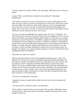"I am not worthy to be a bride of Christ," she said simply. "Why did you never become a priest?"

I started. "Who on earth told you I studied for the priesthood?" I demanded, dumbfounded.

"You are but a second son, yet you can read and you can write a clerk's hand, as I saw when you were so kind as to send to me that poem you wrote for me. When I have stood near you at Mass I have heard you make all the responses in correct and grammatical Latin. You shave your face every day, a clerkly habit noticeable among knights who usually shave every week or ten days. You also use a fork instead of your fingers at meat. I deduced a clerical education cut short. Am I wrong?"

"You are very observant, although I use a pumice stone, not a razor," I chuckled. "Yes. The Cistercine house in Exeter. It was the usual second son arrangement. We've only one manor and it barely could support William and his family. It was the only way my father could ensure a decent living for me. Then Bill was captured a Castillon, only for months we didn't know for sure whether he was dead or a prisoner or whether we could afford a ransom if he was alive. My father had to bring me home in case I turned out to be heir by default, so to speak. When the situation with William was resolved and he was on his way home, I went to my father and pleaded a release from my ecclesiastical career. He thought I was making a very serious mistake and told me so, but he's not the kind to force something like that on his children."

"Why didn't you want to be a priest?"

"Because the sheer rottenness of the church appalled and disgusted me," I said. "The oblate's house in Exeter was a kind of combination grog shop, brothel and bedlam. Oh, don't take me wrongly, the brothers did teach every skill necessary to run a parish, work in a chancery court or a magnate's household administration, even become a royal official. I can tot up a column of figures and write not only in that fine clerkly hand you noticed, my love, but also transcribe a court session in shorthand, write a legal pleading in Latin, draw up a deed of transfer in the correct form, keep balanced ledgers for any major household or abbey, and function as a notary. But the one thing they didn't teach there was the love of God, Melisande."

"You have to be taught that?" she asked.

"Apparently, because I couldn't find it within me in the face of all the corruption and cynicism."

"You must seek for it within you, John. You shall find it."

"I have sought it. And I found love of you instead." She was silent. "Melisande, I know you don't love me. That means that in our early days together I'm going to have to love enough for both of us."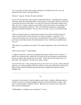"Love me while you hover like a harpy waiting for my family to die off so you can inherit the Grey estate?" she asked bitterly.

"Morriss!" I grated. "By God, I'll settle with him!"

"If you love me then don't seek a quarrel with Robert Morriss," said Melisande urgently. "My lord, please don't misunderstand. I am the queen's ward and her subject as well, and I accept her decision in this matter. You will never find in me other than a dutiful wife, John. As to love, I hope as much as you do that it will come in time, for a marriage can indeed be long and bleak without it." The wind ruffled her golden hair, dancing like sunbeams around her shoulders. "I'll try to love you, John. I swear to you that I'll really try."

"Then you must promise me, and promise yourself not to dwell on what I must do in order to earn this chance I have been given to make you happy," I urged her. "It's a wicked world, Sandy, and everyone has to do things they're not proud of sometimes. I know how cynical that sounds, but unfortunately it's true. And always remember that I love you."

"Why did you say nothing to me before?" she asked, beginning to relax a bit for the first time.

"Did you never guess?" I asked gently.

"I suppose I must have. I just never imagined that anyone could be in love with me." I leaned over and kissed her, and felt the soft touch of her face beneath my hand and her hair on my cheek. She returned the caress shyly. "That's the first time anyone has ever done that," she whispered. "Except for my aunts, I mean."

"It won't be the last," I said, suiting the action to the word. So we sat for a while under the apple tree, not saying anything, and after a while we arose and walked back to the crowd hand in hand, where the tiltyard rang with the blare of battle horns and the clash of knightly arms.

VI.

I returned to the bachelor's solar that night in merry fettle, whistling. Melisande had sat beside me at meat, we'd played draughts and got on cheerily during the evening. "My, aren't we jolly tonight?" chuckled Tommy. "But then you've reason to be, I hear. How fares your newly betrothed?"

"Oddsbodikins, is nothing secret around here?" I swore.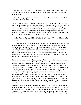"Very little. We are all players, perpetually on stage, and you seem to have found some good lines indeed today. At long last methinks I perceive the reason for your attendance upon Lancaster."

"Tell me then, why do you follow the red rose?" I responded with irritation. "You don't strike me as the high-minded type.

"Nor am I, saints be praised!" said Tommy fervently, crossing himself. "Sooth, my father is not at all convinced that Her Grace is going to win the upcoming scuffle with York, but just in case he's sent me here to put his loyalty to Lancaster on record, while he plays footsie with those gentry to the west of us. If Duke Richard triumphs and ascends the throne, my sire can cadge a pardon for me on grounds of my youthful ardour and impetuous chivalry which led me into a course against the best interests of the realm, all that rot. That and a gold piece or two should see me clear."

"But what about the fighting which will be involved?" I asked. "There would seem to be a risk to your precious hide."

"I am under strict orders from the old man when that time comes to drag my feet and take the least prominent role I can manage, a command I shall obey with alacrity. I'm no Roland or Lancelot, and I suspect Roland and Lancelot weren't either, if you get my drift. I intend to fight only when I can't avoid it without irreparable damage to my estate or to my reputation, or else when I see something substantial to gain by it. Otherwise it's useless effort and needless danger. Why waste one's time whacking away at some steelplated clown with as word when you can do something constructive with your life, like drinking yourself into a stupor every night?"

That night I lay awake on my pallet, listening to Tommy's stentorian snores beside me. Staring up into the blackness, I thought long on the future. Even should I succeed in breaking away after a very minimal period in the queen's service, the tense political situation remained along with the virtual certainty of civil war. How could I keep out of such a conflict? All my bridges in Devon would be burned, so I couldn't go back there. I would be dependent on the Queen's largesse to support Melisande and the new family I was already seeing in my mind's eye, and when her summons came I would have no choice but to respond. This wouldn't be a short, sharp tussle to try conclusions like what had happened at St. Albans two years before. The two sides were too evenly matched. It would be long and bloody and merciless; in London we had heard of how Flemish and Hanseatic merchants were already quietly slipping out of England, taking their gold and their goods with them, because they foresaw the coming storm. How could I win through and acquire the home and the income and the stability Melisande and I must have?

There was always the modern trump card, treachery. If I could manage to avoid inflicting too much injury and making too many enemies among the Yorkists, some day I might be in a position to turn my coat to a profit. Melisande would perforce come with me once we were sealed by the sacred bond of marriage and I was no longer dependent on the queen for the main prize. But in my heart of hearts, I knew I could not. Atrocious as she was,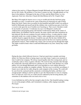whatever her motives, if Queen Margaret brought Melisande and me together then I owed her my life's fealty. My problem is I was born a century too late, I thought glumly as I lay there in the darkness. I belonged in the days of Crécy and the Black Prince, or even Agincourt. God, how often have I heard old John Brinton tell of St. Crispin's Day!

But Harry Fift taught his barons war as a way to wealth and chivalry had been going downhill ever since. I would not be a part of that decay by betraying my oath to King Henry the Sixth. I had to have an anchor for the beautiful and noble world I was going to build for Melisande and myself and all the children who would become part of our lives, a vessel to ride upon the sea of troubles now besetting us. That vessel, I decided, would be my loyalty to Lancaster. I would pass my eyes over Margaret's cruelty and vindictiveness and grasping greed, and instead I would always think on the virtues of kindly Henry, his kindliness and his sanctity, the many schools and other institutions he had endowed, like the new academy for poor scholars at Eton. A realm ruled by a kind and gentle monk was a realm in danger, I knew, unless upright men with sharp swords could be found to support the throne. I would be one such. By the time I drifted off to sleep I almost had myself convinced that I had acted for the best out of purely unselfish and patriotic motives. That wouldn't last, I knew, but it at least got me through that night. The nights would be better when I could hold Melisande in my arms. Surely they would get better.

During the days which followed, however, I had not much time to ponder such deep affairs, for I bent my efforts to laying siege to my lady's heart. I spent every moment of time I could in her company. We always stayed together after the evening meal, and we would play cards or chess or games with dice. We went for long, leisurely rides through the countryside, discreetly followed at a distance by one of the castle duennas on a small palfrey, for even though Melisande and I were betrothed we were seldom allowed to converse with one another in complete solitude. The best way to avoid this surveillance, I found, was to take her for walks along the castle ramparts in the evening. We could still be seen from the courtyard and the casements overlooking the bailey, and there were enough people walking to and fro up there to give the illusion that we were in company, but if we kept our voices low we could converse unheard by the hovering duenna, and sometimes as the darkness fell even steal a kiss or two.

I even furbished my skill on the lute enough to play for her. One beautiful spring evening we sat on the parapet at Raby, and I strummed a rondeau, softly singing in passable Provençal:

#### *Tant con je vivrai*

*n'aimerai aut rui que vous,*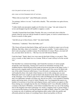*n'ai n'en parti rai tant con je vivrai,*

*ains vouse servirai loiaument mis m'i sui tous...*

"Where did you learn that?" asked Melisande curiously.

"In seminary, believe it or not," I said with a chuckle. "The curriculum was quite diverse, I told you."

"I rather doubt your preceptors taught you frivolous love songs," she said, trying to be severe and disapproving but still unable to suppress a smile.

"Actually I learned that from Father Timothy. He wore a sword and a hat to hide his tonsure when he went out with his hounds in search of game, or went to certain houses in Exeter in search of other game."

"And did you go to those houses, John?" she asked timidly.

"Sometimes," I admitted. "Does that bother you?"

"Oh, I know all men do that kind of thing, and I am not so foolish to expect you to be any different. But John, when we're married..." she began to stumble, "I want to please you. I don't want you going to another woman. Even that kind of woman. Please, you must tell me, you must show me how to..." Her face was red with furious blushes.

I took her hand. "Sandy, there's two ways men do that kind of thing, as you put it. They swive a wench, or they make love to a woman. With us I want it always to be the second way."

Our betrothal was common knowledge, and I found the reactions of various people around the court interesting. Among most I noticed an immediate lowering of the snobbish barriers which had previously made me persona non grata in the upper circles. I had received a singular mark of favour from the queen, and I was soon to be allied with one of the realm's foremost noble houses. I was obviously a coming man, and this was well marked by those who made it their business to be in with coming men at court. Melisande and I were sought out and lavished with attention by the shakers and movers in the entourage. I was invited to play bowls with Lord Hungerford and other magnates, and I was diplomatic enough to let them win, but not too easily. I was included in hunting parties and racing meets, several of which Thunder won. I accompanied the queen on a number of excursions to local fairs and religious houses, and I acted as an equerry to Her Grace during one overnight trip into the city of Durham itself. I was officially enrolled as a retainer of the Earl of Wiltshire, a lord whom I misliked but who was one of the leading men in the kingdom and whose patronage was clearly a stepping stone to greater things. I even received the honour of serving the queen one night at dinner, where for a time I had to resume my role of ambitious and unscrupulous place-seeker while she quickly and efficiently picked my brains of everything I knew about local politics in Devon.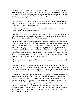Fortunately, since my earliest years I had been a listener and not a talker in the halls of my father and John Brinton, where such topics were common, and I was able to satisfy Her Grace of my expertise. Towards the end of the meal Margaret asked me, "And how goes your tender campaign, sir knight? I am told you spend every waking hour in the company of your betrothed."

"I do, Your Grace," I admitted frankly. "I'm rather coming to like the Lady Melisande, and I hope the feeling is reciprocated. Political marriage or not, I hope we shall become good friends. Things will be easier that way."

"We are leaving Raby for Lincoln on the last day of April," she informed me. "I'll formally announce your betrothal that night."

"Walpurgis Eve, Your Grace?" I laughed. "An ill-omened day. Our country folk in Devon call it a devil's sabbath and stay inside on that night with their doors bolted." "The only devil who concerns me is Richard of York," she replied.

Yet all day on the eve of May a strange unease haunted me. There was no cause to which I could assign this odd malaise, but it was nonetheless real. Allover the castle the grooms and pages and squires were preparing for departure. Servants were packing and loading carts with chests and baggage. All I possessed were my horse and my sword and a few odds and ends easily jammed into a saddlebag, but I understood that Melisande would be helping the rest of the unmarried girls get their packing and bundling done, so I didn't expect to see her in the morning. That afternoon I took Thunder for a long run and gave him an extra thorough rubdown and curry. Tommy Caxton approached me just as I was finishing. "Halloo!" he said loudly. "Sorry to startle you."

"Not to worry, I'm all on edge today," I replied. "No idea on earth as to why. Just got the fidgets to be off, I suppose."

"Walpurgis is an evil day," agreed Tommy. He must have felt it too, for his manner was somehow wrong, his laughter a little to loud, almost nervous. "John, milad, I've come to ask you a favour. Chanson is in the smithy getting re-shoed and I've a last minute errand of gallantry to attend to. Could I possibly borrow your horse?"

I hadn't heard Tommy had a girl anywhere, but I shrugged and tossed him the bridle. It wasn't until almost an hour later that I recalled seeing Tommy's mount Chanson being shoed two days earlier. My sense of disquiet began to grow, and the looks I was getting from the other courtiers who suddenly found other things to do when I passed by were further mystifying. I kept telling myself that I was conjuring phantoms, but nonetheless I fingered my sword thoughtfully and was truly reluctant to hand it over to the dinner squire as I entered the great hall that night Melisande had not yet arrived at our accustomed place at the board. Instead I found the Dowager of Kent, who informed me that Melisande was ill. "I fear she will not be able to attend upon you this evening, sir knight," said the beldame.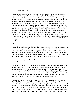### "Ill?" I inquired anxiously.

"Say rather fatigued from a long day. In any event she shall not be here." I dared not press her further and make a scene, but that Melisande should be absent on the night our betrothal was to be formalized sounded a tocsin of alarm in my mind. Nor was my mood improved when the seat on my right was brazenly appropriated by Jeanetta Talbot. I did not relish an evening of verbal swordplay with the saucy hoyden when other things obvious needed my attention. However, tonight she was unusually subdued, for which I was thankful. Some wary, insistent instinct warned me of the presence of danger; the whole atmosphere of the banquet hall now seemed charged and menacing. I was sure I detected sidelong, sneering glances in my direction. My ears strained to hear the low whispers I was certain were being uttered. When all the courses were through and the tooth-picking and belching stage had been reached, Jeanetta decided she was still hungry. "Would you pass me a comfit, please?" she asked politely. I picked up the trencher of sweets and leaned over to lay it in front of her. As I did she gripped my hand beneath the table. "Be silent," she said in a low tone. "Do you see that doorway behind Sir Geoffrey Moleyns?"

### "What?"

"Say nothing and listen, dammit! Your life will depend on this! As soon as you can, you must somehow get through that door. You're being watched, so you'll have to make a break for it. If they catch you in the hall you're done for. Meet me at the postern gate beside the midden. I've got a way for you to get out of the castle. Tommy Caxton has Thunder tethered in the orchard, fed and watered and saddled. I hooked your sword from the armourer just before dinner. It is behind the arras at the end of the corridor."

"What the devil is going to happen?" I demanded, fierce and low. "You know something. Tell me!"

"Not now! Whatever you do, don't go out the main door! Hungerford's men are waiting for you!" Then before I could say another word she arose and left the table, a stunning breach of etiquette to do so before the queen had arisen. Simultaneously I saw that Melisande Grey was in the hall. Not looking at me, she walked quickly to the side of Sir Robert Morriss, who grinned wolfishly in my direction. They walked hand in hand to the center of the hall, and the queen signed for quiet. "Messires et mesdames, it is our pleasure to announce the betrothal of our most beloved and noble ward..."

Realization slammed into me like a fist. *Treachery!* How or why I knew not. But they did. All of them. Jeanetta and Tommy and Morriss and every slinking reptile in the court knew. They'd known all day, laughing at me behind my back. I looked neither to the right nor the left as my mind slipped down into madness. I gripped the table until my knuckles were white. The queen herself poured out a goblet and handed it to Morris, who turned and faced the hall in triumph to offer a toast, a young bird of prey, handsome and golden. Melisande's eyes looked at me now in pity; never would I ever see them look at me in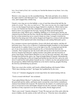love. *Sweet lamb of God, she's watching me!* howled the demon in my brain*. I am a dog to her, a dog...*

Morriss's voice rang out over the assembled throng. "My lords and ladies, let us drink to the night I shall lie with Melisande Grey!" Amid laughter and approbation he downed his wine, and I snapped like a brittle twig

I heard a voice ring out over the hubbub, a voice of steel that silenced the hall like the stroke of a sword. *"Nay, that you shall never!"* The voice was my own. In a single bound I was over the banquet board and my dagger flashed in a deadly arc. Morris had no time to react, for I hurtled into him like a thunderbolt, grasping his tawny mane in my left hand as I drove my poignard into his body, burying the blade upward through his stomach into a lung. Morris gave a babbling, bubbling cry of mortal agony and the cup clattered from his hand onto the floor. Beside him Melisande screamed in fear and horror; her face at that moment has never ceased to haunt my sleep. I savagely wrenched my blade from the dying man's belly and he dropped and flopped in a crimson froth and died. A fountain of blood spurted and roiled, drenching me and soaking Melisande's gown.

For a moment everyone stood motionless, frozen with shock and surprise, and then all hell broke loose. Four or five of Morriss's Cumberland knights bounded over the banquet board and all of a sudden I knew I was in the fight of my life. I swung hard and felt the jaw of one of my attackers break beneath my fist, as I knocked him back into his comrades. Then I jumped up onto the trestle table and ran down the board towards the doorway Jeanetta had indicated, sending trenchers and goblets and chewed joints of greasy meat flying. I heard Queen Margaret cry out over the noise and panic, and a huge looming form blocked the egress, her Angevin knight Hubert D'Agenais. Remembering my early wrestling days in Devon I leaped and hurtled into him feet first, and as he went down I could feel his teeth splinter beneath my feet. I rolled to my feet and sprinted down the passageway, Hubert bellowing behind me as he tried to stand up, groggily blocking the doorway and hindering my pursuers.

There was a jog in the corridor, and I nearly collided headlong with Jeanetta Talbot. "Well, fancy meeting you here!" she began, but I grabbed her by the wrist.

*"Come on!"* I shouted, dragging her several steps before she started running with me.

"You're covered with blood!" she exclaimed.

"I just spiked Robert Morriss!" I yelled back. We tumbled out into an alleyway between the great hall and the stables, and barely made it around the corner before a tumultuous clamour from behind told of pursuit. We ducked into the shadow of a small postern gate just as several men-at-arms and knights charged out into the courtyard, staring this way and that as if they expected to see me hovering nearby, bloody dagger poised.

"Here's your sword," Jeanetta whispered. "Come! We must get out of the castle while the moon is hidden, else the sentries on the wall will see us." From her sleeve she pulled a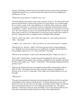long key, and fitting it into the iron lock she turned it slowly to keep it from squeaking. I wrapped the lanyard of my sword belt around the sheath to keep it from flapping and making noise as I ran.

"Where did you get that key?" I asked in a low voice.

"From the equerry of the watch. I must return it quickly. Come on." We slid out the small doorway and ran fleetly in hand for the orchard, in as much silence as we could manage. It was a narrow escape; in the castle behind us we could hear shouts and voices calling for weapons and torches as a systematic search was organized. I prayed that the clouds would hide us, would cover the waxing moon long enough for us to reach the cover of the trees. We were fortunate, for just as we reached the little dell where Thunder was tied the moon came out and cast a wan illumination over the grassy grove and the grim outline of the keep. Temporarily safe, we stopped to lean on Thunder's flank and pant.

"They'll...search...the whole...castle...before they figure out...you've gotten outside the walls..." she panted.

"I suppose...you...expect me to....take you with me...or some such nonsense?" I gasped.

"Bloody hell, no!...Don't be...stupid. You'd never get away with a woman hampering you." Suddenly I saw that my hands were wet with blood; my fingers glistened black in the moonlight. Jeanetta saw it too. "Did you kill him?" she asked.

"He'll never be any deader," I said in awed, dawning realization. "Right. Let's have it."

"Have what?" asked Jeanetta. I stepped forward and slapped her with my open hand, hard, knocking her back against a tree, and then a grabbed her by the shoulders and shook her like a terrier shakes a rat. *"Speak!"* I ordered her. "Why did Queen Margaret break her promise to me?"

"Because she had proof that you were engaged in treasonable correspondence with the Duke of York," said Jeanetta from her knees, perfectly composed. Comprehension dawned on me, as well as a rising anger. There might yet be another killing on my soul this night.

# "What proof?"

"That day in the guardroom I distracted you by pushing the flint out of the lock and then by pretending to hear someone outside the door. I switched parchments on you, and I burned one of my own the same size and shape, an old letter with my father's seal. By the time you turned around all you saw was running ink and melting wax," she told me fearlessly. I could not see her eyes in the moonlight. "Later I tore off the top half of your letter from your brother and kept only the safe conduct from Duke Richard."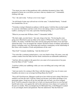"You mean you came to that guardroom with a substitute document to burn, fully prepared to betray me even before you knew what my situation was?" I demanded, choking with rage.

"Yes," she said evenly. "I always cover every wager."

"An old friend of mine once advised me to do the same," I chuckled bitterly. "I should have heeded him. Go on."

"Yesterday evening I obtained an audience with the queen. I told her that you had sought to cozen me with flattery and fair words of love into taking a letter to your brother at Ludlow, assuring me it was only a personal, fraternal greeting..."

"What do you mean take William a letter?" I demanded, baffled.

"Oh, that's right, you don't know," she said, rising to her feet. "I'm leaving the court, going out to Hereford to join my father at his manor of Whitewood, which is very near Ludlow. No matter. I told Her Grace that curiosity had gotten the better of me and I had opened the letter. You can imagine the contents All kind of items of military and political interest, including some very interesting and scurrilous commentary on the relationship of Her Grace with a number of lords and gentlemen oft the court."

"Dear God!" I moaned, shuddering. "And she believed it?"

"You write like a seminary-trained priest, a very easy hand to forge. Of course, your safe conduct conduct from the Duke lent the whole construction an undeniable authenticity."

"And how did you explain to the queen how you came to be in possession of my pass from the Duke of York?" I asked.

"I told her I rifled your saddlebags while you were out billing and cooing with Lady Melisande."

"And your motive for coming to Her Grace with this farrago of lies was of course your boundless devotion to our sovereign lord King Henry the Sixth?"

"Not at all! Good heavens, Margaret would never have believed such a thing! She'd have smelled a rat from the start! I told her I hated you because you'd taken advantage of my passionate nature. Swept me off my feet and right onto my back, you silver-tongued devil! You'll be amazed to learn that we've been swiving up and down in every bed and hayloft and corner, even against the wall on the stairways every chance we've gotten for the past six months. Then you dumped me for Melisande Grey. I told Margaret I wanted to see you hanged, drawn and quartered. That she understood. That she believed."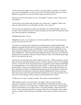"So I'm a rake and a seducer now as well as a spy and a traitor," I grunted. "You threw away your own reputation, so eager were you to do me harm? May I ask why you have helped me escape the very fate you told the queen you desired for me?"

"Because it's not the fate I desire for you," she replied. "I told you, John, I want you for my husband."

"And I told you once before that your hope was a futile one!" I snapped. "What in the name of eternal God gives you the right to do this to me? Answer!"

"No one gives me permission or right to do anything," she retorted proudly. "I am my own law. I ask no let from man nor woman nor queen nor from God! God made me what I am. He can accept the consequences."

"Blaspheming bitch!" I raved.

"Blasphemer or not, no one spurns me, my lord, especially not you. You are mine, you are for no one but me, not ever!"

"So you have wrecked my life and made me a hunted outlaw, destroyed Melisande's happiness and made her hate and fear me for the murderer I now am, thanks to you?" My blood was boiling, my grief and overwhelming loss was becoming unbearable. In one brief moment everything I had wanted was gone. I slid my dagger from the sheath, still sticky with Morris s blood. I put the point against her throat. "God save me. I think I'm going to kill you, Jeanetta. I don't care if they catch me, I don't care if they hang me right now if I can watch you die first."

"Go ahead," she said calmly, her hands folded in front of her. "When I decided to do this thing, in order to stop this marriage of yours, in order to stop her, I knew I was wagering two lives. Yours first of all. You might not have escaped the castle tonight if I had failed in my arrangements, or if you'd been a bit slower. But I ve staked my own life as well, because there's a chance you might kill me for it. By the by, this could still go bad, you know. Margaret may detect my double dealing and send me to the gallows instead of to Hereford, and if you don't get on that horse and start riding like the wind you may not make good your escape. We need to bring this nattering to a close and you need to be on your way. If you're going to kill me then do it and get the hell out of here!"

"Could you do it, then?" I asked in wonder. "Die unshriven and unforgiven?"

"Why should I confess a sin I don't feel?" she asked. "I have no need of God's forgiveness. He knows my heart, after I'm dead He'll do as He thinks fit with my soul, and there's an end of it. *Your* forgiveness is another matter, John. I have sense enough to realize I do need that if we're going to have a successful marriage. I hope you'll let me earn it. You've seen what I can do as an enemy, John. Give me a chance to show what I can do as a friend. Or else kill me now. Because it's the only way you'll ever be free of me."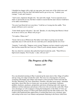I sheathed my dagger with a sigh, my rage gone, just weary now of the whole mess and painfully aware of the fact that I did indeed need to get on my way. "I admire your courage," I said, and I meant it.

"And I yours, impetuous though it be," she said with a laugh. "I never expected you to make so spectacular an exit, but then it stands to reason that the man I choose would have to be rather extraordinary."

"I'm sorry I got blood all over your dress," I told her as I swung into the saddle. "Now people will know you've seen me."

"I don't think anyone will notice," she said. "Besides, it's only fitting that Morriss's blood be on me as well as you. Where will you go?"

"To Ludlow. Where else?"

"Good. Call on me at Whitewood. My father won't object to giving you my hand, especially since it will soon be all over court that you've already had the rest of me."

"Jeanetta," I said softly, "Suppose you're wrong? Suppose you have sinned so grievously that God has turned His face from you? What if you're already damned, Jeanetta?"

She was silent for a moment, then jerked her head towards the castle. "Then I'll be in high-nosed company. Now for pity s sake, will you *ride?"* 

# *The Progress of the Play*

*Summer, 1457*

### **VII.**

On a sun-drenched morning in May I cantered up the main street of the village of Ludlow and up a long, low ridge towards the castle. The town was a buzzing hive of activity, swarming with knights and soldiers and retainers of the powerful Yorkist lords like the Nevilles, Mowbrays, De Veres, Bourchiers, Fastolfes, and other lesser gentry. Attendant upon these, drawn like flies to a honey-pot, was an army of merchants, craftsmen, peddlers, hucksters, pardoners, pickpockets and doxies all plying trade with vigour, in addition to all the tradesmen and artisans of the town who serviced the castle folk. There were advantages as well as dangers to being the headquarters of the Duke of York, not the least being the stream of Yorkist gold which poured into the little market town. The Ludlow folk manifested their appreciation. It seemed that from every casement, spire, and rooftop in the town I saw banners and pennants fluttering in the breeze which bore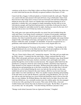variations on the device of the Duke's eldest son Prince Edward of March, the white roseen-soleil which had become the officially recognized emblem of the house of York.

I must look like a beggar, I reflected glumly as I trotted towards the castle gate. Thunder was coated with dust and smeared with mud still from a bog in Derbyshire where I had been forced to take refuge from a troop of red-rose horsemen who had been riding hard behind me down the road. I knew not whether these men had been hunting for me in particular or whether they were engaged in simple marauding, but they had set on me with alacrity enough, and I had been hard pressed to evade them. In the past few days I had slept in hedgerows and ridden mostly by night, charting my course by the stars, for I dared not risk an inn even if I'd had any money on my person.

The castle gates were open and the portcullis was raised, but steel twinkled along the walls and I knew I was being closely scrutinized. A stream of local people, tradesmen and hawkers and servants, flowed in and out beneath the great vaulted archway of the entrance, but when I reached the portal a sturdy sergeant in breastplate and casque helmet stepped forth, a tall billman at his back, and signed for me to halt. "Your name and your business within the castle, sir knight?" he demanded. At least he recognized me as a gentleman, mud-stained and disordered as my never overly elegant attire was.

"I am Sir John Redmond of Tavistock, in Devonshire," I told him. "I am brother to Sir William Redmond who serves the Duke herein, and a friend and neighbour to Sir John Brinton. If you can find them and bring them here they'll vouch for me."

"Oh, aye, I know both of them well," returned the sergeant. "Sir John said you might turn up. Enter, messire." I cantered into the outer bailey, a large courtyard than the one at Raby, filled with people and beasts and noise. Blacksmith's hammers rang, sheep bleated and pigs squealed from their pens, hawkers cried their wares and knights and varlets pushed through the crowd on their assorted missions. The sergeant called forth from the guardroom a young boy whom he sent to fetch my brother, and before long I heard my name shouted over the clamour in the bailey. William practically pulled me off my horse, embracing me and pummeling me on the back in greeting. He was taller than I, dressed far better in a velvet tabard bearing the snow rose and sun, but our hair was the same reddish tint and our faces limned in the same features, albeit he was far more lean and spare while I was short and thick-set. There was another round of shouting and pounding in the hall when we met with the Brintons, especially young Hal Brinton, who was of an age with me and who had been my closest friend and playfellow back in Devon from the time we were children. Sir William Brinton, the eldest son by Sir John's Scots first wife Lady Jane Robertson, was a normally taciturn man who seldom spoke, but who managed to favour me with a greeting for the occasion. Then came old Sir John, a lean and weather-beaten old veteran who took my hand in an iron grip. "By the Mass, it's good to see you here, lad," he said gruffly. "You don't belong with those Lancaster swine."

"Strange words about Lancaster from an Agincourt bowman," I laughed.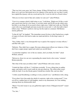"That was forty years gone, lad. Times change. If Harry Fift had lived, or if this feckless Harry we've got now had turned out to be a quarter of the man his sire was then I would have upheld the dynasty with my sword and my life. I won't do shit for a French whore."

"Did you ever have need of that safe conduct we sent you?" asked William.

"I lost it in a manner which I shall relate to you," I told them. "Right now I'd like a wash and a good straw bed for a few hours, if you don't mind, and I'll tell you the whole story, but there is one thing all of you need to know right away. I didn't just walk out, I fled the court with every royal knight and man-at-arms hot on my trail. I...well, the truth is that I killed a man." William's eyebrows shot up, but the made no comment. Old Brinton merely guffawed.

"Is that all, lad?" he laughed. "The immediate reason I'm here is that I hacked up a couple of rogues in Exeter who tried to make me stand and deliver. In the king's name, of course."

"Now, Father, that's a very disrespectful way to speak of his majesty's revenue officers," said Hal with a grin.

"Bollocks. They didn't have a paper. Revenue enhancement officers nor whatever, if they don't have a paper proper signed and sealed you can kill them."

"A somewhat simplistic view of the tax statutes, don't you think, Sir John?" asked William, amused.

"Beitsoever, those two are now expounding the statute book to the worms," returned Brinton placidly.

"But what of this man you killed, John?" asked William with some concern.

"I doubt the Duke will like it," I told them worriedly. "It was a thing done in sudden anger, and truth to tell it wasn't really he who provoked me. The whole affair wasn't really his fault. It was the bloody queen I should have knifed. Her, and one other."

"A little casual bloodletting is nothing to worry yourself over," said Brinton with a shrug.

"Even when I slew him under the shield of courtoisie, right at the evening meal?" I was cut off by a sudden burst of wild laughter, much to my amazement, for I saw nothing amusing about my dishonorable deed.

"Marry! You don't mean to say you gaffed him right in front of Margaret herself?" roared Sir John.

"Yes, but..."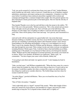"Lad, you can be assured of a welcome here from every man of York," choked Brinton, nearly doubled up with mirth. And so it proved. I found that my act of butchery inspired admiration, amusement, and respect among my new companions. A hundred, even fifty years before I would have been outlawed, proscribed, regarded with revulsion and contempt and hanged like a common footpad when caught. Now the general opinion was that I had played a hearty practical joke on the hated queen. This low had the chivalry of England sunk.

They handed Thunder over to the boy and told him to take the mount to the stables. "I'll have Toby see to him personally," Brinton assured me. "He's a fine animal and you know Toby will make sure he gets proper care. Now we'll take you to the bath house. The Duchess of York makes sure everything at Ludlow is well run and clean and orderly, you'll find. There will be plenty of hot water and soap." So it proved, and I luxuriated in a long

soak and scrub with lye and pumice in a great leather tub. I am aware that many denounce bathing as a heathen custom, but I have never felt that merely because Saracens and Jews do something it automatically follows that Christians mustn't. I have always found bathing to be refreshing and healthful, so long as it is not indulged in to excess. Then I went to the chamber shared by William and the Brintons, collapsed on a palliasse and slept through the noon meal. That evening I awoke and when everyone was gathered, including Brinton's Welsh squire Toby, I told all of them what had befallen me at Raby, omitting none of the details as to my betrayal of them and my own betrayal by Jeanetta Talbot. William and Sir John interposed occasional questions, but mostly I was heard out in silence. When I was finished, old Brinton was impressed. "Quite a tale," he commented. "You have begun your career with a flourish, Johnny lad."

"I was going to join them and make war against you all," I said, hanging my head in humiliation.

"John, you had cause," said William sympathetically. "When the time comes for a man to choose where his loyalties lie, there are far worse motives than love. If you'd sold us out for money I would have qualms, but when a woman fills a man's eye and his heart he does things he would never consider otherwise. The foolish things men have done for women would fill a book."

"An entire library," growled old Brinton. "Have you ever heard the story of my first marriage, lad?"

"One of Toby's favourites," I laughed.

"And a right bully tale it is, bigod!" asserted Toby stoutly. "What other knight of these times has carried off a Scots princess, the betrothed of a regent, and stood off a three month siege to keep her? It is a legend in these islands and it is rightly so!"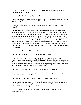"Sir John, I sometimes believe you keep this leek-chewing rapscallion about you just to sound your tucket," said William.

"Leave be. Toby's in his dotage," chuckled Brinton.

"Dotage my dangling Cymric pizzle!" snapped Toby. "You are several years the elder of me, hoary loon!"

"But how will the duke react when he hears of what I was planning to do?" I asked worried.

"Oh, he'll hear of it," Brinton assured me. "There isn't a cat at court who births kittens without the duke hears of it. But John, there are men in this castle who have spent long years plotting against His Grace, who have murdered his retainers and laid waste to his lands, slandered him and impugned the honour of his noble lady, laid ambushes and plotted to assassinate him, and then turned their coats. Very few here have a completely spotless record of loyalty to York from the time they were in their cradles. What you did was mild, John, mild, indeed you didn't really do anything at all. His Grace will overlook your little peccadillo just as he overlooks far worse ones every day. If you're worried about others here, then as far as this group as concerned, we have not heard a single word you have said."

"Said about what?" said Hal Brinton with a wink.

"Don't ask me," muttered Toby. "I speak only Welsh. At times."

"Thank you all," I said, moved. "I've already paid for my wronging of you. My conscience has eaten at me ever since I left Margaret's chamber. But now my problem is this: what am I going to do with that Talbot vixen? You know her father is just a few miles from here at the manor of Whitewood, ostensibly serving as the queen's watchdog over you Yorkist ruffians. She'll be here in a few days."

"Why don't you just leave her in the lurch?" suggested William Brinton.

"That's no solution. If I tried ignoring her she'd start intriguing against me again, and God only knows what she'd do this time."

"Why not trot on home, back to Devon?" suggested my brother William.

"I'm a wanted man now, remember? Margaret is touring the West Country this autumn, and I've had enough of running from Lancastrian muscle men for a while. This is the only place I can be sure I can stay out of her reach."

"You'd think the old witch would get tired of marching about the countryside," commented Hal Brinton.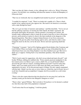"She's not that old. Quite a beauty, in fact, although she's cold as ice. Witch, I'd hesitate to guess. I'm told there was something odd about the manner in which old Humphrey of Gloucester died."

"That was no witchcraft, that was straightforward murder by poison!" growled Sir John.

"I wouldn't be surprised," I said. "There's no doubt she's capable of it. There is black murder in her, against anyone who opposes her. She needs to be buried at a crossroads with a stake through her heart!"

"Oh, we've got our share of monsters and madmen," said Hal cheerfully. "You've not yet had the edifying experience of meeting Sir John Tiptoft, the Duke's spymaster. He personally interrogates all prisoners, and his pastime is inventing new tortures. He actually made a pilgrimage to Italy to study the art and to learn how to brew efficacious poisons, and he posed as a priest to observe the latest methods in the dungeons of the Spanish Inquisition. Then there's Captain Johann Krenzer of our Swiss mercenary contingent. He gets his jollies from flaying captives alive, and when he orders a man hanged he meets by the feet, not by the neck. Slower and more agonizing death that way."

"Charming!" I moaned. "And we'll be fighting against blood-drinkers like Courtenay and Lord Clifford. When war finally comes there will be an orgy of bloodshed the like of which hasn't been seen since King Stephen's wars three hundred years ago! Best not to think on it, I suppose. Getting back to my immediate quandary, what about Jeanetta Talbot?"

"Well, if you're open for suggestions, why don't you go ahead and marry the girl?" said brother William, rubbing his stubbled chin. "From a purely practical standpoint it's the best match you're ever likely to get a crack at. Hell's fire, as I recall Gerald Talbot's dowered the girl with two manors, including Whitewood itself! You'd be richer than Father, and if you render good service to His Grace the Duke your fortunes will be augmented even more. As for the personal aspect of things, I'm only vaguely acquainted with the lady. I think I saw her once or twice when we visited the court at Exeter, but as I recall she's beautiful and accomplished. I imagine she'd be an armful on a cold winter evening."

"There is also the cogent objection that she played me for one great fool, and by her treachery nearly got me thrown into Margaret's dungeon or worse!"

"There is that," agreed William. "But Lord above! If treachery is to be deemed a cardinal sin, then these days half of the population is damned!"

"You'll notice that I'm not laughing," I told him glumly.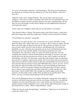"I've never met the lady in question," said John Brinton, "But from your description of her character, do you know who she reminds me of? Your sister Melissa, when first I knew her."

"Bigod he's right, John!" laughed William. "She was the eldest child and you the youngest, so you were too small to remember much when she was around the house, but she bullied everybody and had everybody dancing to her tune, including Father. By the time you were old enough to really observe things our wild neighbour here had pretty much gotten her tamed."

"If she's tame now I shudder to think what she was like before!" I exclaimed.

"Like Jeanetta Talbot, it sounds. The meanest shrew in the West Country, a bitch from hell with a tongue that could clip a hedge and a will that would be thwarted in nothing."

"I'll tell Mother you said that!" warned Hal

"Nothing I've not said to her face, lad, on more than one occasion. But Bill is wrong about one thing, John. I didn't 'tame' Lissa, as he puts it. Most women are ninnies, lad, but they've got more range of character than men do. The good ones are better, the sweet ones are more saintly, the brave ones are braver, and although truly evil women are thankfully very rare, when they do crop up they are far more soul-blackened and cruel than the even the worst man like Tiptoft. Your Jeanetta sounds like one of the extraordinary ones. My advice, John, is to marry her and be good to her. Give her something and someone to devote all that character and energy to, because if you don't and she goes sour she may turn into one of the evil ones, and it sounds to me like the world doesn't want that. You don't tame women like Lady Jeanetta, John, you take them into your life as a partner, respected and valued, and if you're lucky and you can find the right touch you will have found yourself an ally more powerful than any lord and an asset more precious than any treasure of mere gold. Melisande Grey is lost to you now. You've got to play the cards you're dealt, and it strikes me you aren't holding too bad a hand. You're alive, you'll be serving the winning side in this upcoming civil brawl, and you have a chance to get a grand estate and what sounds like a worthy and able wife. Take that chance. I know Gerald Talbot. He's no high-nose and he judges men by their character, not their birth or their wealth. There shouldn't be any problem there. Who knows, you may even find yourself getting to like the little bitch!"

I first saw the Plantagenet princes at a distance during the evening meal on the night of my arrival, tall blond young men each with his own retinue of followers. I was glad that mealtimes were less formal than they were at court and the men were allowed to sit together instead of being compelled to serve a lady on their right; I'd had quite enough of the female kind for a while. "Where is Duke Richard?" Asked.

"When he's busy he works through dinner," said Brinton. "Sends down to the kitchen for a joint and a pottle of ale."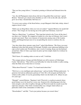"They are fine young fellows," I remarked, pointing to Edward and Edmund down the table.

"Aye, the old Plantagenet strain always did run to big golden blue-eyed men," agreed Brinton. "Edward's got a head on his shoulders as well. A bit on the idle side, but he'll grow out of that, I should think. He'll have to."

"I've never seen a prince of the blood before, except Margaret's little baby whelp, whom I suppose doesn't count."

"Didn't you see King Henry when you were in London?" inquired Brinton, his mouth full of beef. "Oh, I forgot, he was having one of his spells last Christmas, wasn't he?"

"Mad as a March hare," I confirmed. "They kept him locked in the Tower all the time I was there over Yuletide. We stopped in London for a few days in February, but I wasn't around court much. There were rumours of insurrection among some of the London guilds, and Hungerford put most of us out patrolling the streets to reinforce the city watch."

"Any idea where those rumours came from?" asked John Brinton. "His Grace was most displeased when that little project fell through. Probably some tradesman babbling in his cups on the London end. Nevertheless, lad, a word of warning. Keep your lip buttoned around here. Most of what a spy learns he picks up from simple chatter he overhears by happenstance."

"Well I know. It's standing orders at court as well," I told him.

"The younger princes, George and little Richard, are still in nursery at Fotheringay Castle," Hal told me. "That will be your bellwether for when the trouble is really coming, when the Duke moves them here or overseas

"What about Warwick?" I asked. "I've heard much about him."

"Well, he is a very intelligent and cultured man," said my brother William judiciously. "A generous lord and an enthusiastic partisan of York. He's a bit arrogant and flashy but withal an able soldier. It was his generalship which won the battle at St. Albans for just two years ago."

"Hmmph!" snorted Brinton. "Beginner's luck! Warwick is a mediocre general whose good fortune was to be faced by a worse one. Somerset left a bleeding gap in his line wide enough to sail a fleet of galleys through, and Warwick made his assault at just the right time and place. That whole wretched affair was a bungle which reflects no particular credit on the commanders of either side."

"Horsefeathers!" said Hal. "You're just jealous because you weren't there."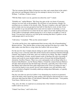"The fact remains that the Duke of Somerset was slain, and a major thorn in the realm's side removed, and Margaret failed at her first attempt to destroy us by force," said William. "I call that a Yorkist victory."

"Will the Duke want to see me, question me about the court?" I asked.

"Probably not," replied Brinton. "His Grace has spies at the very heart of Lancaster, whereas you were only on the periphery. He will know of your presence, though. I'm enrolling you as a retainer of my mesnie, John. The pay is sixpence a day and I make it a point to make sure my men get paid at least half of what they're owed, on time. Every now and then we go out and shake down some red-rose manor or merchant, so I can promise you occasional loot of a kind, but do not, repeat, do not take anything from any of the Ludlow townspeople without paying for it, not so much as an apple or a loaf of bread. You may have noticed as you rode up this morning that there's a gallows on the south parapet and it's not for show."

"I did notice," I remarked. "Who are the current tenants?"

"An archer and his doxy who supplemented their income with a bit of housebreaking," Brinton told me. "They did the dance at dawn today and they'll be there for a while. The duke makes sure that thieves swing where the Ludlow folk can see them."

For the next few days I simply relaxed, letting my spirit calm like a crossbowman easing his string. It was a welcome relief after all the tension and excitement I had been through. I hunted, shot longbow at the butts, and even worked on my tilting. The duke's chaplain kept a small library of books, mostly learned works of theology but with a leavening of classics and works by more modern authors such as Froissart and old King Richard's chronicler, Geoffrey Chaucer. There was a new and popular work on King Arthur by a friend of John Brinton's, one Sir Thomas Malory. I found the contrast between Malory's chivalric ideal and present day life both tragic and ironic, especially since I discovered that Malory had written the book while imprisoned in the Tower of London for rape. I even tried my hand at verse myself, but my Latin attempts were stiff and lifeless and when I switched to English I invariably ended up writing about Melisande, so I quickly gave up the muse.

One day soon after my arrival at Ludlow I was sharpening my sword in an armourer's stall in the bailey when I heard my name spoken, and I turned to find myself face to face with none other than the Duke of York himself. Hurriedly I bent the knee. "Your pardon, Your Grace, I did not see you..." I began.

"Nay, arise, Sir John, we stand not on ceremony here. I but wished to welcome you to Ludlow and to my service."

"I thank Your Grace," said I with a bow.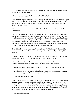"I am informed that you left the court of our sovereign lady the queen under somewhat, ah, straitened circumstances."

"Under circumstances positively hasty, my lord," I replied.

Duke Richard laughed genially. He was a chunky, muscular man, his face broad and open if not exactly handsome. "I admire your valour in carrying your debt of honour to the banquet board," he said. "On the understanding, of course, that you don't do the same thing while you're here."

"That won't be necessary, Your Grace," I said quietly. "You won't betray me like Queen Margaret did."

"No, Sir John, I shall not. You will find that I don't play the game like that. Good faith and good service should be rewarded with justice and good lordship." The conversation ended after a few more perfunctory pleasantries, but I was left impressed and gladdened and confirmed in my new allegiance. Richard was perhaps not brilliant, but he was able and perceptive and truthful. Well I knew that he would make a far better ruler for England than feeble, pious Henry and his vicious mate. The though of working towards so worthy an end had often consoled me for my loss of Melisande.

Several days later, on a warm May afternoon, I sat in Sir John Brinton's chamber idly plucking a lute. John Brinton came in. "Think you'll ever learn to play that thing?" he growled.

"Toby's helping me," I responded. "I doubt I've much of career ahead of me as a minstrel. Where is he? He said he'd try to teach me Air of the Rhuddlan Marsh."

"You need to learn to walk before you can run," said Brinton. "John, three items of news. First off, your erstwhile intended Jeanetta Talbot has arrived at Whitewood."

"Maybe I'd better get Toby to teach me Cadwigan's Lament," I commented glumly.

"Secondly, news arrived from court today. You are impeached for treason and murder, and a price of forty pounds has been set upon your head"

"An expected development," I said.

"Aye, I'm in the same case myself over those two so-called tax collectors. Fifty pounds in my case, which is twenty-five quid per head for a tax collector versus forty for your knight. All it means is that if we're caught the killing of us will be legal in the eyes of Lancaster. You should be fairly safe in this part of the country, but I wouldn't go riding too much further afield than Whitewood without company. Another fine class of fellow we're starting to breed in England is the professional bounty hunter."

"I understand. I'll be careful."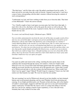"The third item," said Sir John with a sigh. He pulled a parchment from his wallet. "A letter arrived for you today from the court at Lincoln. I opened it and read it. I can't have a man of mine corresponding with the duke's enemies without knowing the contents of such correspondence."

"I understand, my lord, and I have nothing to hide from you or from the duke. That letter is from Melisande?" I knew the answer already.

"Yes. I briefly sought to burn it and spare you more pain, but I don't have that right. A man's life is his to live, the bad as well as the good, the sorrow as well as the joy." He handed me the paper and left the room. I opened it slowly. My love's words burned like brands into my soul.

## *To a most cruel and bloody knight, J.Redmond eques, THESE:*

*You were false and perjured to me from the start, for all the time you spake words of love unto me you carried the duke's seal upon your person and did disport yourself in secret debauchery with my lady Talbot who did betray your wicked designs in a manner I cannot think but fitting to the treachery in your black heart. She is a whore and you are a murderer; wed her now, for you are well matched and shall serve one another as you each deserve. Yet when you were discovered you could not merely fly and have done; you slew that perfect gentle knight and spilled his blood on me, so mad were you to destroy that which you could no longer have. I thought mayhap you were not a beast like all the others, but I was deceived. You have dealt me a hurt which shall never heal. I pray unto God that I shall never lay eyes upon you again*

## *-Melisande Grey*

I lay upon my pallet and stared at the ceiling, watching the dust specks dance in the sunbeams that streamed through the narrow slit windows. Until now I hadn't really believed it was over. In my heart I had still hoped against hope that somehow, something might be recovered, but that was obviously out of the question now. I knew that I would go to Whitewood and take to wife the woman who had betrayed me. What would I feel when I saw her again? Anger? Hatred? Would I long for vengeance? I knew not, but I did realize now that Jeanetta was right. We were for none but one another.

The next morning I set out for Whitewood, dressed in my best doublet, my hair trimmed, buttons and sword pommel gleaming, and my steed Thunder fresh from grooming and currying. It was bright and deliciously cool. Peasants at their plowing, safe in the shadow of Ludlow's armed might, stopped to doff their hats and wave at me and I returned their salutes courteously. It looked like the classic scene of a young man riding to meet his lady love, but for me, making a match of pure expediency, it was a flat and weary formality that I only wished to be done with.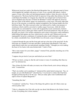Whitewood stood just south of the Hereford-Shropshire line, in a pleasant stand of forest which dappled the sunlight with green as I rode. It was a goodly hall indeed, a hollow square of stone with a slate roof and diamond-paned windows where the arrow slits had been glassed in. The house had been built for gracious living rather than defense, but who could blame the builders of a bygone day when life was tranquil and war had not been seen in England since the days of Simon de Montfort? I noted with approval, however, that one corner of the hollow square was anchored by a stout tower, obviously older than the rest of the structure, no doubt the original stronghold of the Norman knight who first held these lands. The other rearward corner was buttressed by a bulky stone granary or storehouse which could be converted to warlike usage if necessary, while the whole manor park was surrounded by a stout wall of apparently recent construction, fourteen feet high with a heavy oaken gate which could be closed and reinforced. Once the gate to the park was closed, a few archers stationed at each corner of the house could command a lethal killing field against any force which tried to scale the wall. Whitewood was not impregnable, but given a minimum of warning the place could withstand a sudden attack by a fairly considerable force. Gerald Talbot was obviously a man of foresight.

I cantered through the gate and the front park and up to the door of the great hall. On the tiled steps sat a number of servants and idlers, among them John Brinton's Toby and a sandy-haired youth who was meticulously mending a bridle. "I thought you were making the beast of two backs with some kitchen drab," I said to Toby.

"Have some respect for your elders, puppy!" returned Toby, placidly munching one of his abominable leeks.

"I suppose she got tired of your jaw and kicked you out of bed."

"I'll have ye know, young sir, that the said woman is weary of something other than my jaw!" he informed me.

"One of these Sir John will make you marry one of these bawds you're always taking up with," I warned him

"That's my mother you're speaking of," interjected the sandy-haired young man. "Say, sir knight, are you John Redmond?" asked the boy. I was forced to confess that I had been brought up believing this to be the case. "Did you really spike some Cumberland clod right in front of Captain Marguerite?"

"Something like that."

"I wondered," said the boy. "Some of the things this gallows-ripe old villain comes up with are pretty wild."

"Toby is a shameless liar. If he tells you the one about John Brinton in the Sultan's harem, it's true. Everything else is horse manure."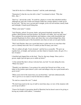"And all for the love of Mistress Jeanetta!" said the youth admiringly.

"Damnation! Is that the way she tells it, then?" I exclaimed in shock. "Why that little...that...!"

"Don't try," advised the youth. "It would be a shame to overtax that enfeebled intellect. Although any man who would wed Jeanetta Talbot has courage aplenty to make up for his lost wits." The boy was a servant and I a knight, yet he was not insolent, merely frank and forthright. I found myself liking him.

"What's your name?" I asked.

"Jack Fletcher, milord. I'm groom, butler, and general dogsbody around here. My mother's Moll Fletcher from the kitchens, Sir Gerald is my father. Jen's my half-sister." That explained his unwonted familiarity and frankness; many noble households had assorted illegitimate by-blows about, and where they were acknowledged they often became an anomalous part of the household, more than servants yet not quite family.

"Well, Jack Fletcher, there was a good deal more to what went on at court than what you've evidently been told. Nor is it settled yet that I'll marry your sister."

"Oh, it's settled, all right. You're doomed," said the boy as assuredly. "We grew up together here, sir knight, and I promise you that whatever Jeanetta wants, she gets. It's a law of nature."

I chuckled and slapped him on the back. "Stay by, that may change. Since you're a groom, might I prevail upon you to stable my horse?"

"A fine animal like that is always welcome here, my lord," he said, taking the reins. "What's his name?"

"Thunder's my inheritance. I was going to be a priest but I bowed out of that, so my father in Devonshire spent almost a year's rents and tallage to buy me a good mount and a good sword."

"When you're lord of the manor here you can breed him," said Jack enthusiastically. "We've got five or six mares to foal for him but no stallion."

"No stud on a manor this size?" I asked

"We don't keep much in the way of staff or stock these days, in view of the situation with you lot up at Ludlow."

"I know Sir Gerald is Lancastrian sheriff of Hereford, but he doesn't seem to be giving or having any trouble with Ludlow," I remarked.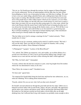"Not yet, no. Sir Gerald goes through the motions, but his support of Queen Margaret isn't exactly enthusiastic. He has an understanding with the duke that you lads refrain from pillaging us, but by way of precaution he keeps very little here to pillage. We used to have every acre under tillage, plentiful flocks and a milking herd, barns full of sixty hogs in pen or rooting. But until this trouble's over we've moved all the best stock and most of the people here to other Talbot manors which are less exposed, so if you whiteroses ever do come riding over the hill with your swords drawn we won't lose as much. I hope when you marry Jen you can get the place going again. It's a fine estate, milord, but since Lady Eleanor died the master hasn't really had his heart in keeping the place up. It was always her favourite home among all the family estates, you see. We'd all like to see it a home again, Sir John, and sooth I'd like to see Jen married to a good strong man. We've all been trembling to see what kind of fortune-hunting rogue, what smockfaced toffee-nosed git or bloody bandit she might bring home."

"Has her father never tried to arrange a marriage for her?" I asked curiously. "That's usually how it's done."

Jack looked at me for a moment, making up his mind if I could be trusted. "My lord, I will you the truth. There was talk last winter of a match for Jeanetta, with a young nobleman up at Ludlow. Prince Edmund of Rutland."

"A Plantagenet?" I gasped. "A prince of the Blood Royal?"

"Yes, milord. The Talbots are numerous, rich, and warlike, an excellent alliance for a second son of the House of York. It never got beyond the talking stage, though. Lady Jeanetta was at court and she sent back a letter refusing the duke's initial approach."

"Eh? Why, for God's sake?" I demanded.

"It seems, milord, that she had met someone at court, some bog knight from Devonshire whom she was determined to marry at all costs."

"Dear Christ, the woman is mad!" I breathed in awe.

"It's been said," agreed Jack.

"I'm surprised Sir Gerald didn't bring her back here and beat her into submission...no, no, what am I thinking? We're talking about Jeanetta here."

"Exactly, milord. Do you see now why I tell you that you're doomed?"

Sir Gerald's steward ushered me through the great hall and into his study. Talbot sat at a battered escritoire laden with account books, papers, ink pots, and quills. His appearance and his attire were careless and almost seedy, and his greying hair and beard disheveled. He looked as if he had just crawled out from under a tavern table after an all night drinking bout, but I reflected that living with Jeanetta was probably strain enough to drive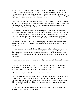any man to drink. "Damned clerks can't be trusted to tot this up right," he said abruptly, glancing up at me and then returning to the ledger he was working on. "I use monastic scribes, pretty soon they start illuminating every page and appropriating sums for the abbey. Hired a scrivener down in Gloucester once, but he embezzled outright, so I lopped off his hands and ever since I've kept my own accounts."

I bowed nervously and addressed to older knight in a formal tone. "Sir Gerald, I am John Redmond, a knight of Tavistock in the county of Devon. I am in the service at arms of Sir John Brinton, of like place and county, who is in turn equerry and counsellor to His Grace Richard Plantagenet, Duke of..."

"You can have her, and welcome!" Talbot interrupted. "You'll get this manor with all furnishings, stock, and fixtures plus Brantley in Gloucestershire, which is about half this size and is leased by a knight named Hugo Pentadyne, a stout fellow who keeps it well. Her dowry includes four hundred pounds sterling, some miscellaneous gold plate, and certain jewels which belonged to her mother. Satisfied? Or do you want to haggle a bit?"

"Uh, certainly, messire," I said with a surprised gulp. "I mean the endowment is most generous and perfectly satisfactory. I did not expect to obtain your consent with such expedition..."

"Oh, she got it for you," said Sir Gerald. "Marched right in here and announced she was going to wed you. Cheek, brazen cheek, but God pity me if I'd opposed her! Not that I was unprepared. A certain mutual acquaintance of ours at Ludlow told me what cooked prior to her arrival. I know you not, sir knight, but this gentleman's good opinion of you is all I require."

"I thank you and this unknown benefactor as well," I said gratefully, knowing it was John Brinton of whom we spoke.

"She's out in the garden now, I believe," he informed me. "Off you go." I bowed and turned to leave, nonplussed, but he stopped me. "Sir John!" he called. "I want you to know that I heartily despise that evil turn she did you at Raby."

"Of course, I imagine she boasted of it," I said with a scowl.

"No," said her father. "Perhaps she is not totally beyond shame. Dear God, I hope not! It seems that as part of her scheme she blithely named herself a trollop to the queen of England's face. But no, the story she told me was...deficient in detail. Our mutual friend filled me in. I tell you this now: I know my daughter, and she is dangerous. You must keep a grip on her."

"I have noted that Mistress Jeanetta is, ah, flighty and given to intense passions..." I returned haltingly, trying to be diplomatic.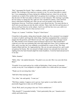"Rot!" interrupted Sir Gerald. "She is stubborn, selfish, self-willed, treacherous and hateful. The workings of her mind are a mystery to me. I've never been able to control her. I was campaigning in France during her childhood and now when I do see her she reminds me so much of her mother that I can gainsay her in nothing, even when I know that she does ill. But I am under no illusions as to her character. This marriage is possibly her last chance to change her life; right now she is headed for infamy, crime and God knows what kind of horrible end. After you are wed you needn't worry about any interference from me. You'll have enough to worry about from her. You must rule her or she'll rule you and drag you into the abyss with her. There, that's the first and last piece of advice you'll get from me on the subject. And if you still feel she owes you a debt over that business at Raby, then do what you have to do."

"Forget, sir, I cannot," I told him. "Forgive? I don't know."

I found her in the garden, sitting alone beneath a shady oak. For a moment I was tempted to return to Ludlow and forget the whole thing. I had been manipulated like a mummer's puppet into this position, and I liked it not one whit. Again indecision and anger seized me. Why should I crown Jeanetta's deed of betrayal with success? But I found that I could not sever this one remaining link with what might have been. Call it weakness and folly, and it was that, but I was suddenly overwhelmed by a sense of fate. The chain forged at Raby held fast. So I approached her. She saw me and curtseyed low, and I could not gainsay her beauty. She was arrayed in bright summer rose and gold, her tawny hair rippling down her back beneath alight but ornate headdress. I took her hand and pressed it to my lips.

"Hello, Jeanetta."

"Hello, John," she replied demurely. "I'm glad to see you safe. How was your ride from Raby?"

"Eventful. It was touch and go for a while in Derbyshire; I had a troop of Lancaster cavalry on my tail. I was tempted to sit tight at Ludlow for a while and let you simmer."

"Thank you for not doing that, John."

"Still full of that marriage idea?"

"Yes, John," she said quietly. "I want you."

"Well then, madam, I suppose you've got me. I just spoke to your father and he practically begged me to take you off his hands."

"Good. Well, aren't you going to kiss me? You're entitled now."

"Why should I?" I responded irritably. "I don't particularly like you." Jeanetta took it calmly and looked away.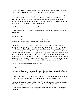"I understand, John." I was immediately struck with remorse. Regardless of my feelings, she was a noble lady and my bride to be, and she deserved courtesy.

"Oh, damn, Jen, I'm sorry," I apologized. "There was no call for that, it was churlish. If we're to be wed let's at least be friends. May I sit down?" I seated myself on the bench beside her. She took from her sleeve a paper packet containing some small honey biscuits, and I munched on the confection. "Why so pensive, lady?" I asked. "You should be jumping with joy now you've attained your end."

"Oh, I was just thinking about something before you came."

"Egad, don't do that!" I exclaimed. "Every time you start thinking someone is in trouble, usually me!"

She smiled. *"Fffft!"*

"And when we're married I want you to stop making that noise! Every time you do it I look around for a cat. Now, what happened after I left Raby?"

"Oh, it was a scene!" she laughed reminiscently. "Knights and sergeants chasing their tails all over the keep looking for you, chaos and hysteria in ladies' country! Margaret was fit to be tied, I can tell you, and I'll tell you who else wasn't too pleased by the proceedings, that Anjou knight Hubert. You really made a mess of his mouth. Morriss' Cumberland lads left court the next day with his body, cursing you and Margaret in equal measure. You did a good turn for York there, I'd say. Margaret isn't going to be too popular along the Scottish Marches for a while, allowing a Border lord to be cut down in her banquet hall and letting the killer escape." She paused. "Do you want to know about Melisande?" she asked quietly. "I won't say anything you don't want to hear."

"No, Jen. That's a wound I'd rather not reopen."

"I agree."

"My lady, I'd like to know something. I've heard that this winter you actually refused a possible marriage with Prince Edmund of Rutland. Is that true?"

"It never got to the formal proposal stage," she said. "I made my objection known to my father, and he is not the kind of man to force me into marriage against my will."

"Jeanetta, I know I don't have to tell you that if, God forbid, anything were to happen to Prince Edward, you might have been queen of all England! *Why,* Jen?"

"A few months earlier I would have jumped at the chance. But by then I had met you," she told me.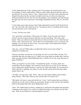"I don't understand any of this, Jeanetta, and if we're going to be married and live our lives together, I need to understand it. What on earth is there about me that has obsessed you like this? It's not lust, I know. I don t flatter myself. You lied to the world about our alleged fornication, but the one time I actually tried to lay you down you damn near chewed my hand off at the wrist! I'm not only penniless, I'm completely conventional and the older I get, the more conservative and stodgy I'll probably become. *Why me,* for God's sake?"

"I can't really answer that, because I don't fully understand it myself, but I'll do the best I can," she said softly. She looked up at me. "I'm going to tell you something about myself you must promise never to tell anyone."

"I won't. You have my word."

"Yes, and I know you'll keep it. That's part of it, I think. You're the only man I know whom I can trust to keep a promise. But that's not the main thing." She took a deep breath. "John, you will have noticed that I haven't told you that I love you. That's because I don't. I can't. I don't know how. All my life I've never been able to love, not anyone, not anything. You can show me how to love. You *must,* John!" Never before have I heard such desolation in a human voice.

"God, Jen...why me? What makes you think that I alone can do such a thing?" I whispered in stunned awe.

"Because you alone can hurt me, for one thing. No one's ever been able to do that. You remember that time you made me cry? I didn't even weep when my mother died. And you alone can make me hate. I hated Melisande Grey. I still do. If ever she comes between us again, I'll kill her."

"Well, you need have no fear of that," I reminded her gently. "You have made very certain that will never happen. You want me to teach you to love, Jen? I've no idea how even to begin such a thing, but here's a start for you. Don't hate Sandy. If you want her to suffer, then she is suffering. Any injury you feel she did you has been more than amply repaid, believe me."

"All right," she said with a sigh. "I'll try." She rose and started walking, and I strolled along with her. "Well, then, when do you want the date of execution set?"

"My family will want to come up from Devon," I said. "And I assume that your relations will pour in as well, most of whom are Lancastrian. I hope we don't end up with a pitched battle in the banquet hall. How about Midsummer's Eve?"

"Suits." We walked along in silence, stopping by a small pond with golden fish and ducks swimming on the surface. For a while we watched the birds cavort and dive for the little carp. "John, do you think I'm a rash and impulsive person?"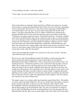"You're nothing if not that," I said with a chuckle.

"You're right," she said, and she pushed me into the water.

### VIII.

In the weeks before my marriage I spent much time at Whitewood, going over accounts and inventories, touring and inspecting the lands which were soon to be mine, and getting to know the peasants who lived on it. I also came to know and respect Gerald Talbot, a wise and perceptive man who gave me good counsel and insight into the life of the manor. I was glad to learn that there were no villeins at Whitewood, and that all the peasants held their land of me by cash rent and boon work on my portion of the fields. "Villeinage is no longer a practical system," Sir Gerald lectured me. "It started to crumble at the time of the Black Death, when all of a sudden one man in three was dead and there was a crisis shortage of labor. Suddenly the peasant found he could sell what he had been giving to his lord, and there were always plenty of employers willing to pay for it. Then came the French wars which further drained the countryside of able-bodied men, and those who came back were veteran soldiers who found it more lucrative and easier to take service in some baron's gang of bully boys under our present livery and maintenance system than to poke seeds into the ground."

"I have always thought that serfdom was a moral evil in any case, my lord," I told him. "Not all the old ways were good."

My reeve was a tall, broad clodbuster named Tam Simkins, a brawny peasant with a massive barrel chest and flowing beard. A man of about thirty, he was both the blacksmith and the miller at Whitewood. "Tam is the greatest asset you'll have here," Sir Gerald advised me. "Cherish him and listen to his counsel. He's that rare bird, an honest miller. Never steals the corn or the flour and never gives short weight. He doesn't say much, but when he does he speaks truthfully and to the point. He will go out of his way to help any of the peasants who is genuinely sick or hurt and unable to work, but he won't tolerate slacking. On manor court days whenever anyone brings a complaint about petty pilfering or tries to argue with you over boon days, hear them out and then ask Tam; he'll tell you what the real story is. He's also damned good with a longbow. Our local outlaws have learned to stay clear of Whitewood."

The manor's curate was a rotund, ruddy-faced reprobate named Father Peter. "He doubles as a leech, and he's passably skilled at it. He can set a broken bone and stanch a wound as good as anyone in the shire, on the rare occasions when he's sober, and he's fairly knowledgeable with herbs and pharmacopeia, again with the proviso that you can sober him up long enough to get his proportions right. Any time you need him I've found it's best to send to the Blue Boar inn at the crossroads before you try the parsonage. He also diplomatically looks the other way on certain nights of the years when some of the manor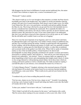folk disappear into the forest in fulfillment of certain ancient traditional rites, the nature of which I have forborne to inquire into, a course I recommend to you."

"Witchcraft?" I asked, startled.

"The church would say so if it were brought to their attention, no doubt, but Peter doesn't. It probably goes back to the heathen days, but I gather it's mostly just harmless dancing around a fire and a lot of casual fornication. Peter doesn't want to make waves, for which I can't blame him. He's not a very good priest, can hardly read and just gabbles through the Mass by rote. This living is the best he can get and if he lost it he'd probably have to become a mendicant friar wandering the countryside. He is reputedly the father of a number of children in the district, but only by widows and sluts; he doesn't interfere with married women. He's been here for years. If you want a better priest I can understand that, but if you sack Peter at least give him a pension to live out his years on, eh? I rather like the old duffer and I wouldn't want to see him set to begging."

These two were the most important of my liegemen, and I was well content with them, for although their faults were legion they were neither of them wicked or indifferent men, and they were well liked among the tenants. Jeanetta occupied herself with preparations for the wedding, with all the attention and energy of a bride, and I was generally occupied with her father or waiting upon Sir John Brinton at Ludlow, so other than at mealtimes and occasional strolls in the garden I saw little of her. When I did we spoke of immediate matters or else of the inevitable politics. I found Jeanetta to be shrewd and knowledgeable on many things generally considered to be outside a woman's provenance, from history to military matters, and I told her so. "And well for you I don't keep my nose buried in my embroidery," she asserted. "I know in romance ladies are supposed to lie about languishing in their bowers and contemplating their knight-errant's deeds of valour, or else occupy themselves with producing annual infants, but in these times which are coming you'll need a partner as well as a hearth-mate. Nor shall you find me wanting. I can hold this place in your absence, even command the manor levy if I have to."

"A Yorkist Margery Paston?" I laughed, referring to the renowned amazon of Norfolk who had beaten off an attack on her manor house by an avaricious baronial neighbour, Lord Moleynes, some years before. "What would you do, push all your foemen into the duck pond?"

"I wondered why you've been avoiding that pond all evening."

"Fool me once, shame on you. Fool me twice, shame on me!" "Actually I was planning on having a suit of armour made for myself and riding into battle at your side, like Isabel of Conches did of old," she added.

"Is that a jest, madam? I never know with you," I said uneasily.

"Well, I think I can hold off on the armour for the nonce," said Jeanetta with a smile. "But I'm serious about wanting to be your comrade as well as your wife, John. I of all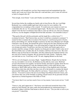people know well enough how you have been maneuvered and manipulated into this match, and I want you to know that when all is said and done, you've come off with not so bad of a bargain after all."

"Fair enough, sweet friend," I said, and I finally succumbed and kissed her.

Several days before the wedding my family rode in from Devon. My sire, Lord High Redmond, was a settled middle-aged man with no taste for war or politics. He congratulated me on making so fine a match. "It would seem your sojourn at court was worthwhile after all, sir," he commented approvingly. "By the rood, a fine marriage indeed! I fear the best I would have been able to come up with for you, had you remained in Devon, was the daughter of Ralph Kiwell the hide merchant. You remember Lettyce?"

"That gawky thin girl with the pockmarks and the laugh like a colicky horse?" I exclaimed in horror. "Had I known that, my lord, I would have remained in seminary!" I waited for him to mention the revocation of his license to vend brewed goods in Exeter, but he said nothing of it, and the thought occurred to me that since Margaret now thought I had been a spy all along, she deemed the advice I had given her false and had not acted on it. It was a comforting thought. I was still trying hard to forget the fact that had my own designs prevailed, I would have met these my family and friends again only as enemies amid the carnage of battle. Jeanetta was being proven right; I hadn't come out of the whole Raby mess so badly after all. It certainly could have been far worse. My sister Melissa came up from Devon with father, and after embracing her husband and her sons she went off in search of Jeanetta. My sire greeted Sir John warmly. "Gadzoons, John, you look hale as ever. You'll bury us all!" he said, clapping Brinton on the back.

"I'll live yet to be hanged, you mean, Hugh,." laughed Brinton. Despite the fact that he was my own father's son-in-law, the Brinton was the elder by some years. Both had served in the French wars together. So had Sir Gerald, and I had no qualms about the two families meshing adequately if only the turbulent politics of the realm did not come between us. Both Talbot and my father were devotees of fine dogflesh and of the hunt, and within a short time after they met they were off to the kennels to examine the famed and powerful Talbot pack. Sir John called for our horses. "I must return to Ludlow," he told me. "You need to remove the last of your things from Master Fenwick's house, and you need to take care of the formality of getting yourself struck off my personal roll and engrossed as a formal liegeman of the Duke of York."

"You know that if ever you have need of me or of my muster, I am at your service," I told him

"I know it, lad, and I appreciate it." Our horses were delivered around the front of the manor by Jack Fletcher, the same youth who had prophesied my matrimonial doom. I broached a subject with him I had meant to discuss ere now. "Can you ride as well as you can groom?" I asked him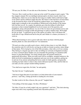"I'll race you, Sir John, if I can ride one of the destriers," he responded.

"Not now. How would you like to come up in the world? I'm going to need a squire." The boy stopped, stunned. He was intelligent and perceptive; he knew exactly what I was offering him, which was no less than the first rung on a ladder which could lead as high as his talents and his ambition might take him. His future to date had been circumscribed; as the favoured by-blow of the Sir Gerald but without letters, not a fighting man, he might aspire eventually to the stewardship of Whitewood in the absence of the manor lord, but that was all. As a squire, his paternity gave him the dollop of noble blood necessary so that eventual knighthood was by no means out of the question, and knighthood, along with priesthood, was one of the two bases for government service and the accumulation of enough wealth and patronage to achieve landed estate. Well might his jaw go slack. "I could pick up one of the squires at Ludlow, but it will please the locals here if I tap a Whitewood lad for the job, and I think it's a chance you deserve," I went on.

"What about learning to carve a goose with style, throw my bones with the proper flourish, plunk on a lute and all that rot?" he stammered.

"I'll teach you what you really need to know, which in these times is very little. Mostly the courtoisie end of it will involve serving me at table on formal occasions, minor things of that nature. We're laying by a lot of the frills nowadays, what with a civil war coming. They belong to a bygone age and we take our killing too seriously in England nowadays to worry overmuch about whether you can remember the genealogy of a hundred noble houses or sing about Roland. You surely already know the peasant martial arts, quarterstaff and archery. What you really need will be swordplay, mounted maneuver, the skills involved in maintaining my equipment and your own in top condition, getting me in and out of my armour and getting the horses ready for battle quickly, and generally watching my back when it comes to the crunch. Between myself, Toby, and Sir John we can make you into a proper modern killing machine."

"You shall never regret this, Sir John," he said quietly.

"See that I do not," I replied gently.

"And never forget that part of your duties is to bruit about tales of your master's prowess," said Toby, coming up beside us leading his own mount.

"In other words to lie like a Gascon, like you do?" laughed Jack.

"I do nothing of the kind, puppy. I lie like a Welshman."

"Sir John, if I may be so bold, might I ask you a question?" said Jack. "This leek-chewing rogue once told a story regarding yourself and a Byzantine princess...?"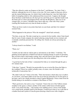"That she offered to make me Emperor of the East?" said Brinton. "No, that's Toby' s bollocks, although the rest of it's more or less true. We were caught *in flagrante delicto* and she started hollering rape, for which I don't really blame her, since her father had a habit of strangling relatives who embarrassed him excessively. I suppose she thought those Sicilians would finish me off, but I got two and Toby got two and their leader took the better part of valour and jumped off the wall into the Bosphorus. That was in our younger days, of course. I shouldn't fancy those odds now, what with Toby's joints cracking like brushwood every time he bends an elbow."

"There are fewer cracks in my joints than hairs on your head, and that's few indeed," retorted Toby.

"What happened to the princess? Was she strangled?" asked Jack curiously.

"Not then, at any rate. The lady wound up in a convent for her trouble, where I later heard that for want of male company she started seducing young female novices instead, and eventually somebody poisoned her. No telling who. Greeks are always poisoning one another."

"I always heard it was Italians," I said.

"Them, too."

"I doubt your life with me will be quite as adventurous as Sir John's," I told him. "I'm planting myself right here at Whitewood and not roaming Europe in search of adventure. But you know there's bad trouble coming, Jack, and who knows how things will end up? At least you won't spend your life shoveling horse shit in the middens."

"A good lad, by the look of him," commented Sir John as we trotted through the gate a few minutes later.

"I like him," I agreed. "Would it be permissible for me to invite His Grace the Duke to the wedding? I know he couldn't actually come, of course, since Sir Gerald is still technically a Lancastrian, but---."

"Oh, didn't I tell you?" broke in Sir John. "That's the business which takes me to Ludlow. As you know, your future father-in-law has never had any particular use for the queen or her party, and so he's finally decided to chuck Captain Marguerite. I bear a letter from Sir Gerald asking to be enrolled as a retainer of the House of York."

"That's good news, but sad in a way," I rejoined. "I know the rest of the Talbots remain steadfast to the queen, so there's another of the realm's noble houses divided against itself. I very much fear that..." Our mounts were ambling across a mossy stone bridge over a deep brook, probably built by the Romans. I looked up in time to see a tall man in a leather hood and a jerkin of Lincoln green drawing a bead on me with a longbow.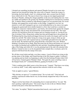I shouted out something incoherent and spurred Thunder forward as two more men leaped up from beneath the bridge like some trolls of legend. I heard the twang of a bowstring, the brief deadly *whutt!* of a clothyard shaft, and a scream from Sir John's horse which told of a hit. The man in front of me swung an iron-tipped quarterstaff directly at Thunder, striking the charger painfully on the nose and making him rear. I lost my saddle and tumbled to the ground, but Thunder's flailing hooves knocked my assailant flat. A shadow flitted overhead as John Brinton leaped over my prostrate body, his sword flashing, and engaged the second outlaw on the bridge. I staggered to my feet, my attacker as well, and I managed to get my sword unsheathed just as he came at me again, bringing the quarterstaff down double-handed in a blow that would have crushed my skull had it connected. I ducked under it, just barely, shoved him back against the rampart of the bridge with my body and slammed the sword pommel into his belly. The rogue with the yew had thrown down his weapon and was running towards us, waving an axe. Out of nowhere Toby's flying body crashed into him and brought him to the ground; the Welshman had his long misericord dagger between his teeth as he leaped, and I saw the blade rise and fall. The outlaw facing me swung at me again, trying to choke up and shorten his grip on the staff; I parried and my sword blade glissaded down the staff and into his body. He shrieked and fell, going blood like a broached wine cask. Without thinking I wrenched out my blade, thrust the point into his throat and leaned on it with all my weight; he thrashed and scrabbled the dust and died. Something plopped onto the edge of the bridge and rolled off; it was the grinning head of the man who attacked John Brinton. I turned in time to see his decapitated body crumple like a woolsack, and to be sprayed with blood from the stump of his neck.

We all three stood whole and hale, over three corpses. A pool of blood was rising on the paving stones of the bridge, and I heard buzzing as the flies began to gather. I realized I was panting and my body was beginning to aches from the bruising I'd taken when I fell off my horse. I leaned against Thunder's flank. "Not quite the same as knifing a man at the banquet board, eh?" commented Brinton, gasping for breath as well.

"Toby's creaking joints didn't seem to slow him up any," I panted. "That knave was trying to crush my skull," I said, oddly surprised that someone would do such a thing.

"Like an apple in a press," agreed Brinton.

"Why did they set upon us?" I wondered aloud. "Do we look rich?" Toby had said nothing; experienced soldier that he was, he had already stripped the body of the man he had killed.

"Bigod, we'd ha' been better off commanding *them* to stand and deliver," he said. "My man's packing a right hefty purse." He tossed a bag of coins in the air. Brinton fished around in the purse of the dead man before him.

"So's mine," he replied. "Maybe Lancastrian hired muscle, sent to pick us off."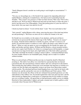"Surely Margaret doesn't consider me worth going to such lengths as assassination?" I protested.

"Not you, no, but perhaps me, or Sir Gerald if she suspects his impending defection," replied Brinton, calming his wounded horse, who had an arrow protruding from the shoulder. "They weren't very good at it, if that was their mission. Who cares? We're alive and they're not. We'll go back to Whitewood and send servants back to collect the meat. I need to get that arrow out of Bucephalus. I hear that jackleg priest of yours has skill as a horse leech. Get your man's loot and let's be off."

I shook my head in refusal. "I won't rob the dead," I said. "Not even such dead as that."

"Suit yourself," replied Brinton with a shrug, removing the purse of the dead man before me and pocketing it. "He'll have no more use for it where he's bound, to be sure."

Sir Gerald was in no doubt as to the nature of our attackers, and he proved that in extremis he too possessed the famous black rage of the Talbots. *"Tonniére du sangue!"* he roared, "Send her hired cutthroats to murder my guests, will she? *Cochonesse du diable!* I'll send their heads to London in a sack, right to the bitch's court, baked in a pie! *Merde!"* When we rode out again we were accompanied by Sir Gerald, his squire, my father and brother and their squires, William and Hal Brinton, a dozen mounted archers, and my new squire Jack Fletcher, for whom we scrounged up an old breastplate, a casque several sizes too large for his head, and a light battle-axe of the kind called a guisarme. "The Duke will think Sir Gerald is coming to attack Ludlow," commented Brinton dryly. No more trouble offered to our formidable party, though, and we made it to Ludlow without incident.

When we arrived back at Whitewood the next day we found the sheriff of Hereford awaiting us. The truth of our affray was somewhat less spectacular than our fancied Lancastrian plot; the men had been common outlaws after all, well known in the district. That morning they had robbed a Gloucester wool merchant who had been so foolish as to venture out onto the high road unguarded, trying to get home from Shrewsbury market with his profits. The merchant had been found hanging from a tree limb by his heels with his throat cut, and the said profits were now in John Brinton and Toby's purses. With immense tact all around, the officer of the law refrained from pointed questions as to the whereabouts of the robbers' loot, Sir Gerald regaled him with wine and roast beef, and Sir John insisted on slipping him a small purse to compensate him for his trouble in coming out over so trifling a matter. All agreed that we had performed a public service in ridding Hereford of three undesirables I sighed, and made a mental note to build a gallows at the crossroads when I became lord of Whitewood.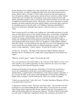On the morning of my wedding I rose early and dressed with care, in finer garb than ever I had worn before, my father's wedding gift made by the most skilled master tailor or Exeter. Before I did so, the Duke of York's barber trimmed my hair, then lathered my face with generous dollops of goose grease and shaved me as smooth as a baby's bottom with his fine razor of Toledo steel. Servingmen set up a great wooden tub lined with leather and hauled cauldrons of hot water up the stairs from the kitchens for my bath, and I scrubbed my whole body pink and raw with pumice. I have never shared the occasional prejudice one finds among the more pious against bathing. Just because Moors and Jews do something doesn't necessarily make it evil. Bathing is pleasant and healthful if practiced in moderation, although I agree that for a man more than once a month is vanity.

Then I arrayed myself in my father's gift wedding suit, with doublet and hosen of scarlet satin, an embroidered surcoat of silk, stylishly pointed shoes of soft leather, a bright blue wool hat, and a blue cloak trimmed with ermine. Around my neck I wore a large brass medal of St. George, polished bright, and at my side hung Sir John Brinton's gift, a slender and well-balanced sword of tempered steel from the famed forges of Beziers. A jewel gleamed darkly in the pommel, and it was sheathed in a boiled-leather scabbard with silver fittings. As I descended into the main hall I was met by Sir John Brinton, who led me towards the noisy throng which was already beginning to assemble. "I didn't expect so many dignitaries," I said in surprise. "It looks like all Ludlow is here!"

"So they are," he told me. "The Duke, Prince Edward of March, Rutland, Warwick, Salisbury, the lot. The Bishop of St. Asaph will be saying high mass in the Whitewood chapel."

"What far, in God's name?" I asked. "I'm not that big a fish."

"No, you conceited ass, but Gerald Talbot is. He is the first of the Talbots to come over to York, and this is an excellent opportunity for him to flaunt his new snow rose colours. Come along, lad, don't keep the big knobs waiting!"

I found myself hustled into the presence of the Duke of York for the second time to receive his congratulations and his gift, a jewel-inlaid poignard with a fine grip of polished ebony, a superb match to John Brinton's sword, equal in elegance and utility. "I give you this, Sir John, in the express understanding that you refrain from stabbing my knights with it at dinner!" said the Duke gravely. There was a rumble of laughter.

"I thank you, gracious lord," I said with a bow. "I wonder what Queen Margaret will have to say about today's festivities?"

"I shall pass on whatever I hear," His Grace said with a smile. "I do not believe she will be pleased. It is my understanding that this whole affair of yours has left our sovereign lady with the distinct impression that she has somehow been had. Your reputation as a subtle and Byzantine plotter has been greatly enhanced." The Earl of Warwick presented me with a pair of wolfhounds, magnificent animals who would grace the kennels of a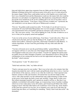king and which drew approving comments from my father and Sir Gerald, and young Edmund of Rutland showed his well known piety in his gift to me of a Latin missal for the manor chapel. Father Peter could neither read nor write English, never mind Latin, but it was a beautiful book and the illumination would awe the manor folk who would be allowed to see and admire it on high holy days. But handsome young Edward of March proved the most munificent of all, for his wedding gift to me was no less than a suit of full Milanese plate armour. "Your Grace, I know not how to thank you!" I protested; the suit would have cost me almost a full year of Whitewood's revenues.

"Fret not," the golden youth assured me airily. "To be frank, it's an old suit I won in a tournament off some half-baked Burgundian who was fool enough to challenge me. I got your measurements from your brother and had my armourer scale it down to size for you." His voice grew serious. "You will be fighting for York, Sir John. It behooves us to see to it that you are properly armed and equipped."

"I am ever at the service of your noble house, Your Grace," I said with a bow. There was a bustle down the hall, and I saw that the Bishop of St. Asaph was arriving with his retinue from Ludlow. I hurried to greet him. Afterwards I remarked to John Brinton, "A solemn churchman. At least I trust the good bishop will stay sober until after the ceremony."

"You have obviously never seen the good bishop imbibe," grunted Brinton. "His servingmen will have to carry him out of the banquet hall tonight. If the Channel were wine England would soon cease to be an island." I myself was sipping but sparely upon my goblet; however little I thought of Jeanetta, I was determined at least to show her the consideration of not coming into her bed on our first night drunk and spewing. "Where's the bride?" asked someone.

"Good question," I said. "It's almost terce."

"Settle back and relax, John," my father advised.

"I had to wait past noon for your mother." But it was in fact only a few minutes later that Jeanetta descended the stairs with her maids and girlfriends about her in a bevy. I met her at the bottom of the staircase, curious to see what she would wear. I had expected some fantastic creation of silks and streamers, but instead she was dressed simply in blue velvet, with a blue kerchief over her unbound hair and a light trimming of white foxfur on her gown. In her hands she held a rosary and, tactfully, a large sheaf of white roses. She looked stunningly beautiful, and I opened my mouth to tell her so. But then I was suddenly overwhelmed with another image, an overpowering vision of another wedding which was to have taken place in far-off London, and I found myself filled with a bitter longing to know what that other bride-to-be would have worn on her day. Some shadow of this must have passed over my face, for as Jeanetta's eyes came level with mine she looked long into them, as if searching for something. "Surely I don't look that awful!" she demanded.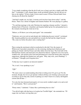"I was simply wondering what the devil took you so long to get into a simple outfit like that?" I responded. A tall, elegant figure strode up behind Jeanetta, but she did not see him as she replied, "I'd have made it down much sooner if Prince Edward hadn't been chasing me all about the chamber!"

"And had I caught you, my lady, I warrant you'd not have been down today!" said the Prince. There was a shout of laughter and Jeanetta flushed. We were playing to a gallery.

"'Tis said that marriage is the only Christian rite requiring a human sacrifice," intoned a drunken Earl of Warwick. I chuckled, and Jeanetta balled up her fist and punched me in the stomach, knocking the wind out of me.

"Behave, or I'll throw you in the pond again!" she commanded.

"Gadzoons, not even wed yet and already she's belaboring the poor wretch!" exclaimed Hal. Jeanetta grabbed my arm and pulled me towards the hall and the chapel beyond. "Oh, come on, before the jokers start a waiting line!"

That evening the merriment roiled on unchecked in the hall. Now the master of Whitewood, I presided contentedly over the roistering, hurling back ribald jests and pelting my friends with beef bones and other debris from the feast. The front half of the hall had been cleared, and musicians now played for dancers. I glanced over at my newly wedded wife, who picked at her food and pretended not to hear the bawdy jokes and lewd suggestions, although she flushed now and again. "Why, lady wife, you're blushing!" I exclaimed. "I thought you'd forgotten how."

"Is that any way to speak to an innocent maiden?"

"No, it isn't. I was speaking to you."

## *"Fffft!"*

"We must come to an understanding about that revolting noise! It's got to go! For the moment, though, how do we get upstairs without all these sots forming a procession and escorting us up for that silly custom of putting us to bed? I know its a merry old English custom and all that---."

"It is also the time-honoured prerogative of every newly wedded couple to try and avoid it," said Jeanetta. "How's your pavane?"

"Pretty rotten," I admitted. "I dance like a performing bear at a fair."

"You did all right with that hussy in London last Twelfth Night," she reminded me. "I'll wager she was better swiving than you."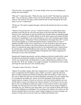"Don't be lewd," she said primly. "As to that, though, I trust you weren't planning on getting any sleep tonight?"

"Why not?" I asked innocently. "What else does one do in bed?" She kicked me under the table. "You see that door yonder? It goes out into the kitchen, then into the solar by the staircase. We catch the next dance, and towards the end we duck through the door and make a run for it. Understand?"

"Worth a try. We made it together through a side door like that the last time I was being pursued."

"There's a lively pavane now. Let's go." I led her forward so we could lead the dance, painfully aware that she cut a far more trim figure on the floor than did I. Round and round we went, until finally we past the kitchen door through which servingfolk brought viands. They scattered as we deftly slipped out of the dance pattern and charged through the doorway. Immediately a roar went up behind us, and a mob of drunken guests began to trample in pursuit. "Damnation! That was Hal Brinton who tipped them off!" I cursed. The servants laughed as we pelted through the kitchen, realizing what was afoot. I grabbed a handful of jelly out of a large bowl as we ran out the door, then raced up the stairs and down the corridor to the master bedroom, the crowd close behind us. Just before we slammed the large maplewood doors to the bedchamber shut, I turned and let fly with the jelly, catching Hal Brinton full on the brow. They pounded on the bolted panels and yelled a last few parting ribaldries through the doors before staggering off downstairs to renew their bacchanalia.

Jeanetta and I laughed uproariously, and she collapsed on the bed in mirth while I wiped the jelly from my hand and washed it in the basin. "Ugh! Sticky stuff." I took off my sword, cap, and and cloak, and flung them on a chair, unbuttoning my doublet as I sank into the seat. "Well, Jen, tonight is your night of triumph. You promised me all I wanted , and I hope the feast turns out to the worth the chase."

"And quite a chase it has been," she said.

"Indeed. Do not think, madam, that I have forgotten how I came to be here tonight. Now, I have accepted the fact that Sandy is gone. I didn't, not at first. I spent the ride from Raby to Ludlow thinking up all kinds of ridiculous plans like leading a Yorkist raid on the court to abduct her and carry her off the Burgundy, and others even more asinine. But I've accepted the inevitable now, and for it I'm rich and landed. Well and good. But hearken unto me, Jeanetta. You are my wife now, and I have lawful authority over you, and the right to correct your behavior in whatever manner I see fit. If you ever lie to me, deceive me over anything no matter how small, or if you step out of line in any manner, I'll make you wish you were never born. That's not a threat. I'm not trying to frighten or intimidate you, Jen. Whatever your many faults, you've got courage in plenty and I know you can't be frightened or intimidated. You are going to do whatever you want to do. But decency demands that I let you know what is going to happen if you do not change your manner of living, and if you do not make me a dutiful and obedient wife."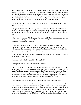She listened calmly. "Fair enough. I've done you great wrong, and I know you hate me. I owe you a debt, and I'm willing to pay it, in whatever coin you choose." She calmly went to a chest in the corner and took out a long rod of intertwined birch twigs, lashed together with cord. "I arose at dawn this morning, John, and I went out into the garden and cut this. If using it will ease the pain in your heart, I want you to beat me bloody. I'll stand quietly and take it without a word of complaint, without asking for mercy."

"A dramatic gesture," I said, bemused. "And a daring one. How can you be sure I won't take you up on it?"

"No, you don't understand. It's not a gesture or a trick, John. I want us to start with as much of a clean slate as possible. I humiliated you at Raby. Now you have me in your power, and if humiliating and hurting me is how to get that clean slate, then this is what I want."

"That won't be necessary," I said gently. "Cross me and I'll beat you quickly enough, Jen, but not tonight. And you're wrong. I don't hate you. In fact, I find much in you to admire. That's not a bad start for a marriage."

"Thank you," she said calmly. She threw the birch aside and took off her kerchief, flinging her tawny hair wide, and then unhooked something and slid out of her blue velvet gown. She was wearing a fine linen shift underneath. While she was folding the gown and putting it away in the chest, I spoke again.

"May I ask you something? More curiosity than anything else. You don't have to answer, but if you do I'd like the truth."

"From now on I will tell you nothing else, my lord."

"Have you been with a man before tonight? Or men?"

"I'm still *virgo intacta.* You're not getting used merchandise, John," she said with a smile, not offended. "I'm a Talbot. It's always been clear to me that I had to save myself for this night, for whomever shared my marriage bed. But I'm not totally inexperienced. There are other ways to give men pleasure, and I've used them occasionally. Every house has an upstairs window and a rear entrance as well as a front door, if you get my drift. But I've only done that when I wanted something from men. Never for love, John."

"And have you learned to love yet, girl?" I asked. "Do you love me, Jeanetta?"

"I suppose I must, if I'm willing to take a flogging so that your own hurt diminishes," she said pensively. She turned, and the shift dropped to the floor. Her body was tawny fire, gold and shadow. My breath stopped, and I stared. She took my hand and placed it on the firm warmth of her magnificent breast, and stroked her nipple gently erect with my finger. Trembling, I began to take off my garments, and while I did so she spoke. "Here's another way I intend to pay the debt I owe you, John. In this bedchamber I am now your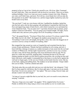property in fact as I am in law. I freely give myself to you. All of me, John. Command me and I shall obey. Take your pleasure with me however you desire. There are no limits, nothing forbidden. I don't ever want you to go to another woman's bed, John. Whatever you want, you'll find it here, and more. Now tell me, sweet friend, how will you take the first payment on my debt?" She leaned over, and her tongue lightly touched my neck, her breath warm on my flesh.

"On your back!" I said, my voice hoarse with lust. I grabbed her shoulders, hurled her onto the bed, and as she lay there gasping with anticipation I snatched her shift from the floor and ripped long strips of linen from it, with which I turned her over and lashed her wrists behind her back. "You are mine now!" I growled, frenzied with an animal, carnal madness I had never felt before. "You are going to do it bound tonight. All night. You're a bitch and a slut, and now you're going to do it all. Everything a woman can do."

"Yes!" she gasped fiercely. "You know! Praise God, you know! I've always wanted it like this! Make me do it all, John!" she begged, the madness possessing her as well. "Everything! I want to do it all tonight, tied up like a slave, like some slut dragged out of a tavern to service a troop of soldiers! Everything, John!"

She wrapped her legs around my waist as I impaled her and wrenched from her lips a scream of pain and pleasure. Thunder had been rumbling low all evening, and now it burst forth like a barrage of cannon as a sudden downpour of rain smote into the roof and windows of Whitewood. All that night I mastered her, used her in every way a woman can take a man, left her body glistening with sweat and bruised with my grip. We lay apart for a while after each bout, speaking little, I bunching her hair in my fists and running running my hands over her flesh in jealous possession, she covering my face and body with kisses, until roughly I commanded her to her knees or on the bed or against the wall and we began again. As the sun rose I finally cut the bonds from her wrists. She lay on her back, sighing and rubbing them. The madness in me had subsided. "I hope I didn't hurt you too badly," I told her, drained and sated.

"My body aches like you really did work me over with that birch," she whispered. "I feel like I've been raped by wild horses, like I've been split open. I can taste you in my mouth. Dear God, I loved every minute of it! " she sighed. "The sun is rising, I haven't slept, and already I cannot wait until tonight."

"As long as I can get a night like that in your bed, Jen, you've no need to worry about me straying," I told her.

"Heavens, I hope not every night!" she giggled. "I'll be crippled before I'm twenty." Finally we drifted off to sleep, lying as close to one another as ever we would come.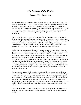## *The Rending of the Realm*

## *Summer 1459 - Spring 1461*

X.

For two years we lived peacefully at Whitewood. This was far longer indeed than I had expected the tranquillity, if such it may be called, to last. We were fortunate in that our manor lay in the shadow of the Duke's great strong hold of Ludlow. My other manor, Brantley Hall in Gloucestershire, was less fortunately situated, and in the autumn of 1458 I lost the whole harvest there and several tenants murdered when Lancastrian marauders ravaged the holding and briefly besieged Hugo Pentadyne in his house before withdrawing.

But life at Whitewood remained calm and peaceful, as close as we were to Ludlow. I lived the placid existence of the petty rural gentleman, increasing my stock and produce, improving my lands, holding manor courts and festivals, a pleasant routine of sowing and harvesting, working and feasting, births and deaths and weddings. We kept our Christmases and high holy days at Ludlow, and I often hosted such prominent Yorkist guests as Warwick, Edward of March, and the duke himself at Whitewood.

During that time Jeanetta and I developed a mutual respect for one another that never quite crossed the borderline into love, but that and a healthy level of good honest lust in the bedchamber made life quite tolerable. She turned out to be an industrious and efficient housekeeper with a thrifty eye who ran kept the manor house spic and span, the maids and other servingfolk well maintained and busy, and the larder well stocked. Always there were fresh rushes on the well swept floors, the water ewers were full, there was firewood and clean linen. I soon realized that I could trust her absolutely to run the place in my absence, a great worry off my mind. She presided over the hall with grace and courtesy when there were guests within. We never argued; if Jeanetta thought I erred in some way she pointed the fact out quietly yet cogently, and more often that not it turned out she was right.

We never spoke of Raby. Only once did the old pain hit with almost unbearable force, and that was when I heard that Melisande Grey had been married to some Norfolk knight I never heard of. I spent a single evening alone in the hall drowning my maudlin grief in wine; with a tact I deeply appreciated Jeanetta found things to do elsewhere, and when I passed out she and Jack dragged me upstairs to bed. I woke up at noon the next day, dragged on my clothes and staggered downstairs in mortal agony. Jeanetta was in the hall cutting bolts of woolen cloth into winter dress lengths. "Are you all right, John?" she asked.

"I am not," I groaned. "A rat is inside my skull gnawing at my brain, a cat has pissed in my mouth, and in a moment when I am a bit steadier I intend to find that bagpiper and kill him."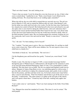"That's not what I meant," she said, looking at me.

"I know what you meant. I won't be doing this every day from now on, lass, if that's what you're worried about." I pulled her to me. "Hush, sweet friend, I won't offend you by rattling old bones. We closed that book on our wedding night, remember?"

When she told me she was with child it seemed that my cup truly ran over. The girl was born in March of 1459, and we named her Melissa after my sister, John Brinton's wife, but the infant was sickly and lived only a few weeks. For the first time since I had known her, Jeanetta lost control of herself. She bolted herself in the tower and refused to eat, and she spoke only to curse God for taking the child from her, with such vehemence that I feared for her reason and the horrified Father Peter feared for her soul. I was about ready to have the tower door broken down for fear she would starve herself to death, when on the third morning I found it open. She was leaning against the casement, looking out over the countryside, and I went to her and took her hand. "Ready to come down?" I asked her gently.

"Yes," she said. "I've been making a fool of myself."

"No," I replied. "You had cause to grieve. She was a beautiful baby. It's sad that we shall never come to know her. There will be more children, Jen. No one expects to have every child born to a family live."

"God thinks to break me," she said bleakly. "He won't do it."

I let the blasphemy pass and kissed her face gently. "I missed you, sweet friend," I told her

Finally it came. On a hot day in August of 1459, a sweat-streaked messenger hurtled through the gates of Whitewood on a lathered horse. He brought me the summons to arms of my lord and master Richard Plantagenet, Duke of York. I was commanded to Ludlow forthwith. This time there was no doubt. The fire was ignited and England would soon be ablaze. Margaret of Anjou, King Henry in tow, was marching against us with an army. I gave the rider a fresh horse to replace his exhausted mount, and a pottle of ale to refresh him for the journey, and then sent him on his way, for he had a dozen more stops before dark. I sent for Jack Fletcher. "Find Tom Simkins and tell him to get all the men in out of the fields," I ordered him. "The entire manor is to gather at the lych-gate of the church, and I will speak to them there." I found my lady in the hall, counting early apples into baskets.

"I saw a rider come in," said Jeanetta. "Then I saw Jack running for the fields. From Duke Richard?"

"Aye. Margaret has raised her standard at Coventry. This time it's war for certain." The maid gasped.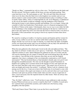"Steady on, Mary," commanded my wife in a firm voice. "Go find Gervase the butler and Wat the steward. Tell them to gather all the house servants and begin packing. Then come back here to me. We must prepare as well." My wife and I had often discussed what was to be done when the final crisis in the kingdom was reached, and as it was almost certain to center around Ludlow we had determined to place everything of value in nearby Talton Abbey, where it would hopefully be safe. Even Margaret, as unbalanced as she was by her hatred, would not willingly court the anathema of the Church by allowing her troops to sack religious grounds and buildings. Or so we hoped. Along with a number of other local landowners I had already come to a financial arrangement with the abbot of Talton on the matter. Unfortunately, there was no way to save either the bulk of the furnishings or the standing grain and fruit ripening for the harvest. I did however plan to have the manor boys drive our stock into the forest to fend for itself, even down to the poultry. If the Lancastrians were going to feed at my expense let them chase down their dinner.

We ourselves would go to Ludlow, I to lead my mesnie and Jeanetta and her women for safety. In any conflict of yore her sex and her noble birth would have placed her above danger, but this was civil war in a time of anarchy, in a land where the fabric of knightly society was frayed and twisted, and I was not inclined to risk my lady's life and honor on Lancastrian chivalry should she fall into Lancastrian hands.

When the men gathered at the church gate I stood on the stile and addressed them. "The day which we all knew would come is now upon us," I told them. "The Duke of York has called his retainers to arms. Queen Margaret has gathered an army at Coventry and she will soon be marching into our country to bring fire and sword among those she calls her own subjects. I am told that in this Lancaster army there are not only her English supporters, but a heavy contingent of her own despicable countrymen as well. French mercenaries!" This last bestirred them as I had intended it should, and a low growl went through the assembled peasants. Not only was the thought of armed Frenchmen on English soil a galling one to yeomen raised on the legends of Crécy and Agincourt, but they now knew that their crops were as good as gone. "This manor owes in service of arms one knight and twenty-four archers," I continued. "Before I ask for volunteers from among you for this levy, I want you to know that I hold none of you bound to come with me. You are farmers who acquit your tenancy to me by cash rent when you've got money and boon work upon my portion of these lands when you don't, not my waged men-atarms. I can if necessary raise the required muster by other means. There are always men who fight for hire."

"Nay, Sir John!" called out a voice. "You'll not have to pay cutthroats to take our place because Whitewood men are too craven to stand by their lord!" A babble of assent and a few scattered cheers greeted this assertion, and I called out to the brawny young ploughboy who had spoken.

"Well said, Francis Green! Then I take it you are the first to step forward?"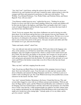"Aye, lord, I am!" cried Green, suiting the action to the word. A chorus of voices now clamored to go, and I pointed out each man I wanted by name, endeavouring to select the youngest and fittest and unmarried in preference to older men with families. "You, Willikin. You, Richard Polehouse. You, Walter Fisher, and Nicholas Felton, and Simon Bagwell. Tom, will you come?"

"Your Honour couldn't keep me away," replied the big reeve. "Nothing for me here. French *écorcheurs* ain't like to leave much standing, milord, the women and children will be fled onto the heath or the highway, and Father Peter can handle what's left. I want a crack at Captain Marguerite and her bloody frogs meself. I can shoot the truest shaft of any betwixt here and Shrewsbury."

"Good. You're my sergeant, then, since these clodbusters are used to having you order them about. Go to the house and get the keys to the armoury from my lady Jeanetta. All the men have their own bows, and have them bring all their arrows. We have six or seven big sheaves of clothyards in the armoury. Distribute them evenly around; I want every man to carry at least forty arrows in his quiver. Also pass out jacks and sallets and what few helmets we've got, and extra bowstrings."

"Stakes and mauls, milord?" asked Tom.

"Aye, one stake per man and one maul per three. We'll carry them in the baggage carts. Also, in the armoury you will find two metal tubes with long wooden stocks, called handguns, and a few lengths of tarred twine, which is a kind of slow match used to put fire to them. We don't have any bullets or any powder, but I assume we can get some at Ludlow, and who knows? The silly things may be of some use. Take two tarpaulins as well, and get pots and utensils from the kitchen. We will take all the salt meat we've got cured, and I'll have the kitchen women bake every bit of flour in the bins into bread. Where's Jack?"

"Here, my lord," said Jack, stepping from the crowd.

"Jack, I'm giving you Black Prince for the duration of the campaign, however long or short. Serve me well and he's yours. Your first task is to ride your new mount swiftly down to Brantley and summon Sir Hugo Pentadyne and his levy. Tell him to join us at Ludlow with everything he's got. We of the Whitewood troop will assemble here at noon tomorrow for the march. Got that, Tom?"

"Aye, lord," returned Simkins. Returning to the house, I found that Gervase, Wat, and several others begged to come with me as billmen and personal attendants. With me and Jack, Sir Hugo and his squire, and the Whitewood and Brantley men combined we would be bringing York four mounted lances and fifty-odd archers and spearmen, not a bad little force to field. Later that day, a fifth mounted knight was added to our little column when to my surprise and pleasure my old childhood friend Hal Brinton rode in and asked if he might serve beside me in the coming fight. "I already spoke of it to my father, and he gave his consent," said Hal.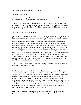"Where are Sir John and Bill and Toby riding?"

"With the Duke, of course."

"You mean you gave up a chance to ride in the Duke of York's bodyguard to fight in my bog-knight's levy?" I asked in surprise "I'm honoured, Hal."

"Remember we always wanted our first battle together? Remember how we were going to run away and join your brother on the Guienne expedition before your father stuck you in that plaguey priest-hole? Here you've killed two men already and I haven't even seen a blade drawn yet."

"I suspect you'll get your fill," I replied.

The next day we marched out, escorting a procession of carts, most of which turned off at the crossroads and headed for the shelter of the abbey. The roads were crowded and dusty with similar columns of men in armor marching to Ludlow, women and children fleeing the area, and vehicles headed for any place where it was thought safety might abide. I turned in the saddle and looked back through the hot afternoon. I could see the tower of Whitewood through the green leaves of the stately oaks in the park; the place was now deserted except for Father Peter and his doxy who promised to remain on the land as long as it was safe. Below the tower I could visualize the gardens, the hall, the duckpond wherein Jeanetta had pushed me on that day two years before, when I had asked for her hand. *Shall I ever see it again,* I wondered? *Or will the ravens on some distant battlefield pluck my dead eyes from their sockets, while my bones sink into some bloodstained stretch of earth?* Beside me, riding sidesaddle on her palfrey, Jeanetta turned and looked back as well. I took her hand. "I think I came pretty close to being happy there," I told her. "Thank you, madam. It was a good time, all told."

"It will be better when we return," she told me quietly. I turned and rode down the road, towards my liege lord and my duty.

The first few days after our arrival at Ludlow the atmosphere was tense and expectant. Retainers of York rode in hourly, their armed mesnies at their backs. There were Lord Clinton, Lord Powys, Sir Walter Devereaux, Sir John Howard, and most welcome of all, Sir John Brinton with a large troop of Devonmen. But we still waited on our major reinforcements, just as Margaret awaited hers at Coventry. These consisted of one column under the Earl of Salisbury comprising the massed levies of the extensive Neville holdings in Yorkshire and the Midlands, stiffened with a contingent of Swiss pikemen under the redoubtable mercenary captain Johann Krenzer, and a second force which was marching for Ludlow under the Earl of Warwick, who had crossed the Channel with every man he could muster from his Calais command.

Meanwhile, Lancastrian war parties continually dribbled into Coventry, where the Queen's commanders doubtless advised her to destroy us piecemeal while she still could.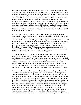She made no move to besiege the castle, which was wise, for the two converging forces would have caught her and hammered her to pieces against the anvil of Ludlow. In early September Warwick appeared one morning in the streets of Ludlow, trumpets sounding, leading a long column of grim armoured men. Two banners flew above them, the snowrose-in-sun of York and the bear and ragged staff emblem of Warwick. The core of this body was a force of sailors led by a grizzled ex-pirate named Andrew Trollope, a professional mercenary who had served under Henry the Fifth but like so many had been forced to turn to crime to maintain themselves after the collapse of English rule in France. Most of the naval brigade had been pirates with Trollope, but when Warwick met them and defeated them in battle in his capacity of Captain of Calais, so impressed was he by their courage and their discipline that instead of hanging them from he yardarm he hired them to augment his own forces.

Several days after Neville's arrival, I was detailed as part of a strong mounted party commanded by Sir John Brinton to seek out the Earl of Salisbury on his line of march, to urge him to greater haste and to report back to Ludlow on his estimated time of arrival. We bore despatches as well, detailing the latest military developments, carried in a sealed pouch which we were charged to defend with our very lives and destroy rather than allow it to fall into enemy hands. We found Salisbury's army on the march in the Midlands, delivered our despatches, and after sending several couriers back to Ludlow we determined to accompany him. We knew that a large Lancastrian force under the joint command of Lord Audeley and Lord Dudley also sought to find us and stop our joining the Duke, and we anticipated action. We were not disappointed.

On Sunday, September 23rd, we were approaching Market Drayton from Newcastleunder-Lyme. At a place called Blore Heath near Market Drayton, we found our path barred by a bristling hedge of Red steel, including many crack archers recently recruited in Cheshire. Our outriders informed us of the enemy's presence, and Salisbury calmly and efficiently drew us up in battle order with our backs against a wooded hill above Hemphill Brook. The previous night had been wet and the ground was muddy, but the Earl set us to fortifying our position with ditches and stakes. Our carts and wagons carrying the army's provisions he ordered circled into a fortified stand on our right flank.

Perhaps seven hundred yards down the road, at the bottom of the long gentle slope, the Lancastrian army sprawled directly in our path. They were a noisy undulating mass of steel and colour and noise above which waved a forest of lances, pikes, pennants, and banners. We armoured knights dismounted, and our horses were led to the rear. This was a tradition going back to Agincourt, a time-honoured custom which let our foot soldiers know that we would not mount and flee should the battle go against us, but would die at their head where we stood. Behind us massed the archers, who took their mauls and drove wooden stakes into the ground before them at an angle, which they then sharpened to wicked points, an additional line of defense. Armoured men-at-arms and billmen anchored and protected our flanks, while we knights stood in the center. At the forwardmost point stood a mass of men in a solid impenetrable wall, these were the huge blond-bearded Switzers with their twenty-foot pikes. Salisbury's helmet was off, his grizzled beard and iron grey mane flowing over his backplate and gorgeon. A light breeze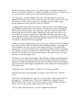fluttered our banners, and the leaves in the golden orange wood behind us rattled and fluttered to the ground. Autumn was coming on, and there was a delicious coolness in the air. "A good day for a buckle, eh, my lord?" asked Sir John with a grin.

"Aye, old gossip," returned Salisbury with a nod. "I was right afeared we'd end up fighting in the summer heat or else the winter rain and cold. With a little luck we'll settle this lot here, then take out the Coventry levy when they march on Ludlow and get Captain Marguerite's lovely neck into a noose by All Saints."

"A fitting sacrifice to the Devil she served if we might send her to hell on Hallowmass," agreed Brinton. I realized with a shock that they were quite serious about executing the Queen if she fell into our hands, but on reflection, what other remedy was there? She would do the same to any of us without compunction. I knew quite well what my own fate would be if I were to be captured: up a long ladder and down a short rope, as the saying went. My chivalry revolted against staining our cause with the blood of a woman, the royal blood of a queen at that, but I understood that it had to be. This was à l'outrance, to the death. I could not afford to be squeamish.

A young Lancastrian knight bearing a green staff of truce, symbolic of the olive branch of peace, came trotting up the hill. Along with Sir John Brinton and Hal, I accompanied my lord of Salisbury a few paces forward to hear what he had to say. The young knight cantered up to us and removed his helmet, revealing pale handsome features and golden hair. Salisbury recognized his features and called out to him, "I can not say well met, Sir Roderick, for I would we were met elsewhere than this. But speak your piece for them who sent you, lad, and speak it well."

"My lord earl," the youth intone formally, "The lord James Audeley commanding yonder royal levy sends you these presents. He demands in the king's name that you forthwith disperse this warlike and unlawful following, that you forfend all treasons and surrender yourself and diverse other knights and gentlemen in your company for trial and judgment at the king's mercy."

"What king is that?" asked Salisbury. "Didn't know we had one nowadays."

"Well you know that I mean King Henry of England, sixth of that name!" flared the envoy.

"Well I know that England's ruler at present is a French harlot and her parcel of thieves and oppressors," returned the earl. "We serve the rightful heir to England's throne, Richard Duke of York. We go to join him now, and you can tell Audeley if he tries to hinder us we'll cut him up into callops and feed him to the dogs."

"Then we offer battle here and now, my lord!" snapped the young man.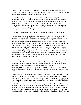"Well, we didn't come here to play shuttlecock," responded Salisbury softened a bit. "Come, Roddy, will you not dismount and drink a quick cup with me? No fear we'll delay the business. There's daylight left for slaughter aplenty."

"I don't drink with traitors, my lord," returned the herald with frigid dignity. "Not you, not Richard, not any other Neville who betrays his king and his country and draws his rebellious sword to shed the blood of Englishmen. I but thank God that on this day at least one of us shall maintain the besmirched honour of our line. Farewell, my lord!" With that he broke the staff over his knee, wheeled his destrier and galloped down the hill. Salisbury turned away without a word and walked back to our lines, and I thought I saw a glimmer of wetness in his eye.

"My lord of Salisbury knew that knight?" I whispered in curiosity to John Brinton.

"His youngest son," Brinton told me. We returned to the lines. At the top of the hill gunners were hauling half a dozen great bronze cannon from the siege train into place, heavy and uncertain pieces which were as likely to burst and kill our own people as to inflict damage upon the enemy. Behind us our archers sat or lolled on the grass, idly thumbing their bowstrings and plucking long stems of grass to chew on, pass king leather skins of wine and ale to and fro among themselves. I envied them their light padded leather sallets and jerkins of Lincoln green, while there I was sweating and itching in my heavy plate armor, wishing for nothing so much as a good scratch. Down to our right, the Swiss fifes struck up a lively air from their Alpine cantons. To the rear priests and monks chanted benedictions and heard last-minute confessions. Messengers galloped back and forth shouting orders, queries, and exhortations. Murmured conversation and shaky nervous laughter wafted through the air

I stood in the line, Jack Fletcher behind me to cover my back and to stand over me if I fell. Hal Brinton stood beside me on my left, Sir John on my right, and Sir Hugo Pentadyne and his squire stood stolidly to the right of Sir John. My sword hung in my hand like lead and I couldn't seem to keep my shield up. "Well, this is it," said Hal with forced carelessness. "Remember all those boasts back in Devon when we were young, about all the deeds of valour we would perform when we won our spurs? We must make shift to prove them now."

"Here they come," said Brinton calmly. The steel-clad hedge before us had arrayed itself, and with a sound of tuckets and rolling of drums they began to advance. From what I could see through my visor it looked as if they were crawling forwards in little spurts and stops like an inchworm. Even over the babble of our own lines and the wail of the Swiss fifes I could hear the swish of the long grass, the sucking of the moist autumn earth as steel trod it, and the chinking of their armour as they moved towards us. Without waiting to be told, our archers rose and took up their bows, and laid half a dozen clothyard shafts out on the ground before them. The Swiss fifes fell silent, and the long pikes lowered to the guard position, making a hedgehog of steel no charge could penetrate. Our trumpets blared and behind us the cannon cracked in unison and threw their huge balls of stone and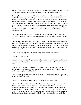iron down into the red-rose ranks, churning up great fountains of earth and dust. But they still came on, mail and spearheads gleaming and banners billowing in the breeze.

Suddenly I knew I was afraid, terrified. I trembled, my stomach churned, and I almost retched, but the thought of vomiting inside my closed helmet was so reprehensible a prospect that I choked the bile down. My feet were rooted to the ground, which was as well, else I might have turned and fled like a craven. I wanted to weep, to fall upon my knees and beg for mercy from God, that He might suddenly transport me away from here, away from that grim and remorseless thing that was approaching to break my body and darken my eyes and take away my wife and my home and my very existence. I did not want this, I wanted life and good cheer and my friends around me. But they *were* there, right beside me

Barely turning my helmeted head, I whispered, "Old friend of my father's, give me strength!" The old knight turned and faced us, raising his visor briefly to study Hal and me

"Don't worry, John," he said in a low voice. "The funk will pass. You should have seen me at my first buckle. Agincourt, no less. We were in far worse shape that today, starved and exhausted and soaked through to the skin, outnumbered ten to one. On that morning my hand so trembled on the bowstring I damned near shot King Harry in the back. Yet here I am today."

"I shall stand firm, my lord," I told him. "Forgive my moment of weakness."

"And you, Henry my son?"

"A bit rocky, my lord, and I'd give a thousand crowns to be anywhere else but here," said Hal with a rueful laugh. "But I too shall stand. Lancaster won't see the backs of any of us today."

"Aye, lads, that's the spirit!" growled the old man. "Spit in their eyes, and remember, they're just as scared as we are. We've much the better ground here. Audeley must be mad to attack us, drawn up like this!"

"Mad or not, they draw nearer," I observed. Behind us, the archers' officers began calling out the cadence for enfilade.

"Nock!" Two thousand clothyard shafts were thumbed into bowstrings.

"Draw!" Two thousand bowstrings slid back to the ear. The air hung heavy and still as the wind died, and our banners drooped loose in their shafts. "Loose!" The white feathered shafts leaped into the air like a snowstorm suddenly spurning the earth and returning upward to the sky whence it came. A solid sheet of arrows soared like some great winged falcon and then paused, reversed, and fell into the Lancastrian host with a deafening ringing of steel on steel, intermingled with screams and howls. Again the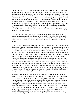cannon split the air with forked tongues of lightning and smoke. A whoosh as our men launched another flight-and then the sound came again, but this time from the enemy at the base of the hill, and now the shafts were falling among us like steel-tipped raindrops. One struck the edge of my shield rim and showered sparks into my visor, blinding me for a moment. *"Don't look up!"* bellowed Brinton as I involuntarily glanced skyward. "You'll get one in the eye, right through the visor!" Trumpets screamed in cacophony, and in the advancing lines before us banners dipped and swayed as they broke into a shambling uphill run. In the vanguard of the enemy were several hundred close-ordered blond giants with long gleaming pikes; it seemed we were not the only ones who appreciated the fighting spirit of the beer-guzzling troopers of the Alps. Above the whizz of the arrows and the din of battle I heard the voice of Johann Krenzer bellowing out to the charging pikemen, *"Schweiz! Zurich!"*

*"Lucerne!"* bayed a huge figure at the head of the oncoming pikes, and with deft precision they executed a lateral slide slide, never staying or slowing their charge, which moved them away from us down the line off to our far right, off the front of their fellow mountain men. "Look at the Switzers!" shouted Hal Brinton. "They won't fight each other!"

"That's because they've better sense than Englishmen!" shouted his father. All of a sudden the distance between us and the mailed enemy vanished, and they were on us. I remember taking the full force of the rush on my shield, crouching low and staggering back, trying to deflect the blades of the polearms upward and away from my face. I dug my heels into the earth and stabbed with my sword point, for there was no room to swing it. I saw blood spurt; presumably I found a chink in someone's armour. It was a howling mass of pushing and shoving and clanging of metal on metal, beyond my power to describe. I felt my legs sinking into the earth, so hard was I pressed; I knew I had to stay on my feet, for if I fell I would be trampled into the earth and smothered in my helmet. Fortunately in a sense, the press was so close that it was actually difficult and at times impossible for me to fall to the ground. I hacked and stabbed and ripped wherever I could see in front of me; spurting blood and flying dirt and dust obscured my visor so I was almost always thrusting and shoving blindly. Blows rained down on my shield, my back, and deafened me when they struck my helmet. Over everything the arrows from both sides hissed like deadly rain, flying indiscriminately striking down friend and foe alike.

How long it went on until the wall before me abruptly collapsed, I couldn't begin to guess. The Reds had broken and they were running back down the hill in a sudden panic. Our arrows streaked among them, knocking them down from behind. A few of us staggered forward in a clumsy attempt at pursuit, but were dragged back into formation by our knights banneret. "Hold your line, lads!" roared Brinton in a hollow voice, echoing from his closed helmet. "Let the archers finish them off, they're light!" The command was unnecessary for me; I sank to my knees in ground that had turned into a sodden mush, steaming with hot fresh blood. Men in Lincoln green shoved past us and ran downhill, leaping on fallen men in armour in twos and three, thrusting long misericord daggers through visors and beneath armpits. Here and there some of the enemy wounded staggered to their feet and fought back, and some escapes were made.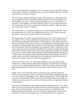Cries of agony filled the air, begging for water, screaming for mercy from God, sobbing out the names of women. I wrenched up my visor, sticky with blood, and saw a cloud of steam billow from within my armour.

Not ten feet away, Sir Hugo Pentadyne's squire knelt weeping over a still armour-clad form. I struggled to them on my hands and knees, unable to rise from exhaustion. I saw that Pentadyne was dead, a clothyard shaft protruding from his visor. "He must have looked up," I said stupidly, to no one in particular. Below us were scattered shouts and cries as the Lancastrians tried to reform in the lengthening shadows. "Dear God, they're not coming again, are they?" I moaned.

"No, I don't think so," said Brinton, shading his eyes and looking down the hill. "We've got enough archers down there now peppering them so they won't be able to form up again. Still, we need to stay in place until we're told otherwise."

We rested in place for a while, and up and down the line I saw a bit of what men in war are capable of. Local villagers and peasants emerged from the woods where they had been watching the battle, and they began to loot the dead men on the fringes of the field. Closer in our archers, men-at-arms, and even a few knights broke ranks and began to strip our fallen foes of their armour and possessions. Several impromptu kickball games began with severed heads. The Swiss mercenaries were especially savage. A page boy or else a young squire from among the attackers had followed his master too closely into the press and somehow had been captured alive by the Swiss; amid gales of laughter they stripped his garments like tearing paper and stretched his naked body plunging and writhing over a wagon wheel. Then a group of them unlaced their points and proceeded to use him as a woman, right in front of the whole army. No one in authority seemed inclined to put a stop to this revolting recreation. Even Brinton shrugged it off.

"That's the Switzers for you," he commented, pulling on a wine skin which he then handed to me. "Handy with those pikes right enough, but an uncouth bunch of bastards for sure. I've seen them fuck sheep and calves as well. Not as bad as the Turks, though. Most invading armies kill all the men and rape all the women. With the Turks it's vice versa."

Finally, when it was almost dark and the air had grown damp and chill, the Earl of Salisbury rode up and gave us orders to form up for march, and we shambled up the hill to recover our horses. "Bring Hugo's body," Brinton commanded us. "He's a knight and so he gets a Christian burial. With any luck the local churches will have pity on the rest of these poor devils and say a few words over whatever pit they toss them into. If not, the worms get them."

Jack Fletcher and Pentadyne's squire lifted the broken corpse between them. The came a final scream of agony as the Swiss castrated the boy they had been raping; I turned to see him tottering off into the gloom, white and naked, doubled over holding his crotch Salisbury had determined to slip away into the darkness rather than try to finish off the Lancastrians. They were still lurking in the woods and fields below us, apparently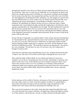disorganized, but there were still a lot of them and more battle than one had been lost on the second day. They were in a bad way for leadership, for Lord Audeley lay dead on the field in his smashed armour and Lord Dudley was our prisoner, Salisbury having bought him for money from the Swiss who captured him and thus saved his life. I never did find out what happened to Sir Roderick Neville, Salisbury's son who fought for Lancaster that day, but I did learn that two of his Yorkist sons, Sir Thomas and Sir John Neville, were captured by the enemy and dragged to Acton Bridge in Cheshire, where they were murdered. We abandoned our cannon, but they served us a final turn when a valiant Augustinian friar stayed behind all night, periodically loading them with laborious effort and then touching them off, firing blindly into the night. The balls hurtling down from the hill into the trees among them served to convince the Lancastrians that we were still about and they had best stay put. At sunrise the next morning the friar blithely explained to the chagrined Lancastrian commanders that he had done all this in order to keep up his spirits with the jolly noise.

On the 25th day of September we reached Ludlow Castle, bloody and tired and dispirited. As I dismounted in the courtyard I heard my name cried out above a hundred others, and my wife was in my arms. She took me to a little bower we had made in that crowded keep by hanging a leather curtain up in a carpenter's tool shed, and she helped me wash and fed me and filled my goblet. "We heard there had been an engagement," she told me, her voice trembling. "No one knew for sure. No one knew who was coming back. I thought I would go mad."

I laid aside my cold bacon joint and pulled her close to me, stroking and kissing her hair. "I made it, Jen. This time. If it be God's will I'll make it through the next one as well."

Thus ended the battle of Blore Heath. It was a bloody and indecisive brawl now forgotten, save by the few remaining men who were there, and perhaps a chronicler who noted it with a line or two of ink and then moved on. It had no long-term effect of any kind on the outcome of the war. It was a pointless act of butchery which produced nothing but death in fear and pain, grief among the living and food for the worms and the ravens. Brave men died at Blore Heath. May God remember them, always, long after England has forgot.

XI.

On the afternoon of the twelfth of October, the banners of the Lancastrian army appeared down the valley of the river Teme. From the ramparts of Ludlow we watched them, a long metal-clad serpent twisting in and out among the orange and gold hues of the autumn forest, their armour and lances glistening and twinkling in the sun.

They came from Leominster to the south, where they had camped the night before and our scouts had made first contact with them. All night long couriers had ridden in telling us of their progress, and all that day a stream of refugees had passed through Ludlow,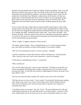peasants and townspeople from Leominster telling of rapine and pillage. Now it was late afternoon, and they were upon us. They crossed the Teme by the fine stone bridge and debouched eastward through the hedgerows and fields, halting not half a mile from the earthworks we had thrown up. Margaret's captains knew their business, for they saw quickly that we had built barricades in the town of Ludlow and were prepared to fight them street by street and house by house should they attack us from the south. They flanked the town and clearly meant to launch a direct escalade against the great castle itself.

It was too late in the day to begin such an assault, and the enemy began to make camp, posting sentries and raising tents. They cut down fences and pulled down cottages in the area for firewood, dragging the shattered beams and thatch behind into the camp. A group of us, knights and ladies, watched from the castle walls. "Look, there's the duke!" said Jeanetta, pointing. York and a group of his advisors, John Brinton among them, appeared on a tower to the south of us, observing the Lancastrians and noting their dispositions. I saw Sir John pointing and gesticulating.

"Well," I sighed, "I suppose tomorrow will be the day."

"No doubt," agreed Jeanetta. "We're outnumbered but we've a much stronger position here, and I think our leaders are better and the quality of our troops is higher."

"The view of an experienced warrior is always welcome," I laughed.

"I need no experience to know that tomorrow will be a bloody mess," she said grimly. "John, I beg you, take care! I don't want a dead hero. I want I live husband."

"I don't plan on committing any heroics," I assured her.

"Heroes seldom do."

"In a way I'm almost relieved," I said, my arm around her. "Far better to get all this over with in one gigantic bloodletting than to fight a long drawn-out civil war which would devastate the realm. At least this time tomorrow night England will know the name of her king. Where's Jack?"

"He went out when the tucket sounded. He wanted to get a closer look at the Reds."

"He'd best not get too close a look," I said, worried. "I noticed their forward units sending a few shafts at our scouts. Jen, I need to arm and get down with our Whitewood lads. They need me with them and I want our troop ready to respond to any situation or command of the duke."

"I can help you into your armour," she said. "Come." We descended from the walls and walked hand in hand across the courtyard and up to our little chamber. I sat down on the straw-stuffed pallet and she sat down next to me, and we held hands silently for a time.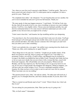"Jen, when we were first wed I expected a right Medusa," I told her gently. "But you've been a good wife and a friend as well. I've much praise and no complaints. It's been a good two years. Thank you."

"No complaints here either," she whispered. "I've not forgotten that you love another, but you've never reminded me and you've given me full measure. Thank you."

"We must speak of what may happen tomorrow," I said firmly. "If I fall but York wins the day, then all our goods revert to you, since everything we possess was your wedding portion. You'll be a very eligible widow. Choose your next husband carefully, Jen, and don't be sentimental about it. For some reason I still don't understand you took a wild gamble on me, but next time you might not be so lucky."

"I don't want to hear this," said Jeanetta, her lips trembling and her eyes dampening.

"You must hear it, Jen, I'm worried about you and I don't want you to be alone. You'll get bored and grow all weird again and get into trouble when you're on your own, and you'll hurt yourself and others. Just make sure he's someone who will respect you and won't beat you unless you've done something."

"I don't *want* anybody else, ever again," she sniffed, tears coursing down her cheeks now. "Damn you, John, you're making me cry again! Stop it!"

"These things have to be said, Jen," I told her. "I might not get another chance. If the Reds win tomorrow and I die, then it's going to be tough for you. Your father is a prominent Yorkist, you will be a Yorkist widow, and Margaret may be inclined for revenge if she thinks you diddled her back at Raby Castle. I honestly don't think she'd go so far as to put you to death, but you never know with a woman like that, crazed with blood and vengeance. She will probably seize all your property, Whitewood and Brantley, and she may imprison you. The best thing to do is to get away however you can. It's too easy to forget people who disappear into dungeons. Whatever happens, you will have only one certain weapon. Use it. You are a stunningly beautiful woman, Jeanetta. Do what you have to do in order to survive and win a new life for yourself. When I am dead, you owe me nothing."

"The question doesn't arise, John," she told me calmly. "No other man will touch me, I promise you. I've thought about this, and I have already decided. If you die, then I will die."

"That is a mortal sin and bloody mad to boot!" I cried. "Christ's blood, Jen, I don't ask that of you!"

"I'm not asking for your permission, John. That's just the way it's going to be."

*"Why,* in God's name?" I demanded.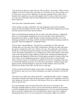"You are all I care about on earth, all I ever will care about," she told me. "When we have children I will care for them only in that they are a reflection of you. That's just the way it is. Please leave me your razor. Hanging is for peasants, jumping off the castle walls is dramatic but it might leave me alive and crippled, and if it comes to that I don't want to use some rusty bread knife. Only the finest bright honed steel for this lady's alabaster throat, thank you."

"Dear God, that's a ghoulish request," I sighed.

"I have another, not quite so ghoulish," she said, slipping her gown off her shoulder, taking my hand and sliding it into her bodice. With my other hand I ripped the gown from her body and shoved her back onto the mattress.

When we had finished she helped me into my armor with silent efficiency. I slipped the jupon over my breastplate and girded on my sword, and after a long, lingering kiss I descended to the stables to saddle Thunder. I had just finished when there was a wild shouting and clamour in the keep. I rushed out and met John Brinton running towards the great hall. "What has happened?" I demanded of him.

"We are shent!" shouted Brinton. "Treachery has overwhelmed us! That whoreson Trollope and every man jack of the Calais command have deserted our ranks and joined the queen!" Leaping the wall I saw it with my own eyes. Our earthworks were deserted, and the few of our men left upon the meadow were fleeing towards the castle or into the woods. Beyond the fortifications I saw a milling mass of men on the fringes of the enemy camp, some still sporting Yorkist emblems on their backs, shouting and embracing the Lancastrians and ripping the White Rose off their jupons and jacks to replaces them with royal colours. It was a disgusting spectacle. I reeled in shock down to the great hall, where a hurried council of war had been assembled. From the few remaining Calais men we learned that bribed by promises of rewards and royal pardons, Trollope's pirates had begun a mutiny and had managed to swing most of their number to their side while Warwick was absent in the castle. Neville was in a mad rage.

"God's own blood, I'll break Trollope on the wheel!" he shouted. "He shall be pulled apart by wild horses, and every one of those misbegotten sea snakes I lay hands on will do the dance!"

"The man was an outlaw and a pirate all his life," responded the duke wearily. "I suppose the prospect of pardon and a place under the queen's shield was too tempting for him. But your rantings are sleeveless in the face of this disaster, Dick. Let us rather take counsel on what we must do now."

It was growing dark, and in the great hall torches and cressets were being lit. The flickering torchlight glinted on armour, and servants directed by Duchess Cicely rushed to and fro, bringing us beer and meat and preparing horses, for it was quickly determined that we must flee. Trollope knew all of our battle plans, and our array was so depleted and demoralized by this act of craven betrayal to try and make a fight of it would be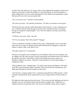suicidal. Our only option was to escape, and we must abandon the remnants of the host to disperse as best they could in the darkness. I sent Jack Fletcher to tell Tom Simkins as much, bidding him see to the safety and dispersal of the Whitewood and Brantley troops. My farewell to my wife was necessarily brief.

"Jen, I *must* leave you," I told her in utter anguish.

"Of course you must," she returned, all business. "It's that or your head over the gates."

"My God, they may sack the castle! Remember what I told you," I said, crushing her to me. I could not feel her body through my armour, but I crushed her hair in my hands, kissing it, kissing her mouth hungrily. "Live, Jen! Do whatever you must, just be here when I return."

"I still have your razor, John," she said.

"No! No, Jen, please! Don't kill yourself!" I begged.

"I have no intention of doing so while you live, dear. I fully intend to use it on the first man who tries to rape me, though, and he shall find himself ill-equipped to repeat the offence in future. John, come back to me!"

"I'll make a point of it," I assured her.

Our horses and squires were waiting for us in the darkness below the west rampart, and we slipped over the walls on ropes, lest the Lancastrians see that their birds were about to fly and raise the alarm. I hit bottom, rolled on the damp frosty grass, and was in Thunder's saddle in an instant. "I hope he's fresh and fed, for we ride hard tonight," I whispered to Jack.

"That I gathered, lord," chuckled Jack. "No doubt some day the troubadours will render all of this a great adventure ballad. Somehow I don't feel in the least adventurous, just chilly and a bit queasy from the nearness of the noose."

"Ah, but this is a daring exploit, boy!" exclaimed young Edward of March gaily. "I look forward to hearing these deeds sung abroad in verse, seeing myself as history shall see me!"

His father the duke spoke up from the gloom. "If you cease not this badinage and ride not speedily, my son, you shall me history sooner than you might wish." Single file, we walked our horses towards the forest. The moon was behind a cloud, and we made it.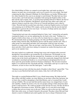On a bleak hilltop in Wales we camped several nights later, and made our plans to disperse our party into several groups, each to go in search of its own refuge. One band comprising the duke, Edmund of Rutland, Sir John Brinton, my brother William and a few others headed for the coast in an attempt to reach Ireland. The duke had once been Viceroy there, and York had many sympathies both among the English settlers of the Pale and the native Gaelic clans. A second group including Edward of March, the Earl of Warwick, the Earl of Salisbury, Hal Brinton, myself and some others rode south, our objective being to reach the coast of Devon or Cornwall and thence seek a ship for Calais. Warwick had but recently been ruler there in that last English enclave on French soil remaining out of all Harry Fift's empire, and he assured us that the men he had left behind him to garrison the town were loyal. "As loyal as Trollope and his men, Dick?" inquired the duke skeptically.

"I hand-picked each man who remained behind in Calais, lord," returned the earl quietly, warming his hands over our tiny spluttering fire, his back to the wind. "Nothing is so fragile as faith in these times, as we have all of us found, but it is a chance we must take." We intentionally broke up family groupings, Sir John and William Brinton and my brother riding with the duke, Hal Brinton and me with the prince and the earls. Thus if either group was intercepted and taken, the Lancastrians could not wipe out entire families at a single stroke. Thus ran our logic, cruel but correct. We doused our fires at dawn and after a brief, grim leave-taking we mounted our smoke-blowing horses and sped on our separate ways.

Our party inched ever southwards, skirting large towns and swinging miles eastward through the Cotswold hills to get around the city of Gloucester. Occasionally we saw columns of smoke rising into the late autumnal sky. Sometimes we rode by night and slept by day in the forests and hedgerows. Slowly the countryside changed from field and woodlands to moorland and heath as we crossed Somerset and glimpsed the first red frieze upon the green heather and brown bracken of Dartmoor. The elevation mounted higher as we entered into the crisp heath and fells. "If the Reds catch up to us and we die tomorrow, at least we have seen this land again," I said to Hal

"Dartmoor men are born with that tiny pinch of heather in their blood," agreed Hal. "You can stay in your Hereford hall until you're ninety, John, but it will still be there."

That night we reached Redmond Hall. It was a bleak homecoming. My father had left days earlier with Hal's mother, my sister Melissa; no one knew where they had gone, but we knew they would be attempting to find John Brinton, and so I assumed they would end up in Dublin. The servants had fled and the manor house was stripped bare of stock and valuables, whether by looters or by our own people seeking to hide and protect their goods I could not know. We could see people on the fell tops far away, but they all fled at the approach of horsemen in armor. Well they might, for we soon discovered ample evidence that red-rose troops were in the area. When we rode on the next day to Brinton Hall, three miles away, we found it burned to the ground. The place where Hal and I had shared so much of childhood and youth together now lay in a heap of blackened stone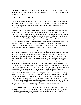and charred timbers. An incinerated corpse swung from a burned beam, probably one of the family servingfolk, but the body was unrecognizable. "I'm glad, John," said Hal after a time, as we rode away.

"Eh? Why, for God's sake?" I asked.

"Now I have a reason to kill them," he told me calmly. "I wasn't quite comfortable with this business before, truth to tell. Killing other Englishmen. Now I can cut the bastards down without a qualm. I want to be there when Margaret's head falls. I will enjoy watching her die."

Two days later we reached the coast, and the Earl of Warwick expended the last of our gold to purchase a ship, a small sailing lugger, and hire a crew. It was the first time I had ever been at sea, and that late in the year the waters were choppy and inclement. I was so wretchedly sick I could barely stand as lookout against enemy sails, but by the time we arrived I was starting to adjust and get my sea legs, so I could fully appreciate the warm welcome we received as we sounded into the port of Calais. The harbor cannon cracked, and for a moment I thought we were being fired upon, but it was only a welcoming salute from the garrison, who lined the quays and cheered lustily for Warwick and Prince Edward. We eased into the dock and I stumbled onto the stone pier, almost falling to me knees from the unexpected sensation of solid ground beneath my feet

Warwick quickly resumed command of the town and quartered us in the governor's palace on the great market square. There we rested and set about recovering our fortunes, for from the very day we set foot on Calais dock we were obsessed with but a single thought, to return to England and smash Lancaster. Over the following weeks the news from England trickled in slowly. We learned that on the morning of October 13th, the queen had taken possession of Ludlow and allowed her troops to sack the town like it was a French village. She made prisoners of all of noble rank she found within the castle, including the Duchess Cicely and the two little Yorkist princes, George and Richard. Her Grace the Duchess had been publicly insulted and abused by the queen, then manhandled and lightly beaten with bowstaves by archers, but she was not stripped or raped; Margaret appeared unwilling to go too far until all her quarry were in her hands. Cicely was manacled and shipped off the London where she was led through the streets on a chain like an animal to the Tower of London, her two young sons being forced to accompany her and watch. There was no news of Jeanetta or the other Yorkist ladies who had been at Ludlow, and whether this was good or bad I was uncertain. "I'll wager she's all right, John," said Hal encouragingly. "If any gentlewomen suffered during the sack of the town, or if Margaret had gone into a rage and hanged them, I'm sure the story would be all over Europe by now. News like that flies on wingéd tongue. Worst case, she's in the Ludlow dungeon, and certainly that's bad enough, but we don't even know that for certain."

"That's what worries me," I told him with a sigh. "Jen's got a tongue smooth as silk and a wit as sharp as a sword's edge and of all women on earth she should be able to survive, but I still have nightmares about her buried beneath all that stone. I saw Tiptoft's collection of torture gear down there once."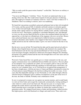"Why on earth would the queen torture Jeanetta?" scoffed Hal. "She knows no military or political secrets."

"You never met Margaret," I told him. "I have. You don't yet understand what we are dealing with in her, Hal. She would torture Jeanetta for the pure pleasure of inflicting pain. She might give Jeanetta to Courtenay of Devon---God, I can't bear to think of it!" I shuddered. There was nothing I could do, and it was maddening.

We heard the Lancastrians assembled a gimcrack parliament back at their old stronghold of Coventry, and they passed bills of attainder and death sentences in absentia against every Yorkist lord and knight, although in my case it was purely a formality since I was already under capital sentence for slaying Morriss at Raby Castle, and they could hardly execute me twice. Then began a campaign to consolidate Margaret's rule, and although we were over the seas her hand fell heavily on those who remained behind who had ever opposed her, or who had ever offended any of the magnates who now served her. Houses were sacked and burned, men were imprisoned or killed for hearsay accusations, informers abounded, entire families were stripped of their homes and all their worldly wealth and driven into the wildwood naked. I grew ever more worried for the fate of my wife.

But the news was not all bad. We heard that the duke and his party had arrived safely in Ireland, where English barons and native chieftains alike flocked to his standard. The Irish Parliament took the first step and declared Richard of York to be king, and when royal messengers brought a demand for submission from Queen Margaret the offending documents were publicly burned and the men who brought them sewn into sacks and cast into the river Liffey.

Warwick's Calais-based fleet very quickly gave us virtual command over the seas, and regular communications were established between Dublin and ourselves. The next phase of our enterprise was to replenish our coffers, for war requires gold as well as steel and blood to feed upon. Although technically speaking we had made peace with France, our enemy for over a hundred years, we of York had never recognized that arrangement. It has been a bought peace, with the provinces of Anjou and Maine surrendered in return for a French princess named Margaret who had been nothing but trouble ever since. A few years after that deplorable marriage we lost Normandy as well, either through collusion with the French on Margaret's part or military incompetence on the part of her lover of the time, the Duke of Suffolk. Probably some combination of both.

So now we proposed to resume our war against our ancient enemies, and in small bands we rode out from Calais and ravaged the countryside systematically, looting anything of value which we could convert into hard cash. The past ten years or so of peace had plumped the nearby districts and made them lazy and relaxed in their vigilance, so we found somewhat more to steal than our fathers on similar duty would have done a generation earlier. We stripped French houses of plate and furnishings, robbed travelers like highwaymen, and levied blackmail on villages and small towns. These raids were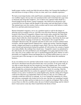hardly proper warfare, mostly just little hit-and-run affairs, but I learned the handling of men and horses in troops of thirty or forty at a time, and it was valuable experience.

We had several sharp brushes with small French constabulars trying to protect certain of our wealthier targets, but my men were mounted archers and it took them but a jig's time to dismount and string their longbows. Two of them were captured while drunk by a French knight from the district, named Vauquelin, who followed an old practice and severed the first two fingers and the thumbs of the archers and sent them back to Calais. The maimed men were now useless, both as archers and for most useful labour or crafts, their lives and their pride destroyed forever.

Honour demanded vengeance, not to say a prudent regard as well for the danger of allowing such an example to be set. I got fifty extra men from Warwick, determined the location of the Sieur de Vauquelin's chateau some twenty miles outside the Calais Pale, and then took my war band the entire distance in a swift night ride. We surrounded the manor church while the whole household was at morning mass, then broke the doors and came into the church swinging sword and axe. The peasants who escaped the first onslaught I allowed to flee, the sergeants and men-at-arms were cut down without much resistance, and the knight himself captured alive, raging and cursing. I had him dragged outside, stripped and bound to an upended wagon wheel. The two men he had mutilated came forward and meticulously burned his genitals off with torches; his screams of agony were indescribable, like nothing I have heard since. Vauquelin's manor was plundered to the rafter beams, his wife and thirteen-year-old daughter were gang-raped in front of his eyes, and a few of my soldiers who were so inclined buggered the priest. Before we left I personally cut Vauquelin's throat and hanged the two ravished noblewomen on a tree, as a necessary part of the message we were sending to the French about this mutilation business.

In my own defense let it be said that I allowed the women to put their torn shifts back on and receive absolution from the priest before they were executed. To his great credit, he was able to render them the last rites despite his own half-crippled state. Nor would I allow the priest to be killed or the church itself burned. That would have been overdoing it and brought the ecclesiastical authorities down on our necks for sacrelige. Had this Frenchman simply killed the two archers he captured I would have accepted such as the fortunes of war, and so would all of us in the English army, but this cutting off of fingers could not be allowed to go unpunished. Had I not done as I did, my own soldiers and comrades would have held me in contempt. As it was I gained the reputation of a fierce and solicitous commander who looked out for his men, and that was something I needed in order to serve the duke and best to help my love in captivity in England. That is all the excuse I have to offer for a terrible crime, the sin of which I acknowledge and for which I know I must answer some day when I stand before the throne of God.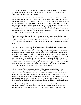"Isn't my lord of Warwick afraid we'll bring down a whole French army on our backs if we continue to comport ourselves in this manner?" asked Hal as we rode back into Calais, escorting the plunder-laden carts.

"There is method in his madness," I said with a chuckle. "Warwick acquired a good feel for the frogs when he was here all those years. They're as brave as their leaders, no more and no less. Give them a Du Guesclin or a Clisson or Joan the Maid and they'd turf us out of Calais tomorrow, but it would seem that the present French King Louis is extremely parsimonious and doesn't like to spend money on expensive indulgences like armies. He prefers to buy us off. We haven't done anything really major by way of damage, and eventually we'll come to an arrangement with Louis." So it happened. Several days later we received emissaries from the French monarch, a bargain was struck, a cartload of gold changed hands, and we rode no more into France.

Calais was defended by several stout fortresses on both the seaward and the landward side, and in late December we awoke to alarm bells clanging throughout the city. Sticking my head from the casement window I called out to an archer who was running past in the street below, his bow strung and a sheaf of clothyards in his hand. "What's happening? Is there a fire?"

"Nay, lord," he told me, not stopping. "Lancaster men in the harbour!" I leaped to my arms, and with Jack Fletcher's help I was encased in steel in record time, my sword drawn and shield slung, and so into the street. By now other knights had armed and were pouring out of their houses along the square, and in a loose formation we clanked down to the wharf. But we were forced to sit this one out, while Warwick's sailors battled the Lancastrian ships which had sounded into Calais roads. We outnumbered them, and soon black tarry smoke was pouring from the burning enemy vessels and roiling into the sky. But under cover of this several ships, having bound anchors to the guard chain across the Calais roads and thus sunk it low enough for them to cross, slipped up to the quay of the castle of Guisnes, the strongest of the seaward redoubts. "Have they lost their senses?" cried Hal. "Our archers on yonder walls will cut them to pieces!"

"Nay!" I shouted. "Something's wrong! Look! They're raising the barbican. More treachery! Isn't any of this Calais lot loyal to York?" I was right. Osbert Mountfort, castellan of Guisnes, had turned his coat and handed his fortress over to the Lancastrians, who were commanded as we learned later by the young Duke of Somerset, son of the man who had died at St. Albans and who had sworn revenge on all those responsible for his father's sticky end. But the skill of Warwick's seamen had sent most of young Somerset's fleet to the bottom, and we laid siege lines around Guisnes and bottled him up.

"It is the way of England these days," I overheard Edward of March tell Warwick carelessly. "Hearken, my lord, when the shoe is on the other foot and York is winning, we'll see how quick the queen's liegemen are to turn their coats from red rose to white."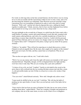For weeks we did siege duty on the lines around Guisnes, but the fortress was too strong for us to risk an escalade and the Lancastrians within too few to risk a sortie, and so for the time being the situation was stalemated. Then Warwick received word that a large Lancastrian force was assembling at Sandwich in order to sail to the relief of young Somerset. "Well, well," said the earl when he digested this news, rubbing his hands together in sudden glee. "I think, messires, that we have run like frightened foxes before these hounds for too long. Let us show them the fox has a sharp tooth."

Just past midnight on the seventh day of January we sailed from the Calais roads with a small flotilla of warships, caracks and round-bottomed vessels like tubs, mounted with small cannon called gerfalcons, and with a few carefully hoarded jars of Greek fire to spurt flame at enemy ships should they attempt to board us. I sailed with the personal guard of Prince Edward, and we set course over choppy winter seas for Sandwich. "Will we surprise them, lord?" I whispered to the prince, trying to get my mind off my queasy stomach.

"I think so," he replied. "They will not be expecting us to attack them across a winter Channel at such an ungodly hour. By the mass, they caught us by surprise in like manner! We're just out of port, Sir John, and they cannot hear us in Sandwich. Why do you whisper?"

"The sea does not agree with me, sire," I said with a lurch.

"Well, if we see any enemy sails I trust the sight will restore you instantly to full vigour," chuckled Edward. "Hopefully, though, we'll be in England before first light and they won't have time to take ship. Why are you wearing only a jack and a pothelm?"

"A choice of two evils, my lord," I replied. "I prefer to risk death by the sword or the arrow than to fall overboard into the sea wearing full plate armour and sink like a stone. A cold and terrible death, my lord. I'd like to at least try to swim a few strokes if that happens."

"You can swim?" asked Edward curiously. "How odd. I thought only sailors swam."

"I must needs be skillful in the art, my lord," I told him. "My wife has the habit of pushing me into open bodies of water. Have you not had any word of the ladies left at Ludlow?"

"I have tried to find out from our spies in England, Sir John, but no one seems to know anything about them," replied March. "There are a number of knights and gentlemen in our company who are in the same straits, no news at all of their wives or daughters.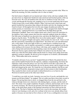Margaret must have done something with them, but we cannot ascertain what. When we land in the morning, Sir John, remember who it is that we battle."

Our brief return to English soil was hurried and violent. In the cold clear starlight of the pre-dawn hour we slipped into Sandwich roads unnoticed and beached quietly a little up from the town. We were all numbed with cold, but we climbed over the side of our vessels and through the freezing surf, stopping to tow in several small boats full of more Yorkist troops from vessels farther offshore. Other York men took to their boats and quietly boarded the Lancastrian ships riding in the harbor and slew the sleeping men they found on board. All throughout the town the same sloppy discipline prevailed. No sentries posted, no watch fires, not a soul stirring. "These arrogant fools shall be brought down this day," muttered Warwick as we trotted down the High Street past the fishmongers' guildhall. There were sudden shouts and a clash of steel off somewhere in the darkness, and a single cannon shot from the waterside suddenly broke the stillness. Our little army in Sandwich was descried at last, and down the High Street a single bell began to ring the alarm. "To the Blue Dove inn on the market square!" called out Warwick to our squad of knights and squires, about twenty-five men in all. "I have it well that the Lancastrian commanders are lodged there!" We broke into a run and debouched into a wide square. In the gray light of dawn we could discern a creaking tavern sign bearing a blue dove, and we quickly surrounded it. A stable groom staggered out into the street, pulling on his trousers, his eyes bleary with sleep, and a sergeant cut off his head with a flying slash and kicked his blood-gushing corpse into the gutter, flopping. Warwick's brawny squire and the Earl of March were about to lay into the door with battle-axes when the bolt rattled within and the head of a sleepy-eyed, pudgy-faced man appeared, eyeing us stupidly. He did not at first recognize us as enemies, and demanded of us, "What makes that tocsin, messires?"

"It maketh cold meat of you, my host!" laughed Edward of March. He pushed the door open and the landlord backed into the taproom, suddenly comprehending, but before the innkeeper could scream the prince's axe clove his skull in twain like a ripe melon. He collapsed on the floor, blood and brains all over his greasy smock, and we leaped over his body and charged up the stairs. We found the two Lancastrian admirals, Earl Rivers and his son Lord Woodville, desperately trying to pull on their armour in their bedchamber. They reached for their swords and made to defend themselves as we burst in, but Warwick leveled his point at the older man's throat

"I would have you yield, my lords. I promise you your lives if you do, and death the very instant you lift those blades!" he snapped. The two noble men threw down their swords in disgust. Not giving them time to dress, we dragged them from the inn and back to the wharves through streets now clamorous with running figures, screams, and the clash of steel. The enemy were caught completely off guard, confused, and ill-armed, and we met no serious resistance. We shoved our prisoners into boats and pulled hard for our own ships, as the pitch-black smoke of the burning Lancastrian war fleet roiled up into the morning air. The Earl of Salisbury had fired every vessel in the moorings, the wooden wharves were burning as well, and a few rooftops in the town were already ablaze from sparks or because our men had set fire to them as well. It was a conflagration even more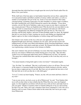thorough than that which had been wrought upon the town by the French raider Piers de Bréze a few years before.

With a half-turn of the hour glass we had landed, burned the red-rose fleet, captured the two Lancastrian leaders and killed a number of enemy soldiers and sailors, as well as a number of townspeople who got in the way. Some of our men returned to their ships carrying kicking, screaming young girls over their shoulders in various stages of undress, but when I pointed this out to Prince Edward he roared to the offenders, "Loose those wenches, you lot! My lord of Salisbury, make sure no man on your ships is carrying off any women prisoners! Those are Englishwomen! Who the devil do you men think we are, Vikings? Until we return home for good you can damned well make do with French whores!" Disappointed, the abductors dropped the girls into the sea. The water was freezing cold but fairly shallow, and most of them probably made it to shore. By nightfall that day we were back in Calais, toasting our success and chiding our chagrined and hapless captives for their wicked allegiance to feckless kings and French harlots.

Our fortunes were clearly on the rise as the new year approached. Every ship from England brought more and more volunteers for our cause, and soon the taverns and lodging houses of Calais were filled with drinking, dicing, brawling Englishmen, waiting for spring and the wind which would take us home. We learned from letters that the duke was experiencing a similar increase in his fortunes in Dublin.

One such volunteer who arrived in February was none other than young Francis Green from my own manor of Whitewood, finally bearing news of my lady. "She and other Yorkist wives are being kept under house arrest at Whitewood, my lord," he reported. "The queen has confined them there and they are guarded, in the event they may serve as hostages."

"You mean Jeanetta is being held captive in her own home?" I demanded angrily.

"Aye, Sir John," he confirmed. "But she is well treated, as have we all been. The new lord of the manor is a Lancaster knight from Stafford not wholly lacking in chivalry, and he has not slain or oppressed any of our folk. But I have not yet spoken the best news of all. My lady bids me to tell you that she is with child again."

"Is it so?" I cried, my heart leaping. "Francis, my lad, will you return and bear a letter to my wife?"

"I am at your service, my lord, as are we all at Whitewood," he said. "Tom Simkins bids me to tell you that when we hear reliably that the White Rose has come into England again, we who fought for you before will all steal away with our bows and make haste to join you again." Hastily I scrawled a letter to Jeanetta telling her of my joy and assuring her that I was safe. That is all I said, a harmless letter from a husband to a wife who was a friend as well, no more. Francis Green sailed on the return tide, but I never got a reply from Whitewood.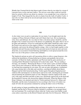Months later I learned that he had almost made it home when he was taken by a troop of Lancaster horse on the road near Ludlow. The red-rose scum either could not read the letter he carried or did not care about its contents; it was enough that it was written by a knight of York. They hanged the boy alive in chains from the walls of Ludlow Castle. A man who was there told me he moved and made noises for days before finally turning silent in the wind.

## XIII.

As the winter wore on and we made plans for our return, I was brought much into the company of Prince Edward of March, and well I liked what I saw. He was handsome, witty, brave and debonair, the very ideal of what a chivalrous prince should be, and the thought of his eventual succession to the throne was gladdening. He spoke often to me of his plans and ambitions, of how he would help his noble father rebuild the realm, renew the French wars and recover the empire of Henry V, revitalize trade and industry and husbandry, and restore the debased English coinage. After we had fought together on the Sandwich raid and I became enrolled in his personal mesnie he kept me more and more about him, an association I found flattering and helpful as word spread around the town that I was one of the prince's cronies and confidants.

The Sandwich raid put an end to all Lancastrian efforts to relieve young Somerset, who suffered the humiliation of being bottled up in Guisnes and gradually starved into surrender. In March he finally capitulated, and Warwick had the grim satisfaction of watching Osbert Mountfort's head hacked off on the Calais sands. "We are sending a message," he remarked. "Betraying the House of York carries a price. In future perhaps some will be more reluctant to shed the white rose from their jackets." In the meantime, we had kept busy preparing for our return. We sent out spies and agitators, troubadours who sang stirring odes to the duke and scurrilous, scatological ballads about Queen Margaret and her little bastard princeling. Yorkist agents throughout England posted seditious bills and lampoons on church doors and tavern walls, attacking the government and proclaiming the imminent return of York. Margaret's minions replied in the same coin, with songs and libels and bills of their own, and bloody reprisal fell on the head and the household of anyone who showed the slightest disloyalty. When the Master of the King's Ordnance was attacked and slain by Yorkist partisans between St. Albans and Dunstable, and the train of armaments he was escorting to the Tower of London was made off with, the Lancastrians retaliated by sacking the duke's town of Newbury.

In early spring we began assembling ships and laying in supplies for our invasion of England, and the Earl of Warwick sailed to Ireland to coordinate a two-pronged thrust into our homeland. We would land in Kent while the Yorkist army from Dublin would come ashore somewhere on the Bristol Channel and strike first for Gloucester. While we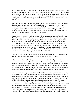took London, the duke's forces would march into the Midlands and cut Margaret off from reinforcements from the north. Daily our fleet anchored in Calais roads grew in size, with more and more ships bobbing on the waves or tied up onto the quays loading supplies and provisions. From England we heard of Margaret's frantic preparations to receive our landing. This would be the death grapple which would save or lose a throne, and all of Europe knew it.

We Calais men landed first. We came ashore on the twenty-sixth day of June, 1460, on a deserted beach some leagues north of Sandwich, and no one awaited us save a few shepherds and woodpickers along the beach who fled at our approach. There were perhaps two thousand of us, a few mercenaries but mostly exiled knights and their retainers like myself and Jack Fletcher, but we had no doubt that soon thousands of the yeomen of England would rise and join our standards.

That evening we obtained our first bloodless victory as we marched into Sandwich with drums beating and banners flying. The iron-shod hooves of the knights' horses rang on the cobblestones as we rode grimly through the deserted streets, massed spearmen and bowmen behind us. Pale faces looked out between the cracks of shuttered windows. Obviously the townspeople remembered our last visit. We learned that the mayor and aldermen and what few Lancaster troops there were had fled at our approach. We made our headquarters in the same Blue Dove inn where we had captured Earl Rivers and Lord Woodville. "Serve us only the best," Prince Edward told the trembling landlord, "Else we shall serve you as we did your predecessor in this hostelry."

"Nay, bully lord," the innkeeper assured us, wringing his sweaty hands, a ghastly grin on his face. "I've no love for Lancaster. 'Twas that villainous brother of mine."

"Cease maundering and knock open every wine cask in the place," growled Warwick. We all sat down to an impromptu feast, sack and ale and roast capons the dripped fat from their spits, trenchers of eggs and sausages, and bloody slices from a roasting side of beef. More and more knights and lords of the army joined us, and our scouts reported that not an enemy could be espied between the coast and Canterbury. We relaxed and unbuckled our armour. It was a long summer's night, warm and soft, and we were in England.

Our prince was not only a prince, he was tall and handsome and generous, and as young as he was his skill at luring fair maidens into bed along with his prowess once he got them there was already legendary. During the evening no one could have failed to notice a tall, lissome wench with fiery red hair, apparently the landlord's daughter, who kept our goblets full and our trenchers heaped, smiling and laughing and flirting. The prince seized upon her early, whispering to her and making her giggle, and soon she was part of our celebration. As darkness finally descended no one was surprised when Edward hefted the slightly tipsy maid into his arms and ascended the stairs with her into Earl Rivers' former chamber. "My lord of *March couches his lance* yet again!" Warwick called out gaily. We shouted in hilarity and thought no more about it, while some of the knights spoke of going out to look for girls of their own. Suddenly there was a crash from above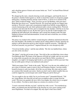and a shocking uproar of shouts and screams broke out. *"York!"* we heard Prince Edward bellow, *"To me!"*

We charged up the stairs, clumsily drawing swords and daggers, and found the door of the prince's chamber bolted against us. Inside we heard the sounds of a desperate grapple taking place, smashing furniture and the sound of blows. A dozen of us strained at the door, which would not budge. "Nym! You have an axe! Sir Rembert, with your mace! Bring that door down *now!"* shouted Warwick. We stood back and the two biggest men among us, Warwick's squire and a mountainous knight from Suffolk swung mightily in concert, hammering at the oak which splintered under a dozen crushing blows. Warwick reached in and slid aside the bolt, and we trampled into the chamber. I fell flat on my face as my comrades leaped over me. By the time I got to my feet the Yorkist knights were gripping the half-naked girl, the innkeeper, and a strong fiery-headed youth who kept lunging at Edward with mad determination. It took four men to hold him, two of them gripping his legs.

The prince was slashed with a shallow wound along his collarbone and bruised about the face and shoulders. His doublet was slashed, but he calmly pulled it off him, ignoring our urging to call his physician and let us deal with the would-be assassins. "I thought you loved not Lancaster, my good host?" inquired Edward, his voice deceptively mild

"I loved my brother, prince," said the man sullenly. "He who was landlord here, whom you slew at his own door."

"My father!" cried the girl in tears of rage. "Now kill us like you killed him, down where Tom Balstrode died! The beams of the taproom will hold our weight, and you can watch us swing while you guzzle our wine and eat our meat! But by Christ, you prince of slaughter, you ought to be hanging right beside us, and someday it will be your turn! One day our noble queen will give our murdered souls justice!"

"Hold your tongue, Kate!" broke in the youth. "My lord, I was the one who stabbed you. I am a man of Lancaster, squire at arms to the Lord Peregrine Stratton. I am thus doubly bound by honour to seek your death. All of this was my doing. My sister and my uncle are common folk, beneath your notice. Surely you don't want to admit in public that you could be trapped by a tavern-keeper and a maid? Hang me and let them go!"

"So you sought to slay me while I lay in yon lissome arms?" demanded Edward. "Tell me, young Brutus, how then did you and your accomplices plan to escape from the scene? The doors are guarded, the inn is full of my knights, the whole town is occupied by my soldiers. You had as much chance as a mouse at a conclave of cats."

"I wasn't concerned with that, my lord," said the boy with a scowl. "You murdered my father, you damned near drowned Kate in the freezing sea, now you're coming to kill more Englishmen. You had to be stopped. My only regret is that I have failed."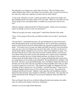The innkeeper was weeping now, and he fell to his knees. "My lord, Robin is but a soldier doing his duty. Kate is only fifteen! For sweet pity's sake, you took Tom from us, now take me to slake your vengeance, but don't slay our whole family!"

"I want to die with them, my lord," said the girl quietly. She smiled at her brother, her lips trembling and her face white, but her voice was calm. "When we were little you were always trying to leave me behind, Robin. I wouldn't let you then and I won't let you now."

"Bloody touching!" spluttered the Earl of Warwick angrily. "Surely you're not going to forgive an attempt on your very life, my lord prince?"

"When do you gain your spurs, young squire?" asked Prince Edward of the youth.

"Never. You're going to kill me like you killed my father. Get on with it!" growled the youth.

"On your knees!" commanded the prince; the men holding the boy shoved him down hard. Edward picked up his sword and unsheathed it, and we stood back, assuming he meant to strike the boy's head off without further ado. Instead he stepped forward and spoke. "You struck at me to avenge your father and fulfill your duty to your lord and the cause you serve, however ill that cause may be for the realm. You did so in the face of certain death without a thought for your own life, which is the hallmark of valour. You also knew that the lives of your sister and your uncle would be forfeit as well, but you went ahead, which shows that you have the potential to be a leader of men. Sometimes leaders must sacrifice the lives of their friends and their very blood if it be for the common good, the hardest thing of all to do. Courage and leadership takes many forms, my young friend, not all of them on the battlefield." He touched the boy's shoulders with his sword. "Be thou a good and faithful knight. Arise, Sir Robert. Depart from this town and take your lovely sister and your somewhat less than hospitable uncle with you. Here is a purse to speed you on your way." The stunned new knight was dragged to his feet. "Someday all this is going to be over, Sir Robin," continued the prince. "I hope you live through it. England and my house of York will need your services." He turned to the staring girl and kissed her hand. "Madam, I only regret that your bloodthirsty relations delayed not their dramatic entry tonight by a half hour." He gestured. "Now get them out of here and find the leech. Perhaps he can succeed in killing me where this fellow has failed."

That was Edward. Like all of us, he did his killing efficiently and in plenty, but unlike some, he could use his enemies with mercy. Sometimes.

And thus was my first sight of Kate Balstrode.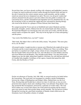Several days later, our forces already swelling with volunteers and landholders' mesnies, we began our march northward towards London through the Kentish fields and lanes in the rain. It turned into the wettest summer anyone could remember, and the weather rusted our armour but never dampened our spirit. The news was all good. London had refused a demand from the queen to provide soldiers from the guilds to reinforce the Lancastrian forces, and the outnumbered and unpopular red-roses abandoned the city. On the second day in July we entered the capital and were welcomed by cheering throngs who stood in the drizzle for a glimpse of Prince Edward, their future king.

We camped around the Tower and out on Smithfield and waited. Hundreds and then thousands of knights, archers, billmen from the city trained bands and others joined us. We heard that Margaret was massing her army once more at Coventry, and that she had started south to recapture the capital. "This may be the big fight we've been anticipating," said the prince.

"Any word of the Dublin force, my lord?" I asked.

"Bad winds. My father's fleet is still in the Liffey estuary." He grinned. "The more glory for us, eh, Sir John?"

All around London, I sought travelers or anyone out of Hereford who might tell me news of Jeanetta and the women imprisoned with her at Whitewood. There was nothing. Then just before we marched out to fight, a large column of men commanded by none other than Sir Gerald Talbot arrived from the west, and with them was Tom Simkins and forty men from Whitewood and Brantley. They brought joyful tidings. Two days before they slipped away into the night, taking their longbows with them, my wife had been delivered of a healthy baby daughter. In defiance of her captors, Jeanetta had named the child Cicely, after the Duchess of York!

## XIV.

On the wet afternoon of Tuesday, July 10th 1460, we arrayed ourselves for battle before the Lancastrians. The royal army was encamped in a meadow outside Northampton, between the village of Hardingstone and Delapré Abbey. Behind them was the river Nene, flowing deep and flooded due to almost two days of solid rain, at once an extra protection from surprise attack and a deathtrap if they were defeated. Deep ditches were dug around the Red encampment, protected by a palisade of wooden stakes. The road from London was covered with cannon, but it had rained all morning and the enemy's guns were mired in mud, their powder damp, mostly unusable. The sun had now broken through the lowering sky, great black mountains of thunder clouds rolled across the firmament, laced with golden columns of sunlight.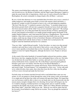The enemy stood behind their earthworks, ready to repulse us. The Earl of Warwick had sent forward envoys, the Bishop of Salisbury and the Papal Legate Monsignor Coppini to make the usual ritual offer of negotiations, which were of course refused by the Duke of Buckingham, the actual commander in charge despite silly old Harry s presence.

By two o'clock that afternoon we were marshaled three bowshots away across a stretch of stubby hedgerows and muddy green fields covered with summer wheat and barley, a deceptively verdant coverlet for ground we knew to be a soft and dangerous quagmire. "My lord, I like this not!" I ventured to protest to the Prince. "A mounted charge across that broken ground which will turn into a quagmire beneath our horses hoofs and under shot from massed archers all the while? Can you not remember Agincourt?" My analogy was a pertinent one, for at that great battle the massed chivalry of France, ignoring past lessons, had charged on horseback over muddy ground straight against thousands of the mighty English longbows, and it had turned the field into a slaughterhouse. The powerful longbow, when shot en masse by yeomen trained from their birth in the use of the weapon, could stop any charge on foot or horseback. Romance still hymned the mounted knight and filled itself with the shock of lance on shield, but in actual practice the longbow ruled the battlefield and had for two centuries.

"Fear not, John," replied Edward steadily. "In the first place, we must cross that ground somehow and scale those works in the teeth of their arrows, come what may. We shall cross it more speedily on horseback than on foot. Secondly, my lord of Warwick has a surprise in store for Captain Marguerite, although she knows it not. Prepare to advance banner!"

At the sound of the tucket hundreds of mounted knights jockeyed into position, urging their horses into line, snapping shut their visors and gripped lances in the rest. Our army was divided into the usual three battles or sections, and each of us were to attack the enemy fortifications from a separate side. We of the Prince's personal guard gathered beneath a great snow-rose banner, born this day by Sir Edward Brampton, a swashbuckler with a reputation for courage and ferocity. Prince Edward drew his sword and raised it high. "Forward banners!" he commanded in a firm voice. "At the walk until we're within bowshot, then canter, then when they loose the first volley into the gallop; we'll try to move forward and under the first loose."

On both wings our footmen marched forward with us and behind them came our own archers. It was our purpose to break through the center of the enemy works on horseback if we might and roll up their line while our footmen fell upon their flanks. We hoped that our own bowmen would be able to shoot over our heads and over the breastworks into the unseen enemy enough to hamper their own shooting, but my heart still misgave me, for we would be charging a fortified position over bad ground, and we would be terribly scourged by the deadly rain of grey goose shafts. "What was it Harry Hotspur said before Shrewsbury fight?" asked Hal, riding at my side. "When he was told his squire had left his favourite sword behind in camp, did he not exclaim, 'Now my plough has reached its last furrow?'"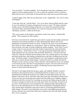"I am not afraid," I told him truthfully. "Even though this looks like a deathtrap to me. I suppose I must be getting inured to it, to be so calm, but somehow I know as I did not before that my fate is in the hands of God and He alone shall send me good deliverance."

"I shall be happy if He sends me any deliverance at all," laughed Hal. "Ah, to be in merry old England!"

"Come lads, buck up!" said the Prince. "Let's set on those whoreson Reds and do a deed or two to be spoken of in palace and taproom for years to come!" We began cantering steadily closer to the black beetling earthworks, over which the Lancastrian archers waved their flags and shouted defiance. We could see long green leeks in their caps. "Welshmen, messires!" called out the Prince.

"The very inventors of the longbow and still the world's best archers," chuckled Hal grimly. "This is going to be sheer murder."

Our horses iron-shod hoofs crushed the green shoots of grain into the muddy ground and churned up clods and great gobbets of earth, splattering their fetlocks but not yet hampering our forward movement too much. Around me the lances weaved and bobbed like a forest of willow saplings in a strong breeze. Then we heard the shouted cadence from the barely seen ranks of archers behind the earthen ramparts. "Nock! Draw! Loose!" A huge cloud of wood and steel and white feathers leaped from the earth and hurtled down towards us. "Nock! Draw! Loose!" A second eccentrically shaped dark sheet of death leaped into the sky from the swift and deadly Welsh bows, even before the first volley hot. Then the clothyards hissed among us like sleet, striking sparks on our armour and raised shield-rims, and sending screaming horses and riders crashing down into the mud. "Sound the charge!" boomed Edward's voice. Our trumpeters and drummers burst forth into a strident and discordant fanfare. I leaned forward in my saddle and spurred Thunder forward, striving to keep at Prince Edward's side beneath the snow-rose standard as I loosened my lance from the rest and prepared to couch it. The steel wall of men and horses was slowly speeding up to a gallop, a lumbering forward surge that threw a shower of sticky mud-clods into the air.

The hail of steel-tipped death fell among us again, and suddenly Thunder screamed beneath me and surged forward in a wild abandoned burst of speed. I saw an arrow protruding from beneath the pommel of my saddle, the shaft buried almost up to the feathers in the horse's body, and I knew that I must leap clear. Kicking the stirrups loose, I drove my lance into the ground and vaulted from the saddle just as Thunder stopped, shuddered, and fell over dead. By wrenching my muscles and sliding along the shaft of the lance I managed to land on my feet in the mud, which was fortunate, for had I lit on my back I would surely have been trampled by the charging knights riding behind me. But even as they thundered past I saw more horses going down, including the Prince's steed, and he barely managed to leap clear in time to avoid being pinned beneath his fallen charger. The arrows were doing their worst work on the lightly protected horses, but here and there lay twisted steel-clad forms writhing in the mud with shafts through their visors or gorgeons.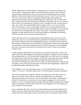But the charge had served its purpose in carrying those of us who survived across the widest stretch of open ground, and no sooner did the prince climb to his feet than he summoned his standard-bearer back to him and took the banner with his own hands, holding it aloft as he trotted toward the earthworks on foot. "York! To me!" he cried. "Up, over, and at them!" The few remaining mounted knights who reached the earthworks dismounted and began clambering up the soggy slope, and we trotted after them. In truth, this close the Lancastrians' fortifications worked in our favour, for had we been on open, level ground they would have shot us straight down like so many butts of straw, but as they were sheltered behind their ramparts and we were now somewhat below the, they had to shoot at a high angle. Nor had our own archers behind us been inactive, for as I strove to climb the muddy incline I could see through my visor-slits that the earthwork was bristling with arrows like a pincushion. All the time we had been slogging over that muddy field, our own bowmen had been enfilading the Welshmen, which is no doubt why we weren't all lying stark dead.

Above and ahead of me I saw that the enemy had implanted stakes on the crest of the earthwork, and even as I watched the prince and the first of our knights reached the top and buckled with the Lancastrians defending the position. I strained myself to catch up, but my greaves and my legs were weighed down with pounds of mud, and I inched up the rise slowly like an old men mounting a staircase. The din around me was indescribable, and I was so hot and sweaty inside my armour that I was sure I would swoon without striking a blow.

I finally staggered up behind Prince Edward as he wielded his sword like a switch, and again I knew the endless ripping and tearing and hacking as I chopped insanely at anyone and anything before me. The enemy archers dropped their bows and came at us swinging their huge mauls, and these heavy hammers crashed onto armour all up and down the line in a deafening clangour, like some hellish unimaginable blacksmith's shop with thousands of men pounding anvils. Our own archers crowded in behind us swinging their own mauls, and in places the press became so thick that men dropped their weapons and throttled one another with their bare hands.

Then suddenly a cry arose among the enemy, a cry often heard before in this sorry conflict. *"Treachery!"* came the sudden shout. "We are betrayed! Lancaster is betrayed!"

The enemy lurched back in sudden confusion, and looking down the line towards my right I saw that their whole front was reeling and suddenly they were fleeing the earthworks. Looking to my left I saw why, for our troops on that flank, commanded by the Earl of Warwick, were swarming over the ramparts unopposed. It was the rout of Ludlow in reverse. The entire Lancastrian right wing had suddenly changed sides, hoisted white-rose pennants, and with shouts and calls of encouragement were now helping our men over their own breastworks.

It was a shambles after that. I sat on the ground exhausted, and gratefully pulled off my helmet to ease the furnace-like heat inside my armour, but there were not lacking lightarmed archers and mercenaries to pursue the broken red-roses and butcher them and rob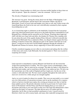their bodies. I heard another cry which was to become terrible familiar in those times-an order for pursuit. "Spare the commons!" came the command. *"Kill the lords!"*

The chivalry of England was exterminating itself.

The massacre was great. Among the enemy dead were the Duke of Buckingham, Lord Beaumont, Lord Egremont, and the head of the Lancastrian Talbots, the Earl of Shrewsbury. Scores of lesser lords and knights were slain as well, and Yorkist troops who found King Henry the Sixth in his tent were with difficulty restrained by their sergeant from killing him as well.

As we feasted that night in celebration on the battlefield, I learned that the Lancastrian right wing which had turned traitor and given us the battle had been commanded by Lord Reginald Grey of Ruthin and his mercurial son Sir Thomas. Watching them laugh and chaff with their new liege lords and allies, the drunken Sir Thomas Grey standing with his arm about the neck of the equally drunken Prince Edward, I reflected ironically that had I married Melisande Grey as planned at Raby, my alleged schemes against the Grey holdings would have borne fruit, although not quite in the manner I had laid out to the Queen. I would now be the lord of all the Ruthin appanage through the attainder of Reginald and Thomas for treason, always supposing of course that Lancaster won.

I briefly considered engaging our new allies in conversation and asking after the welfare of their niece and cousin, Lady Melisande, but decided against it. There was no point in reopening old wounds.

## XV.

I had expected us immediately to pursue Margaret and finish her off, but instead the Yorkist host marched back to London. "We won a great victory at Northampton, John," the Prince told me, "But we must not be overeager. The duke my father is still delayed in Ireland by bad weather, and we need him at the head of our endeavour here. We have run the Lancastrians out of the south of England and East Anglia now, but the rest of the country is still under their rule. We have much sympathy throughout the realm and we must now sit down for a while and get our strength together.

And so we sat in London for almost two months. They were not uneventful, as we routed out a few little pockets of Lancastrian resistance and set up the machinery for a regency which we had now decided must replace the existing government now that we had the king's pathetic person. My priestly education stood me in good stead, for I spent many hours in Westminster with the Prince and Warwick helping them go over reams of documents and trying to sort some kind of order out of the legal and administrative chaos which was the legacy of Lancaster. The duke did not arrive in London until late September, but by then we had assembled a parliament of sorts. I myself stood for Hereford, which was still in enemy hands, and many other makeshift arrangements were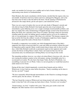made; our member for Leicester was a saddler and we had a former chimney sweep representing some district in Northumberland.

Duke Richard, after much consultation with his barons, decided that the regency idea was unworkable. It had been tried twice before and twice sabotaged by Margaret, and so the time had come for him to take the bull by the horns. On the opening of Parliament he advanced to the empty throne, put his arm upon it, and claimed the crown.

There was not a man in London who was not sick unto death of Margaret's misrule and who did not long for Duke Richard's firm hands upon the reins of government, but immediately a great dithering arose over a single seemingly insurmountable problem, and that was simply that a duly anointed king of England already existed in the dazed form of Henry the Sixth, now a prisoner in the Tower of London. The king's mind was obviously clouding under the strain; his halting speech wandered and he was in no fit condition to rule or even participate in a regency. But what to do with him? The humane sergeant who had saved his life from the soldiers' swords at Northampton might have better stepped aside and thus spared the realm a bloody bone of contention.

Eventually a compromise was reached, one which disappointed many of the duke's supporters but which at least provided for a sane and stable government without the need for deposition and/or regicide. Henry would remain king in name only for the rest of his days, while Duke Richard would rule as permanent regent an heir apparent and would assume the throne on King Henry's death. I had a sad suspicion that once the last Lancastrian army was defeated poor old King Henry was not long for this world.

The immediate problem, however, was what to do about Henry's ferocious wife, who was now touring the northern counties in her old manner, raising a formidable army for a second push on London. We also knew that Jasper Tudor, the Earl of Pembroke, was assembling a Lancaster levy in Wales. Unless we moved quickly we would find ourselves under attack on two fronts.

During all this time I chafed impatiently, worried about Jeanetta and my child at Whitewood. At last I laid my cause before the prince. "Surely something can be done to free her, my lord?" I urged.

"We have repeatedly offered through intermediaries in the Church to exchange hostages with the queen, but she refuses," he told me.

"The last I heard the women at Whitewood were being treated well, and my father has made it clear that York will avenge any harm done to them. You know our war plans?"

"Sound strategy, my lord," I replied with a nod. "One army goes north to deal with Margaret, the other marches west to meet Pembroke."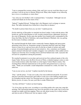"I am to command the western column, John, and I give you my word that when we get out there I will do my best to liberate Whitewood. Many other knights in my following have wives or sweethearts or sisters there."

"Aye, lord, my own brother's wife is immured there," I remarked, "Although I am not certain he'll thank me for the return of her."

"Indeed?" laughed Edward. "Perhaps that's why Margaret won't exchange or ransom them. The ladies husbands have bribed her to keep them in durance."

"No doubt to protect them from you, my lord," I replied gravely.

On the ninth day of December we marched out from London. I rode with the prince, Hal beside me, and Sir John Brinton as well, recently returned from a diplomatic mission at the court of Burgundy. On the same day another force headed north, commanded by His Grace the Duke, the Earl of Salisbury, and young Edmund of Rutland, who was getting his first taste of military command.

We marched through the bleak winter countryside, banners dipping and spear points glistening in the frosty air. Sometimes groups of peasants lined the roads and village streets to cheer for us, and our forces grew by the day as bands of archers and small groups of mounted knights and men at arms joined us. Also, sometimes our foraging parties returned with dead and wounded, stragglers were ambushed, while sudden arrows sniped at us from the close-crowding forests and from behind stone walls. Lancaster did not lack for sympathizers among the peasantry.

We reached Leominster in seven days and received our first confused reports of the wily Jasper Tudor. He lay across the River Severn in Wales, evidently hoping to entice us into more hostile territory rather than battle us in the largely Yorkist March country. One morning Prince Edward summoned me to his pavilion and gestured me to a seat on a settle. "Think you can handle a small independent command for a while, Sir John?" he asked me.

"I am at your service, my lord," I replied, dazzled by the honour.

"Fine," said the prince. "I want you to take a few men northward and probe. If you don't find any Lancasters between here and Ludlow I want you to start making enough noise for Xenophon and the whole Ten Thousand and set a token siege around Ludlow Castle. Before you do, of course, I'm sure you'd like to retake Whitewood."

"Are they still there?" I asked, my heart leaping.

"As of two days ago they were, according to a travelling pedlar who came into camp this morning. The Lancastrian banneret may move his prisoners to the castle, but if you're fast enough you might catch him napping. There are only about twenty-five or thirty archers and men-at-arms in Whitewood. Just an outpost, really."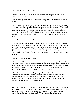"How many men will I have?" I asked.

"A good-sized cavalry troop, 50 lances and sergeants, about a hundred and twenty mounted archers, plus your own Whitewood troops of course."

"Ludlow is a huge keep, my lord!" I protested. "The garrison will outnumber us nigh two to one!"

"No, Tudor's stripped the place of men and weapons and supplies, and there's supposed to be a scant two or three score left. He must have overlooked that company at Whitewood in his haste. The reason I want it to appear as if we are attacking Ludlow is to give him the idea we're performing a two-pronged thrust at him. That should draw him out to attack one of us, and I am gambling it will be me. Tudor will think my forces are more depleted than they actually are. He won't expect to come up against the full might of my host."

"And if Tudor marches to relieve Ludlow?" I asked.

"Then you run like a started hare before the hounds and it becomes a race for me to catch up with him before he joins Margaret. But I don't think he'll go for you. He won't be able to resist the potential glory of beating me and sticking my head on a pole. I was going to give this job to John Brinton, but he seemed to feel that you were capable of the task and it was time you tried your wings." I was extremely flattered and said so. "He must be serious, because both his sons are going with you. Brampton has your muster roll, so get on with it."

"Aye, lord!" I said, rising from my seat.

"One thing," said Edward. "I advise you to move against Whitewood quickly but with care. I don't know what orders that Lancastrian has regarding his prisoners, nor do I know the man personally, so I cannot gauge his mettle. He's some Stafford lance I never heard of, his name even escapes me at the moment. Nevertheless, you don't want to get yourself into a situation where he's holding a knife at your wife's throat."

Edward left unspoken another chilling thought. It was just possible that the vengeful Margaret, maddened by her hatred of everything Yorkist, had ordered her gaoler to execute his captives rather than allow them to be rescued. When I took the northern highway hours later, my horsemen and my archers behind me beneath a snow-rose banner, it was with a grim sense of foreboding.

It was cold as we crouched along the base of the wall encircling Whitewood. Our breaths were frosting white in the air, wreathing our lips in a cloud of vapor. All along the wall my soldiers hunched, fingering their weapons impatiently. Three hastily knockedtogether ladders lay ready for the escalade. We had reached the wall apparently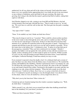undetected, for all was silent and still in the winter air beyond. I had looked the manor house over very carefully before approaching but it was totally devoid of any movement or any evidence of habitation, grim and bleak in the grey morning. My alarm was growing, but I clung to the idea that the manor's garrison had fled to Ludlow, taking their captives with them.

Jack Fletcher slipped to my side, coming to me from Bill and Hal Brinton, who had circled around to the front gate with half the force. "They're ready to move in," he told me. "We won't have to scale the wall on that side. The front gate into the park is standing wide open."

"Any signs of life?" I asked.

"None. To be truthful, my lord, I think our birds have flown."

"They may be lying in wait for us," I asserted. "There could be a dozen archers up there in the tower ready to shoot through the arrow slits, and we wouldn't see them. We'll go over the top now and advance on the house. If they're in there they'll be diverted, their attention on us, and then I'll sound the tucket for the gate party to attack." I beckoned to a sergeant and told him to pass the word to go over the wall as quietly as possible. "I'll try the center door to the buttery first," I whispered to Jack. "It opens in on that little jog in the passageway, remember? They can't have reinforced it too strongly." Silently I gestured, the ladders went up against the wall, and the seventy-odd men swarmed over rapidly, archers clutching arrows in their teeth for quick use if need be. Within seconds we were over the wall and trotting towards Whitewood manor house. I must build that wall higher, I reflected fleetingly. It had been entirely too easy to scale.

Every moment I expected to hear the deadly *whutt!* of a clothyard shaft and a scream of pain, but there was only silence from the lifeless mass of stone before us. We reached the granary and huddled in the shrubbery. Silently I motioned for Jack to accompany me, and we slid down the wall trying doors. They were all locked. We came to the one I intended to use and found it barred from within. I beckoned to the knights in my party and they ran clanking to my side, along with the trumpeter. "When the horn sounds, go at the door with your axes," I told two of them. *Dear God, are we going to find them all dead in there?* I wondered to myself, not daring to voice the thought aloud. I was about to blow for the attack, when we were all startled by a silvery laugh from above us.

"Why don't you try the front door? Most visitors do."

I looked up and saw Jeanetta leaning from the window casement, laughing at us. "Well, ah, hello there," I stammered.

"Hello yourself. I say, why don't you go around front rather than skulking around back here in the shrubbery? It's your house, you know."

"Where are those Lancaster blokes?" I asked.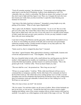"Took off yesterday morning," she informed me. "A messenger arrived bidding them make haste to join the Earl of Pembroke. Ludlow's been abandoned as well. Too vulnerable, they say, which is codswallop. The Reds are unsure who's going to win and they don't want to fight until they figure it out. Then, too, I imagine the men who were here feared your wrath when you discovered they've spent the winter burning your furniture for firewood."

"And what of the ladies kept here in durance?" demanded a young knight at my side, pulling off his helmet. "What of Lady Agnes Elginbrodde?"

"She is quite well, Sir Martin," Jeanetta informed him. "As are we all. The rest of the girls are in the cellar. My woman Mary told us there were armed men approaching the house and we didn't know who you were. If you will come in we can poke up the remains of John's study desk and you may warm yourselves. Or else you may continue to stand there with your noses turning blue."

I sent Jack to bring in the Brintons and the gate party, while Jeanetta descended to let us in. Soon we were doffing our armour in the hall, and several men were passionately embracing weeping women. I looked around in despair, for my lady spoke true. The place was almost denuded of furnishings.

"Saints assoil us, they've stripped the place bare!" I moaned.

"Just about," agreed Jeanetta. Mary approached us bearing a small bundle. Jeanetta took it from her and presented it to me. "Your daughter," she said softly.

She was a beautiful infant in truth, with a small delicate face and big green eyes like her mother's which appraised me steadily, not wandering as so many babies' eyes do. I stroked the little head tenderly, and then leaned over and kissed Jeanetta. "This is the greatest gift of all," I told her softly. "From my heart I thank you, lady."

"The next shall be a son," she promised me. "How long can you stay?"

"I'll have to occupy Ludlow," I told her. "With a little luck Edward will leave me in command there as temporary castellan. On the other hand, if he commands me back to the host then I must go. The whole idea of my coming up here was to act like a second Xenophon and convince Pembroke that Edward has divided his forces and is sitting down there at Leominster weak and vulnerable. It doesn't look as if he's falling for it so far. We'll have to wait and see."

"But a few days at least, my lord?" she insisted.

"Oh, for certain. You and these ladies can all come to Ludlow. Most of their husbands are here in my force, as you can see." Around the bare hall were almost a dozen couples laughing and talking, some of the women weeping with joy at their reunion with long lost menfolk. I was glad to see a little happiness in the midst of this tragic civil war. "We shall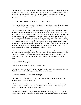stay here tonight, but I want to be off to Ludlow first thing tomorrow. There might yet be a Lancastrian counterattack in this district and besides, it doesn't look as if I've facilities to receive so many knightly guests, the way they sacked the place. Who was that Lancaster oaf in charge here, anyway? Be damned if I don't settle with him for all this destruction!"

"I hope not," said Jeanetta anxiously. "It was Tommy Caxton."

"Oh," I said, blinking and exhaling. "Well then, I'm glad I didn't have to fight him. I owe him my life for helping you organize my escape from Raby Castle that night."

"He was good to us, and to me," Jeanetta told me. "Margaret wanted to throw me in the dungeon that morning when her army occupied Ludlow, but Tommy asked her to grant him custody of me as a prisoner, and she agreed. I drew my dagger on him when we were alone, because time and war changes a man and I feared his intentions, but he took it away from me and told me to stop being a silly goose. Since then he has looked out for me and made sure I never went hungry or suffered abuse. He managed to wangle this job as a glorified turnkey, and he kept us here as prisoners on the queen's command. Early on, he and I came to an agreement. We would not escape or cause trouble, and on his part he promised that we would be treated honourably and that he would protect us from being murdered if he could. We fared well, thanks to Tommy."

"I hope he makes it through the fighting," I said sincerely. "I shall thank him personally if he does. Meanwhile, though, it looks as if some of the knights shall have to sleep on the floor with the men, a sore fate indeed for the wedded ones, and you know that a good commander always shares the hardships of his soldiers." Jeanetta's eyes widened in alarm.

"You wouldn't!" she gasped.

"War demands an ascetic discipline," I intoned sternly.

"Oh, John, it's been so long..." But then she saw the grin I was trying to suppress beneath the back of my hand, and I laughed and took her about the waist.

"For me too, sweetling," I told her with a laugh.

"Oh?" she said, making a face. "I'm sure you found comfort enough with those camp doxies and silky French ladies at Calais."

"No, Jen!" I said urgently, taking her by the shoulders. "That's not true! All that time, Calais, London, in the field, I've never touched another woman! I didn't even rape any French girls while we were raiding in Normandy!"

"I spoke in jest, sweetling," she said with a soft laugh. "You don't have to swear to me, for I believe you. Nor would I blame you if you did take lemans, for I do not expect you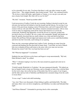to live miserably for my sake. You know that there is only one other woman on earth whom I fear..." She stopped abruptly, then looked around. "Well," she continued briskly, "We do have a fairly full larder, again thanks to Tommy, so we can give you and your men a hearty feed tonight. But what will we use for fuel?"

"Oh, hell," I moaned, "Smash up another table!"

I took possession of Ludlow Castle the next morning, finding it deserted except for one old man who had been left behind to feed the hounds and the falcons. For ten days I was master of the great keep, keeping a merry Christmas there, and well I enjoyed this brief reunion with my wife and child. The military situation remained uncertain, with no clear word on what was happening amid all the rumors that floated in to us from the countryside. Pembroke had apparently crossed the Severn as expected, goaded into moving by the loss of Ludlow. He was a canny old commander, though, and despite our hopes he quickly discerned that my small column was a feint and that he had been tricked. He and Prince Edward edged and maneuvered warily across south Herefordshire and down into the Cotswolds, each looking for an opening.

Then one day a messenger galloped into Ludlow Castle, shouting my name from the courtyard and dashing into the great hall in frantic haste. "Lord John, my lord of March bids you to abandon all here and return to the army with every man you can raise. Disaster has struck York! Our very heart has been cut out!"

"Eh? What has happened?" I exclaimed.

Suddenly the man fell down on his knees and began to weep unrestrainedly. "My lord, Duke Richard is dead!" he sobbed.

*"What?"* I shouted, leaping to my feet as the man around me gasped and cried out in horror. "Speak!"

"It befell outside Wakefield, in Yorkshire," the man stammered dismally. "We halted our host at Sandal Castle to keep our Christmas, and we thought we had a truce with the Reds for the twelve days, but on the last day of December they fell on a party of our foragers, and the duke and my lords of Salisbury and Rutland led a mounted charge from the castle to rescue them."

"It was a trap?" I asked with chill foreboding.

"Aye, lord. There were thousands of them hiding in gullies and behind hills. The duke and many others were cut down straightaway, and Salisbury was taken and beheaded that night."

"And Prince Edmund?" I demanded in growing shock at this catastrophe.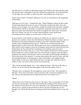"He fled and was overtaken by that brutal savage Lord Clifford, and when that fair youth fell upon his knees and begged for his life Clifford but laughed like a devil and told him, 'As thy father slew my father, so shall I slay thee!' and murdered him on the spot!"

"Sweet lamb of God!" I breathed, sinking into my seat in consternation at the magnitude of this defeat.

"Still more evil was done," continued the rider. "Queen Margaret ordered all three noble Yorkist heads placed above the city gate of York itself, and upon the duke's brow she placed a crown of paper. Now she marches straight for London with a great host, English and Frenchmen and Scots and Danes, ravaging the countryside all around. It is said the Queen has gone mad in her hatred and means to slaughter the whole realm. The prince bids you to hasten, my lord, for we must smash Pembroke's army and beat the Lancastrians back to London, or else the cause of York is lost!"

In one moment's swirl of battle we had lost our leader, his son, and one of our best generals, but somehow I knew that while Edward of March lived there was hope, and so I informed my men whom I gathered in Ludlow's great hall. I told them briefly of the terrible events at Wakefield, and I went on, "Thus has our well beloved liege lord departed from us and from this life. But let there be no tears or lamentations among you! There shall be time enough to mourn all of England's dead when the tyrant bitch has been hurled down into the mud and these murdering, truce-breaking vipers have been punished! We have had a shog, aye, we have had a tumble, but the Earl of Warwick still holds London for us and our noble prince has sworn bloody vengeance upon his father's murderers! We march to join him now, and we will render our last homage to Richard of York in the blood of his enemies!" A rousing cheer greeted this speech of mine, and with fury and determination we all prepared to march. The knights were saddled and the archers fallen in when once again I bade farewell to my lady wife within the walls of Ludlow Castle, once more to leave her for an uncertain fate.

"This will be the death grapple, Jen," I said, taking her hands. "One way or the other, it will be over by the time the new buds appear on the trees this spring. I feel it."

"Woman's fate is to hang her life and happiness on the wars of men," she responded in dull pain. "It has always been thus, and I accept that. John, I must put something to you now, but you must promise that you shall not part from me in anger over it."

"Speak."

"What will we do if York loses but you live?" she asked. "Have you thought of it? In this war men have turned their coats back and forth like the changing of the seasons. Ere he left, Tommy Caxton asked me to ask you to help him if you could should York triumph and he survive, and he in turn promised me that if Lancaster triumphs and you live through it, he will do all in his power to bring you back into the Queen's favor if you will turn."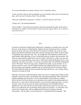"Can you really think me so dead to honour, Jen?" I asked her slowly.

"I want you back with me and our daughter at our own hearth, John, however that may be done, and I care not for honour, John," she said flatly.

"Then you wedded the wrong man," I told her. "I will live and die with York."

"Forgive me?" she asked tremulously.

"Never doubt it." I kissed her passionately, turned and mounted and rode out the gate at the head of my soldiers. *God'swounds!* I cried in my soul's agony, *Will we never make an end of this horror?*

## XVI.

Up until now Edward of March had conducted his campaign at a leisurely pace, but with the news of the disaster at Wakefield he suddenly became transformed into a veritable demon of energy. He sent word to Warwick in London to hold the city at all costs and began to pursue the Welshman Tudor like a hound coursing a hare. Early on the morning of Candlemas Day, February 2nd, 1461, we brought the wily Pembroke to battle near a small hamlet called Mortimer's Cross, in Hereford, between Ludlow and Leominster. We slept on cold ground the night before and rose stiffly in the dawn to confess our sins and to prepare for combat. Relying on the advice of Edward's friend Sir Richard Croft, a local landowner who knew the terrain, we took up our position before Wig Marsh, blocking the road to Worcester. The river Lugg, more a small stream really, was at our back. As we arrayed ourselves across a frozen stubbly field the fog suddenly lifted and we could see the Lancastrian army perhaps a hundred rods off, advancing from the wretched village. The fog muffled the chink of armour and the blowing of the horses, and a strange silence seemed to envelope the field.

Then the sun became visible through the white mist, but in a strange optical illusion there suddenly seemed to be three suns hanging there, gleaming through the white shroud and looking startlingly like the prince's rose-en-soleil emblem. Prince Edward, standing before our lines clad from head to toe in polished steel, pointed to this phenomenon and bellowed in a voice which could be heard by every man in the opposing armies, "Look to the skies, men of York, be of good comfort and dread not! God Almighty himself upholds our cause! See! He has set mine ensign in the heavens above us, not once, but thrice! Let us therefore have good heart and go against our enemies!" A wild cheer went up from the Yorkist ranks, and an audible groan and shouts of dismay from the Lancastrians. "By the saints, we have them now!" exclaimed Edward exultantly. "The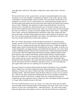omen fills them with terror! The quake so badly they cannot strike a blow! Advance banner!"

We moved forward on foot, in good order, our band of armoured knights in the center around the rose-in-sun standard, our pikemen and archers on the wings, and two small constabulars of mounted knights on the far flanks. The Lancastrians sounded their own trumpeters for advance, but we could tell they were confused and discouraged, and we saw their heads keep turning skyward where those three baleful orbs hung in the morning mist of winter. Wiltshire's men attacked our right wing and Pembroke's our left, but without success. The fight was short and easily won, for the three strange suns in the heavens had completely unnerved the enemy. There was a brief, fierce encounter beneath the snow-rose banner as a group of Lancaster knights led by Jasper Tudor s aged father Owen Tudor, sensing the impending panic and defeat of their army, leaped onto their horses and made a mounted charge against the prince and his guard in an attempt to slay him. We saw them coming and shouted to the archers, who raked them with arrows and shot most of them off their horses before they reached us.

But a few of them did manage to break through and smash into us with their great chargers, and one of these men sent me sprawling and nearly trampled me beneath his destrier's hooves. I jumped up and aside and slashed at him just as a billman caught the knight's jupon with his long hooked bill and pulled him out of the saddle. An archer was on him immediately, his dagger flashing, and stabbed him through the visor, from which welled a bubbling fountain of blood as the armoured man twisted and thrashed and died on the ground. Then the frightened and harried Lancastrians suddenly began to break, throwing down their weapons and fleeing, and the simple butchery of pursuit began. Some of our knights who were mounted rode them down, skewering them with lances, while archers and men at arms sank shafts into their fleeing backs and hunted them through the fields and ditches. We learned that both Lancastrian commanders, Pembroke and my old nemesis the Earl of Wiltshire, had taken to horse as soon as the fight had gone against them and were now spurring east to join the queen.

The usual round of executions followed after the battle of Mortimer's Cross, including Tudor's father Owen, who had founded the line by disporting himself with Queen Katherine of France, the widow of Henry the Fifth. As he knelt down on the scaffold he remarked calmly, "That head shall lie upon the block which was wont to lie on a queen's lap." After he was dead a madwoman rushing from the crowd of onlookers snatched up the head and carried it to her house, weeping. There she washed the blood from it, combed the grey hair and beard, and set it before her door with lighted candles all around it. I forget what eventually became of the head.

We were not allowed time to savor our victory, save with a few quick cups of mulled wine that night around a blazing bonfire in the freezing cold of our camp. "Now we must march as we have never marched before," ordered the prince. "We must reach London before the Queen does and combine our forces with my lord of Warwick to defeat her!"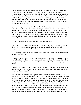But we were too late. As we hurried through the Midlands by forced marches we met stragglers bearing tales of disaster. There had been a fight on the seventeenth day of February, hard by the old St. Albans battlefield, when the queen had fallen on Warwick. The earl had prepared elaborate defensive lines like those the Lancastrians had erected at Northampton, including earthworks and barricades and strange nail-studded devices called caltrops. But the queen's army had managed to steal a march and fall upon our army from the rear, and despite Warwick's personal bravery and the caltrops the Yorkists were defeated and broken.

Or so we thought. As we marched through Hertford we met Warwick, who had rallied his men into a semblance of order and was coming to meet us, his bear and ragged staff banner flying proudly. He brought almost unbelievable news. "London is holding out!" he told us as we gathered round him at a roadside inn. "Tradesmen and apprentices from every guild have armed themselves and the Lord Mayor has refused Margaret's demand for submission.! We can yet catch her in the field betwixt our hammer and the anvil of London!"

"Are the reports of rapine and pillage true?" asked Edward quietly.

"Horribly so, sire. Those Frenchmen and Scots of hers have burned a swath in the land thirty miles wide on their southward march," replied Warwick. "London is full of refugees. No wonder they are determined to resist!"

"And the king? I mean, ah, Henry of Lancaster?" corrected Edward, slightly flustered and unused to his new dignity.

"They've got him again, I'm afraid," Warwick told him. "We feared a Lancastrian plot to rescue him from the Tower, so we took him with us to the field. The madness has seized him again. I'm told the Lancastrians found him beneath a tree talking to imaginary people."

"Damnation!" cursed the prince. "Mad though he is, Henry is a powerful counter in their hands. Well, my lords, we press on to London, to see if our realm will have me or an old lunatic for their monarch."

The next news we received as we approached the capital was well-nigh unbelievable. Margaret was falling back. Unable to control her savage Scots and mercenaries, unable to prevail against the stubborn Londoners, she began a tactical withdrawal which ended up as a disorganized rout, nor was she able to reassemble her army until they had scrambled all the way back to York. The Londoners had resisted stoutly, fighting off the Lancastrian raiding parties in the suburbs and hanging captured looters, and when some nervous merchants tried to placate their Gorgon of a queen by sending her money and provisions, a mob seized the carts and divided the contents among themselves. We entered London in triumph, and on the fourth day of March in St. Giles' Field thousands of knights, soldiers and commons cheered themselves hoarse as our lord was proclaimed Edward the Fourth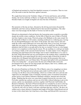of England and anointed in a brief but dignified ceremony of coronation. Then we were off to the north to deal the final blow against Lancaster.

We caught them between the Yorkshire villages of Towton and Saxton, and on Palm Sunday, the twenty-ninth day of March, we fought what chroniclers have since called the bloodiest battle ever fought on English soil since the time of Boadicea.

My memories of the day are hazy, obscured as the driving snowstorm obscured the battlefield, and I have always thanked God for that merciful forgetfulness. The other times were bad enough, but the battle of Towton was hell on earth.

Edward was determined to find and destroy the Lancastrian army as quickly as possible, despite the terrible winter conditions. On the fifth of March he sent to Duke of Norfolk into East Anglia to raise troops, Warwick going to the Midlands on the same errand. On the thirteenth of March we left London, marching northward at a withering pace, leaving the city through Bishopsgate to the cheers of the people. Our army's horses and carts made the winter roads northward even worse than usual. Since it was Lent, our troops' staple diet was meant to be salt herrings washed down by small beer, but Margaret's plunderers had left little in our path and by the time we reached Towton we were hungry and not over scrupulous in observing the season. We ate anything we could get our hands on, looting as badly as the Lancaster horde had done. To make matters worse, Margaret's retreating army had broken down the bridges and we had to rebuild them as we came to the fords. King Edward had sent out a proclamation to the northern shires, explaining that he had taken the crown upon himself not only by ancient right of blood but in order to remedy the evils Margaret had inflicted upon the realm, but the peasantry fled at our approach nonetheless, nor can I blame them. The queen had replied with a proclamation of her own stating that "...our great traitor the late earl of March hath cried in his proclamation havoc upon our true liege people and subjects, their wives, children, and goods." The pot calling the kettle black.

We arrived at Pontefract on Friday the 27th of March, some of us straggling in at dawn the next day. The king had sent an advance party under Lord Fitzwalter to seize the crossing over the River Aire at Ferrybridge, which was swollen with snow and rain and supposed to be unfordable. Early on Saturday morning a party of mounted Lancastrian archers led by Lord Clifford, Edmund of Rutland's murderer, attacked and seized the bridge. Thinking that the noise was some kind of quarrel between his own men, Lord Fitzwalter snatched up a poleaxe and ran out of his billet without bothering to put on his armour, and he was immediately cut down, together with Warwick's half brother, the Bastard of Salisbury. The Earl of Warwick himself was wounded by an arrow in the leg but saved the day by killing his own horse with his sword and shouting out to his men, "Let him fly who will, for surely I will tarry with them that tarry with me!" He drew our soldiers up in a hasty defensive formation and fought off the Reds. King Edward arrived in time to drive them back, but it had been a close thing, and Edward felt it necessary to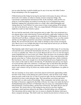post an order that there would be double pay for any of our men who killed Yorkist troops attempting to flee the engagement.

Clifford destroyed the bridge by having his men hack it down piece by piece with axes, but he left a few timbers on which we hastily erected a temporary bridge. The Lancastrians counterattacked and destroyed that. In the meantime, while all this was going on, Lord Fauconberg succeeded in crossing the river at Castleford four miles upstream, trapping the Lancastrian archers in a small valley called Dintingdale and wiping them out. Lord Clifford, for some reason of heat or pain putting off his helmet, was shot in the throat by an arrow. Thus was young Edmund of Rutland avenged, who might have made my lady Jeanetta a queen.

We now had the main body of the Lancastrian army in sight. They were positioned on a low plateau about a mile wide between Towton and Saxton, eight miles southwest of the city of York. Their right was guarded by the steep valley of Dintingdale, at the bottom of which flowed Cock Beck, a tributary stream of the River Wharfe. It was very flat country and this was the highest ground the Lancastrian commanders had been able to find to defend. We moved forward slowly; they made no attempt to stop us from crossing the Aire. But by now it was twilight and many of our troops had not arrived yet, nor did the Reds seem to be in any hurry to give battle.

That Saturday night which I spent in the open is one I would rather forget. It was freezing cold and both snow and hail fell intermittently from the sky, so much that men and horses we were in a pitiable state. There was no food. Between the two of us we were the largest armies England had ever seen on her soil, I think. There has been a lot of nonsense talked about the number of men involved at Towton on both sides; I have read chroniclers who gravely assert that we Yorkists alone had two hundred thousand men, which is bollocks. But God knows, there were enough of us who had marched all across England from the four corners of the realm in order to die that day. If I absolutely must put my own figure on record and thus add to the confusion, I would guess that we had about fifty thousand men that day and the Lancastrians somewhat more, but I don't insist on it. I will say this much: some centuries will go by before any similar number of Englishmen ever gather in arms again.

The next morning we arose amid a snowstorm and moved forward, approaching within bowshot of the enemy on the plateau just south of Saxton, with our backs to the village, about ten miles south of the city of York if I recall me right. Our line in battle formation stretched for at least a mile along the ridge. The Lancastrians were drawn up before Towton itself, six miles north of Ferrybridge. Their commander who led the center was the Duke of Somerset, supported by the Duke of Exeter; his wings were under the Earl of Northumberland and Lord Dacre of Gillesland. Our own army was commanded by King Edward himself, Lord Fauconberg, and the Earl of Warwick. The battle did not start for some hours. We stood in the icy cold waiting for the arrival of our East Anglian contingent, which had been delayed by the Duke of Norfolk falling sick at Pontefract. The Lancastrians did not attack; they saw no reason to abandon the plateau which gave them a marginal advantage. This field would very shortly become known to history as the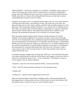"Bloody Meadow", but I do not remember it as a meadow. I remember only an agony of cold as my freezing steel armour stuck to exposed pieces of my flesh, standing there staring at the dark milling Lancaster army across a stretch of churned-up mud and snow. Finally, about eleven o'clock in the morning King Edward gave us the order to attack, commanding that no quarter be given or taken.

It began to snow again, and as we attacked I kept trying to claw my visor closed, because it had become frozen open. I succeeded just in time. The wind was at our backs. We began shooting arrows at the enemy, and the wind blew both our shafts and the snow into their faces. The Lancastrians replied in kind but in view of their lack of visibility most of their shafts were off the mark. Lord Fauconberg, commanding our vanguard, ordered his men forward to fill their quivers with captured Lancastrian arrows and leave some sticking in the ground point upwards to act as obstacles to an enemy charge.

The Lancastrians finally attacked, led by Somerset and the traitorous Sir Andrew Trollope, who had been knighted for his treachery at Ludlow. They mixed it up badly with one of our mounted units, but a simultaneous attack by the Earl of Northumberland's wing was beaten back. From that point on I recall little; the battle became a confused and bloody mess in the driving snow wherein we could none of us see hardly anything at all. I was told later that the Duke of Norfolk finally brought his men up and we overwhelmed the Lancastrian left wing and rolled up their line, but I know not. All I know is that it went on and on and on. The next day an area six miles long and three miles wide was soaked with bloody snow.

I remember meeting a knight in the swirling snow. Both of us were exhausted. His jupon was soaked with blood and I could not see his blazon, and I suppose it must have been so with me as well from his point of view. "York or Lancaster?" I demanded, waving my sword vaguely in the air, utterly exhausted.

"Lancaster," came his voice from beneath his helmet, cavernous and deep.

"York," I said. We both stood there tottering for a bit, and then he said,

"Another day?"

"Another day," I agreed, and he staggered off into the snow.

Then more running figures materialized, stumbling archers with steaming breath and fear-haggard faces, carrying mauls, and one of them struck me down into darkness with his hammer before I could even raise my sword to defend myself.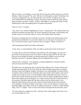When I awoke it was abruptly, to stare into the lowering sky and the anxious face of Jack Fletcher. "Saints be praised!" he cried. "My lord, we'd thought you dead!" My helmet was off, and as I staggered to my feet and shook the snow from me I could at last see the whole battlefield in the darkening evening, the ground scarlet with bloody slush and the heaps of dead everywhere. Archers, soldiers, and knights were going from body to body, identifying the slain and stripping them of weapons and armour.

"Have we won?" I croaked.

"Aye, lord, if you call this slaughterhouse victory," returned Jack. "We hold the field, and the Reds are broken and destroyed. We all got separated in the mélee, and Sir Henry and I made search for you and the others as soon as the weather lifted somewhat."

My head was ringing and I was unsteady on my feet. I looked at my helmet lying on the ground and marveled that I was not slain indeed, for one who side of my basinet was stove in from the archer's maul. I leaned on Jack for support. "Where is Hal now?"

"Still searching the field for his father and brother."

"Come, then, we must find them. Were you able to get the horses back of the lines?"

"I assume they are down the Tadcaster road with the carts and baggage, my lord, for I gave them to the first groom I met in my haste to find you again, but by the time I got back across the bridge the battle was already joined and I couldn't locate you in the bleeding snowstorm. I ended up fighting with Lord Reginald Grey's men."

"Bloody hell!" I muttered. "You might have ended up fighting for Lancaster had the turncoat mood seized him again. Come!"

We picked our way among the piles of dead and the milling victors. Some of them were already becoming drunk on the wine which the sutlers brought among them on sledges, and tipsy shouts and laughter mingled with piteous cries and pleadings for help from the wounded. I tried to shut from my mind the sights and sounds of that endless mad vista of carnage but I could not. Snow was still falling in light, small flakes that flew crazily in the air, but even the biting wind could not blow away the charnel slaughterhouse smell of blood. We trudged across the bridge to see a large caravan with great wooden wheels by the roadside, a portable chapel like the huge wagons used for mystery plays. On a platform folded out from the side of the wagon an altar had been laid. Several priests were chanting a Te Deum of thanks for the day's victory, for the benefit of several score kneeling knights and soldiers of the more religious persuasion. "I forgot, it's Palm Sunday today, isn't it?" I sighed. "I fear we have been remiss and neglected our devotions, Jack."

"We were otherwise engaged, my lord," said Jack with a shaky laugh, relief in his voice now that the fight was over.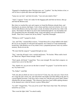"Engaged in slaughtering other Christian men, aye," I replied. "Are they broken at last, or will we have to push after them and fight them again?"

"I pray not, my lord," said Jack fervently. "I am sick unto death of this!"

"And I," I agreed. "Come, let's make for the baggage park and find our horses, then go and find the Brinton men.

But when we reached the carts and wagons we found the Brintons already there, and kneeling by an armour-clad figure. I ran to them and then cried out in horror, for it was old Sir John Brinton who lay there upon a cloak, his helmet off and his face white with agony. The broken-off shaft of an arrow had smashed through his very breastplate and now protruded from the old knight's body, rising and falling even as he laboured for breath. "Dear God, I cannot lose all my family!" wept Hal, distraught.

"William as well?" I gasped in shock.

"Aye, and Toby," moaned Hal in misery. "I found them all in a heap riddled with shafts." He was in an extremity of wild grief and anguish, one I shared as I wept unashamedly beside him. John Brinton was in my mind a rock, a perpetual presence since my earliest memory. Rocks do not die.

"We must find the surgeon!" I gasped through my tears.

"Nay," came the old man's voice, cracked and hoarse. "No leeches. What could a leech do? Bleed me? Bigod I bleed enough, I think!"

"Don't speak, old friend," I urged him. "Save your strength. We must find a surgeon, we cannot leave you to lie like this!"

"Nay, shuttle-wit, can you not see the hurt is mortal?" he gasped. "I can feel the steel in my very heart-roots."

"No, Father!" cried Hal.

"Soft, lad, did you think me iron to wear forever? Come, boy, dry your eyes. I have lived me a long life and a merry one, and what better end might I ask than falling at the shot of a good English bowman, I who have laid so many low with the grey goose shaft? Damn." chuckled the old man raspingly, "The whoreson must have been within spitting distance in the damned snow when he loosed, to pierce Milan plate!"

"Lie still!" I begged him, "You can yet be saved!" But I knew that I lied. The old baron turned his eye on me.

"How went the fight, John?" he asked weakly.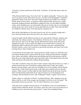"Lancaster is broken and driven off the field," I told him. "It looks like they're done for this time."

"Then Edward shall be king. I have died well," he sighed contentedly. "Come now, lads, one of you pluck out the shaft and let me pass. I be done with old England!" Tearfully I gripped the stump of the arrow and with a single desperate tug I pulled it out, taking a bloody chunk of meat with it. A fountain of blood spurted forth, and he gave a single spasmodic shudder and died. Hal Brinton collapsed in tears over his father's bleeding corpse, and I stumbled away, my mind numb with sorrow for him who was my friend and teacher in the ways of the world, for strong silent Bill and wry little Toby who had filled my childhood with the music of his harp and his outrageous lies.

Thus did Sir John Brinton of Tavistock meet his end. He was a peerless knight and a brave and loyal friend, and to this day I have not ceased to mourn him.

I spent the night with the Whitewood men in our camp outside Tadcaster, sleepless and sad despite my aching weariness. Tom Simkins, the brawny reeve of the manor, had taken an arrow early on in the fight, but the shaft had been almost spent and mostly stopped by his jack, so the wound in his thigh was not mortal unless it festered. All through the night I could hear the sounds of roistering as the army celebrated King Edward's famous victory, but I could not in good heart join them, and when I rose in the morning I knew what I wished to do.

I went directly into the king's tent, a great pavilion of cloth of gold over which the snow rose banner floated in the icy breeze from the moors. Inside crowded dozens of knights, lords, clerks, and soldiers, milling about and drinking and all having business with the king. He sat at a huge table beside a glowing brazier, piles of documents before him and clerks and barons all around him, talking and gesticulating.

I saw that it would be a long wait, and so I drew myself a mug and sat down in a corner. I cooled my heels there for several hours waiting and the press to thin, but it didn't. Runners and messengers came and went, bringing news of our outriders and the fleeing Lancastrians. Clerks totted up the names of the slain and wounded, both ours and the enemy's, while a team of scribes under Sir John Tiptoft toted up all the booty from the field, for Edward had ordered that all of value be turned over to the depleted royal exchequer. But the hoped-for news, that of Margaret's death or capture, did not arrive.

"Damn, I hope we catch that evil bitch!" exclaimed Edward. "She's dragging crazy old Henry with her as well. If she escapes into Scotland it will all be to do over again!" The king finally noticed me and said, "Yes, Sir John? What have you to report?"

"Only that I have arranged with the deacon of York Minster to have Sir John Brinton s remains buried within the church, Your Grace, and I also want to ask your permission to withdraw my levy from the army and go home," I said to him, bending the knee.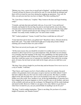"Brinton was a loss, a grave loss to myself and to England," said King Edward somberly. "I myself will pay for masses to be said for his soul. It is true the Reds are defeated and there will be no need for your force during the mopping up operations. Very well, Sir John, you and your men have my leave to depart. Was there anything else?"

"No, Your Grace, I thank you," I replied. "May I return to the lines and begin breaking camp?"

"Certainly, and take that joint and bottle with you, if you wish." I rose and bowed formally, and headed for the tent flap, the joint in one hand and the wine in the other, welcome since I had not broken my fast that day. I was almost out when the king called out, "Sir John!" I turned around and saw him staring at me in astonishment. "God's wounds! You really would, wouldn't you?" he said in sheer wonder.

"Eh?" I asked, perplexed. "I mean, I would Your Grace would take me with you?"

"Come back here and sit down, you gallant fool!" Mystified, I did so. Edward shook his head with a grin. "You really would march right out of camp and go home without claiming your reward for these two years of hell? "

"But I have not served you for gain, sire!" I protested.

"All the more reason why you should be rewarded. It is neither just nor is it wise for a monarch to allow loyal service to go unrecompensed. John, the battle was not minutes over yesterday when the magnates of the army were squabbling over their portion of the spoils, and if I had sent some of them out of here with a greasy joint and a bottle of sour wine they would have gone over to Lancaster in a heartbeat! I must satisfy the ravening pack, of course, but my loyal servants shall not be forgot, and you too shall have your share."

"My king, I have always fought for you from duty and not because I love war or see it as a way to wealth," I told him.

"That I know, and I respect you for it. Good soldiers are three for a penny, but good soldiers who genuinely cleave unto peace except at need are rare birds indeed. I wish I had more subjects like you who were less ready to take up arms. But duty is a doubleedged sword, and cuts both ways. Just as you are bound to serve me, so I am bound to further you in the world. Now, needless to say, all the big landholdings of Lancaster have been snapped up by the great magnates or else by myself to give to my brothers, and most of the available cash must go into the exchequer, for Margaret has left the realm bankrupt and mired in debt. However, I think we can spare a few coins. Before we get down to what I have in mind for you, can you yourself think of anything I can do for you?"

"My king," I said in sudden inspiration, "There is one thing. Do you know of a certain knight of Lancaster, one Thomas Caxton?"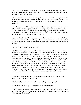"He's the bloke who lorded it over your manor and burnt all your furniture, isn't he? To the best of my knowledge he's not been taken or slain yet, but when he does I'll send you his head to stick over your door."

"No, no, you mistake me, Your Grace!" I protested. "Sir Thomas treated my wife and his other women prisoners honourably and fairly, and I owe him another debt s well, for he helped save me after I killed Morriss at Raby four years gone. I would have him pardoned."

"Done," said the king. "I'll have the documents drawn up and given to you, and when he is take I shall send him to you. But that is not enough. I want you closer to my counsel and the affairs of the land, Sir John. and so I am repaying you in the same coin old Humphrey of Gloucester paid your father, and I am elevating you to the peerage. I shall be glad to have two Lord Redmonds in Parliament."

I gasped and rocked back in my seat, stunned by the honour. "Nor is that the end of my bounty," he continued. "I am granting you three wardships, the most lucrative being that of Sir Humphrey Stratton's lady, together with seisin of his former manor of Canfield, in Norfolk."

"Former manor?" I asked. "Is Stratton slain?"

"No, taken prisoner, but he is scheduled to have his head removed from his shoulders tomorrow. He's the son of Lord Peregrine Stratton, a damnable old fox up to his ears in Lancastrian intrigue. I have declared the entire family outlawed and their property forfeit to the crown. Canfield I am giving to you. It is a goodly holding, larger even than Whitewood. The woman you may dower with a few pounds and marry off to a merchant. You may do the same with Mistress Elizabeth Whitley, widow of a Lancastrian knight who fell at the second battle of St. Albans last month. Her husband was a landless lance in Margaret's guard, but he was something of a dabbler in commerce and owned two merchantmen and a dozen fishing boats out of Bristol. These are now yours. The third wardship," he continued, "Is that of a boy, young Edward Tyndall, son to Sir Peter Tyndall of your own county of Hereford. He is heir to Banham Hall a few miles distant from Whitewood. Sir Peter fell fighting for me yesterday, and I owe his son good care and lordship."

"I knew Peter Tyndall," I said, nodding. "He was a good and honest neighbour and a brave knight. I shall do right by his son."

"You'll have Banham's revenues until he comes of age in recompense."

"Your Grace, I am awed by your largesse," I said, shaking my head.

"Tut," he said deprecatingly, "These are the merest crumbs. I only wish I could give you more. Stop by tomorrow ere you march, and I shall give you Sir Thomas's pardon and the other necessary documents."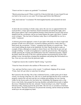"I know not how to express my gratitude!" I exclaimed.

"Merely protecting myself. Where would I be if that devilish lady of yours found I'd sent you back to her as poor as you came? Even kings quail before that Melusine!"

"Gad, she'd rend me!" I exclaimed. We both laughed heartily and he poured out more wine.

At dawn the next morning we broke camp, and as the sun rose we appeared before the royal pavilion. A large space had been cleared around the tent during the night, and a three-poster gallows and a raised platform bearing a block had been erected. Pale nooses dangled from the crossbeams, and an axe leaned against the squat, ugly block. I looked away in disgust. "One last bout of butchery today, then it will hopefully be over for a while." I muttered.

A dolorous procession appeared, a train of carts laden with nearly two dozen rough-clad peasants of both sexes and all ages, escorted by billmen and led by a burly churl in a black hood, the executioner. "Looters," remarked Jack Fletcher in a neutral tone. "They were found robbing the dead on the battlefield. Sir John Tiptoft decided to make an example of them, although an example to whom I know not. Most like he just can't get enough of killing." A small crowd gathered to watch the grim festivities. The hangman, stolidly ignoring the weeping and muffled pleas from the condemned peasants, slipped the halters about the necks of the first cartload and then unceremoniously led the mule pulling it away, leaving them swinging like pendulums and jerking like fish hooked on a line. I tore my eyes away from the gruesome sight.

"I might have known this would be Tiptoft's doing," I growled.

"I hear he's been elevated to the earldom of Worcester now," said Jack.

"Aye, and may God have mercy on his vassals," I confirmed, slipping off my mount. "Come, Jack, let's get what we came here for and go."

But I paused at the tent flap. One of the condemned looters, a rather pretty girl of about sixteen, was having a bad time of it. She was so small and light that the noose would not properly constrict her soft neck and she was writhing and gurgling, her toes clawing wildly for the frozen earth a few feet below her. Grumbling, the hangman took a swig from a wine bottle, then grasped her heaving shoulders and pulled downwards to tighten the noose. I blundered into the tent, sickened. "Good morning to you, John!" boomed Edward jovially, looking up from the great table. The tent was as crowded as it had been the day before. The Earl of Warwick was present this morning, and he looked up and then strode up to me and gripped my hand.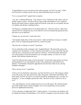"Congratulations on your elevation to the realm's peerage, my lord!" he cried. "I shall look forward to working closely with you when Parliament meets in the fall."

"Is it so, my good lord?" gasped Jack in surprise.

"Aye, lad," confirmed Warwick. "Your master is now a full baron of the realm, with yet another manor in seisin." Neville took up a large wallet and handed it to me. I glanced therein and found Tommy's pardon engrossed with the royal seal, my own patent, the title to Canfield, and all three wardship decrees.

"Sir Thomas is probably hotfoot for Scotland right now," Warwick told me, "But I have ordered if he be overtaken by any of ours that he is not to be harmed but granted his life, and sent to you in Hereford."

"I thank you, my lord earl," I said with a bow.

"And another slight token of the royal esteem!" called out Edward, tossing me a leather purse. I felt its weight and gasped in horror; it had to be gold.

"My lord, this is entirely too much!" I protested.

"So my chancellor of the exchequer said," laughed Edward. "He practically wept as he counted it out. Nonetheless, it is but a fraction of the debt I owe you, Lord John. Fare the well; the day is young and you must needs be off home." I bowed formally and backed out of the pavilion, awed and warmed by my sovereign's bounty. As soon as we were outside, Jack Fletcher shouted the news.

"Lads! Sir John has been made a lord by the king!" A loud cheer rang up from my troop and immediately I was surrounded by archers who embraced me and cuffed me in gladness. Tom Simkins shouted his approbation from the litter where he lay, his hip swathed in bandages.

"How's the leg, Tom?" I asked him.

"I feel as if I was kicked by a dray horse, my lord, but there's no rot. The surgeon washed it out with strong wine and cauterized it with a hot penny, which burnt like hellfire, but she'll mend, my lord. An inch or so to the left and I'd be spending the rest o' me days in a monastery." A roar of laughter greeted this sally. "But have no fear, I shall be as fit as ever!"

"Aye, and telling lies of your warlike prowess ere you walk again!: My valiant bowmen gave forth another hearty round of laughter, for we were going home at last, and the mood was lighthearted and merry.

"You're shooting a straight shaft there!" called someone. "A year from now Simkins will be leading the charge at Northampton, in five he'll be swinging sword at the prince's right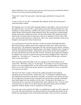hand at Mortimer's Cross, and ten years from now he'll swear by the rood that the field of Towton was won by just him and King Edward!"

"King who?" asked Tom innocently. Amid more japes and hilarity I swung into the saddle.

"Come on, lads, let's be off!" I commanded. But suddenly all fell silent and turned to watch the nearby scaffold.

The hangings were over, the bodies drooping silently on the gallows, and now the first of the noble prisoners was led forth, a sandy-haired young man with fear-haunted eyes. His breathing was deep and hoarse, audible in the silence, and he twisted convulsively at the leather thongs which bound his hands behind his back. He mounted the scaffold shakily, and the executioner stumbled up to him, obviously blind drunk. The masked man knelt, muttered the customary plea for forgiveness, then arose, ripped the victim's linen collar open, and forced his head down on the block. After a few careless flourishes of the axe he brought it down upon the white, freckled neck.

A cry of derision arose from the onlookers, for the executioner had bungled horribly. Blood flowed from a shallow gash in the condemned youth's neck, and he cried out in pain and terror. The headsman swung again, this time missing the neck entirely, striking a shoulder blade and knocking his flopping target to the planks. Suddenly I grew enraged at it all, the men butchered in battle, young Francis green and the peasant girl strangled on the rope, John Brinton and Toby shot full of arrows with these great murderous longbows we English were so proud of, and now this poor boy being slaughtered like a hog by this drunken sot. *"God damn you!"* I roared out, "If you're going to kill the man, you knave, make a clean end of him!"

The executioner leaned unsteadily on his axe, glaring at me with bloodshot eyes of watery blue. "Well then, young sir," he hiccuped, "If you think you can do my job better than me wot's been lopping heads on Tower Green and tweaking gullets at Tyburn since before you was born, then come up here and have a go yourself, an' you be so masterful as to teach me my trade!"

"By God I will, then!" I raged. I slid from the saddle and leaped to the platform, snatching the axe from his hands. "Stand aside, oaf!" I commanded. I grabbed the boy and slammed his head back on the block; mercifully, he seemed to have fainted. Raising the axe high above my head I struck with great force and precision, and the condemned man's head leaped from his shoulders into the straw. Tossing down the bloody axe, I strode back down to my horse and mounted, then curtly ordered my men, "Let's go, lads!" All around me rose cheers for my deeds and jeers and taunts flung at the discomfited headsman. Without another word we marched out of the camp.

Out on the open road a grizzled old soldier on a piebald mare caught up with us and rode to my side. His mail and helmet were battered and his cloak patched and stained, but he had the lean and dangerous look of the professional killer, a type seen all too commonly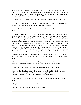in the land of late. "I would thank you for that deed back there, sir knight," said the soldier. "Sir Humphrey wasn't a bad sort, although he was a mite squeamish when it came down to the sacking and he had no skill at all in the buckle. Yet he was brave enough for all his lack of skill. He deserved him a clean end."

"Who did you say he was?" I asked, a sudden horrible suspicion dawning in my mind.

"Sir Humphrey Stratton of Canfield, in Norfolk, my lord. My old commander's son, for I bore a bill for Lord Peregrine Stratton ere day before yesterday."

"And what will you do now that the fighting is over?" I inquired. "Have you a home or a trade?"

"I was a charcoal-burner ere the wars came, but my house was burnt wall and thatch by York men, saving your worship's pardon, and I find I like me the freebooting life better than ever I liked rising early of the morn to go and break my back all day cutting faggots and sweating over the charcoal pits. More wine and meat and pretty wenches for the taking instead of the begging of them. I suppose I'll try Ireland now. Always action there. Damned stiff parole my lord of Warwick laid on us. Can't fight for Lancaster again for a full five years. Still, better than what Sir Humphrey got. Damn, sir, I wouldn't have been a lord in this war for a thousand pound!" The veteran suddenly had an idea, and smiled craftily at me. "Now I've never heard that Yorkist beef and ale was any whit the less tasty than the Lancastrian type, my lord, and if you'd be looking for a stout billman....?"

"I thank you, no, my friend," I returned shortly. "I've seen enough of bills and arms, and I wish you Godpseed on your way to Ireland." *And out of England,* I added silently in my mind.

When the man had ridden onward I buried my head in my hands. "Sweet Jesu!" I moaned. "It is Stratton's manor I was granted, and his lady is now my chattel!"

"It was a merciful thing you did, my lord," Jack assured me. "Think not on it."

"I suppose that since I am to have his goods and his lands and his wife, it were only fitting that I should slay him with my own hand," I sighed. "Jack, when the woman comes to Whitewood, in God's name she must never know of this!"

"Aye," said Jack, "The wounds of this war are deep enough. No need to pour salt on them."

"God, Jack, I'm glad this horror is over!" I exclaimed.

"For now, lord," corrected my squire in a grim voice.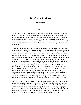# *The End of the Game*

## *Summer 1461*

## **XVIII.**

Spring came overnight to England while we were on our homeward march. When we left Yorkshire the cold was bitter and there was snow upon the ground, but by the time we reached Hereford the snow was gone, the sun warmed the land, and the birds sang in the blooming tree boughs. Our spirits were soaring, our march filled with laughter and merriment, and often we would stop at roadside inns and taverns where I regaled my lads with meat and drink from my own purse. It was spring, we were in England, and we were going home.

At last the countryside grew familiar, and our step grew light and swift as we drew closer to our goal. Past Market Drayton we marched, then across the deep river Teme, and about noon one day we entered the demesne of Whitewood manor. I halted my men at the boundary stone which marked my lands and rose in my stirrups to address them for the last time as my soldiers. "My good friends, you have served me well and served England better, and well do I love you for it. Our country has a chance now to heal a long bleeding wound because of the sacrifice and the suffering that you and thousands like you have undergone. Good and prosperous times will come to our land again, and you will all be able to tell your children and your grandchildren that you made it happen with the strength in your arms and the sharpness of your eye with the clothyard shaft. We have a new king now, a gallant knight who will make a glorious monarch, who will set right what was wrong and see all things properly ordered. Together we will all reap a fair harvest in the coming years. Today I know that you will want to spend at your own firesides, but tomorrow we all make merry together! Come to Tom's mill and whatever lamb or shoat I can find left on our lands will be there a-roasting, and every drop of ale or cider to be found will be found there! Again, from my deepest heart I thank you. Now be off home!" A thunderous cheer arose, and the men scattered, running for their cottages.

Tom Simkins, his wound already nearly healed, limped along beside Jack and me on our horses. "Be at the buttery tomorrow at cockcrow, Tom," I told him. "And between you and Wat pick out a few likely beasts from what flocks we have left and kill them. I'll tell Gervase to haul as much ale as we can manage down to the mill and help you prepare a goodly feast for all our folk. Tomorrow as well I want you to collect all the mauls and as many of the clothyards as were issued to each man from the manor arsenal. I made sure to balance everything we lost from the royal stores before we left Tadcaster."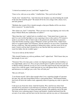"A shrewd accountant you are, Lord John!" laughed Tom.

"I have to be, with you as my miller," I chaffed him. "Else you'd rob me blind."

"Sooth, lord," chuckled Tom, "And what does the Scripture say about binding the mouth of the kine that tread the grain?" He turned off for his own cottage with a cheery wave, and Jack grinned.

"Methinks that wound of his is healed enough so that poor Martha will be sore down below tomorrow!" he joked lewdly.

"How about you, Jack?" I asked him. "Were you not at one stage dipping your wick at the shop of Master Bixby the candlemaker in Ludlow?"

"More than that, lord," replied Jack in a troubled voice. "I had asked Joan to marry me, and if we survived the big fight we were expecting to have at the castle in '59 I meant to speak to you about it. But we had to take to the greenwood, and when the Lancasters came that October morning a gang of Margaret's archers got hold of her. I didn't know until we occupied Ludlow last Christmas, and she refused to see me at first. I found that she has a child now. She kept speaking of taking holy orders, said she wasn't fit for my touch. I tried to tell her that it booted not to me, that the little boy need never know I wasn't his father, but she wouldn't agree."

"You never told me all this before!"

"Why should I burden you with my problems, lord?" sighed Jack. "Well I knew that you had enough of your own."

"Nonsense! Not a few days gone a certain very high personage told me that lordship is a two-edged blade, and so it is. Now you get yourself gone to Ludlow and renew your suit to Mistress Bixby forthwith, do all you can to wean this maid from her hurt and make her want to live a full life again. I shall intercede for you with Master Bixby if he still lives, and between us we shall get you a wife. Now off with you!"

"But you will need..."

"I can disarm myself. I did it often enough when I was a squireless knight of Lancaster. Set spur, lad, only don't break Black Prince's wind getting there!" With hurried thanks Jack took off down the Ludlow track, apparently intent on ignoring my order to spare his horse.

I rode up to my front door alone. I had left Jeanetta, Wat, and Gervase when I had marched off in such haste to join Edward at Leominster, and I noticed that the grounds were kept and that there were sheep and lambs grazing in the paddocks and in the park. The house wore a pleasing aspect of peace and neatness. Jeanetta had heard from the servants of our return, and she burst out the front door and into my arms as I dismounted,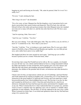hugging my neck and kissing me fervently. "Oh, saints be praised, John! Is it over? Is it really over?"

"For now," I said, stroking her hair.

"How long is for now?" she demanded.

"For a few years, at least. Margaret has fled the kingdom, every Lancastrian lord is now dead or proscribed, their armies broken and dispersed. They'll be back, but with luck Edward will give the realm such good governance that when Margaret raises her standard next time not so many will rally to it, and the time after that fewer still. We have cause for hope."

"And for rejoicing. John, I have news."

"And I for you," I told her. "You first."

Her eyes were shining. "I am with child again, John. This one will be a son, he will live, I know it!" I crushed her to me. "Now what is your news?"

"Just this," I told her. "You re looking at a new-made baron. Plus I've now got a third manor in Norfolk as big as Whitewood and Brantley put together, my own little private navy, and a rather heavy purse in my saddle bag!"

She laughed and threw her arms around my neck again. "And long ago you scoffed because I picked you for a winner! Welcome home, John!"

Several days later young Ned Tyndall moved in with us. He was a spunky, tow-headed ten year old who was very solemn and bewildered at first in a strange household without his father and familiar servants around him, but he quickly grew out of his shyness and filled the hall with shouts and trampling and general hubbub as he led a band of playmates, the children of the peasants and servants, on boisterous and often destructive escapades.

I hired a tutor for him, an impecunious scholar just out of Cambridge, and Jack Fletcher and I both undertook his training in knightly arms. I turned him over to Tom Simkins for instruction in the great longbow of Agincourt and Towton, and Tom made him a small but powerful practice bow which delighted him no end. The first day it was his, he shot and wounded an old brood sow with it. I beat him and locked him in a shed for an afternoon; fortunately the beast had been past her prime and destined for slaughter soon at any rate. When I returned the bow to him I admonished him in its proper use, and then went to oversee a carpenter who was applying a new coat of varnish to a valuable oaken garderobe of some antiquity. The job done, we left the cupboard in the sun to dry a while. When I returned two hours later, it was holed and splintered where the boy Ned had been using it for a practice butt.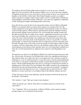Nevertheless, the horrid little goblin made me hope for a son of my own,. I heartily approved of his association with the peasant children, for it is one of the many strengths of England's gentry that we have never been so divorced and set above our commons and burghers as the nobility of other lands. Most English knights can plow as straight a furrow and shoot as straight a shaft as their tenants, and so I consider Ned's confraternity with ploughboys and kitchen urchins wholesome, even when my neighbours complained of their stealing green apples and pelting poultry with stones.

Soon after the boy came the first of my Lancastrian widows arrived. Mistress Elizabeth Whitley was a plump, attractive matron whose manner was courteous but cool. She clearly regarded me as her gaoler and the despoiler of her husband's estates, for which I could not really fault her. When I perforce questioned her about her husband's business and mercantile dealings I discovered her to be a level headed and sensible woman who had able assisted the late Sir Arthur in his ventures. Apparently he had been one of those new breed of knights who scorned not to be seen in the counting house as well as the castle. Of course, noble merchants were nothing new, but until such recent times such outside interests were kept strictly in the background, as far as was possible. A "parfait gentil knyght" as Chaucer had coined the term was supposed to earn his sustenance from his lands, through service to his lord or from the ransom of noble captives taken in battle or tourney, not from vulgar barter. However, the prejudice against noble was one of many which had gone by the board in these anarchic times, nor was I particularly troubled by it. After all, even the king himself was alleged to have interests in the Burgundian wool trade.

The question was what to do with Mistress Whitley? In a frank and open discussion with her, with my lady wife present, I let Elizabeth know that I was a gentlemen and meant to deal with her fairly, nor would I force her to wed against her will. I offered to install her at Brantley as a sort of unofficial tenant to oversee the manor, with the understanding that if she chose to wed again I would look favourably on grant official tenant to oversee the manor, with the understanding that if she chose to wed again I would look favourably on granting seisin of the estate to her new husband. She readily assented to this arrangement, and left the next day for Gloucestershire with an escort from my household. "A pound to your penny she weds before the new year," I chuckled after we had seen her off. "With Brantley as a dowry she'll have every landless blade in the Marches riding to her door."

"I hope she doesn't choose some handsome, greedy adventurer who'll run the place into the ground," said Jeanetta.

"Oh, I doubt it," I said. "She's got a head on her shoulders."

"That's not all she's got. Tell me, John, there was another reason you sent her away, wasn't there?"

"Yes," I admitted. "She is not uncomely, is Mistress Whitley, and I wanted no stupid, gossipy tongues set to clacking by her proximity."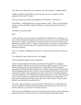"Oh, John, do you think I'd pay any attention to any such nonsense?" laughed Jeanetta.

"Neither would I pay tittle-tattle any mind, my lady, but why not simply avoid the situation from the start?" I asked.

"Sure you weren't just trying to put temptation beyond reach?" she teased me.

"Oh, perhaps," I replied judiciously, trying to suppress a smile. "With your belly getting as big as a stone cannonball I suppose I shall have to begin looking elsewhere for my dalliance!"

"Go ahead," she said seriously.

"Eh?"

"I told you before, no woman expects her husband to be faithful forever. Fidelity is our cross to bear, although I'm flattered you've been true to me since we were wed. But if and when your eye starts roving, I'll take it in stride and cause no scenes provided you don't humiliate me in public. There is a right way and a wrong way for a man to go about these things, of course. Just let me know who, agreed? That way I won't have to suffer any unexpected surprises."

"No, Jen," I told her, enfolding her in my arms. "You know that's not the way I play the game.

"You should have been a priest after all," she laughed.

"Then I should have abjured Venus for Bacchus."

At first we heard nothing of the other Lancastrian widow granted me in mainpast, Mistress Stratton. Then I received a short note from the mother superior of a convent in Norfolk stating that the lady asked permission to remain there for three months in mourning for her husband before attending me, to which I readily agreed. I told Jeanetta what had happened the day after Towton, on that morning before the royal pavilion, and cautioned her against saying anything to the widow when she arrived which might give away my unfortunate secret. "She has been through enough, Jen," I said. "Some day when we have gotten to know one another better I may tell her and beg her forgiveness, if I think she can handle the knowledge, but for the nonce I don't want her to feel any more hatred for me than she must necessarily feel ."

"Of course," agreed Jeanetta. "You need not fear. I shall treat her as I would wish to be treated, as indeed I was treated when the situation was reversed and it was I who was a prisoner. John, have you any news of Tommy Caxton?"

"Had a letter from Hal Brinton at court this morning, in fact. By the by, he'll be detouring through here on his way back to Devon to visit us. Evidently Tommy had a rather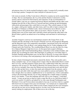adventurous time of it, but he reached Scotland in safety. I assume he'll eventually return for the king's pardon. I imagine he's had a bellyful of Lancaster by now."

Life went on serenely. In May I went down to Bristol to examine my newly acquired fleet of ships. The two merchantmen, the *Cog John* and the *Dolphin* I entrusted to worthy masters whom I selected for their honesty and experience on the recommendation of Gerald Talbot. I put one on a regular hop between Bristol and Dublin and the other coasthopping from the Isle of Skye down to Cornwall and back, picking up and discharging what goods and passengers they could find in every port. They carried cargoes of wine, tin, copper, cloth goods, lumber, and other items, and I was able to land a contract with the Master of Ordnance at Dublin Castle, whom I fortuitously met in Bristol, to ferry military stores to the garrison there, bales of yew bows, sheaves of arrows, etc. My fishing boats were in poor repair and I sold half of them and leased the other half to the Bristol fisher's guild at an annual rent of ten shillings each and barrel of salt herring at Lent.

Actually I longed to send my two merchantmen around to the Cinque Ports on the Channel and take advantage of the lucrative Flemish wool run, but prosperous Burgundy and the Hanseatic ports were temporarily unreachable. Lancastrians led by the renowned Admiral of France, Piers de Brezé, were making things hot for Yorkist shipping on the Channel and in the North Sea. The swashbuckling de Brezé was also the latest in a long list of Queen Margaret's high-born lovers, for the queen had escaped to Brittany, abandoning her half-witted husband King Henry somewhere in the northern heather, and already she was plotting her return. But I had hopes of sending my wool-laden ships to Zeeland, Flushing and Rotterdam soon, for the Earl of Warwick, no mean sailor himself, was known to be raising a fleet and preparing to deal with de Brezé and his marauders.

In June a band of discharged mercenaries entered the district. They stole poultry and a sheep, trampled crops, cut out a hedge priest's tongue when he admonished them to mend their evil ways, and then jammed a farmer down into a rabbit hutch while they took turns raping his wife on top of it. The sheriff of Hereford, Sir Germyn Parseval, called an array, my own levy included. Once more the Whitewood men downed their tools and left their fields to take up their bows, to draw the mauls and clothyards from the armoury, and to draw on jack and sallet while Jack and I once more pulled on armour and hauberk. This time, though, there was almost a lighthearted air as we marched out, a festive atmosphere owing to the knowledge that this was no long campaign but a simple matter of running down a few bandits. "Cease this badinage and look well to your weapons!" I told them sternly. "A man can get just as dead in a petty scrape like this as in a full-blown battle if you're not careful. It would be sad indeed for we who came through Northampton and Mortimer's Cross and Towton almost unscathed to lose any of you brave lads in a squalid little brawl not two leagues from your own doorstep!" As it turned out we surprised the *écorcheurs* at their drunken sport, killed several of them, hanged all who were foreigners and took the rest into service among ourselves, for they were not bad men by nature, merely looking for employment. One of them serves me to this day.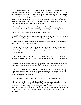One balmy August afternoon a lone rider entered the demesne of Whitewood and cantered toward the manor house. The peasants out in the fields looked up, recognized him with a start, but waved to him and called out cheerful greetings. Sir Thomas Caxton had been a good lord to them during that dark Lancastrian winter of '59-'60, nor had he visited retaliation upon the families of the men who had vanished into the night that June, taking their bows with them to join me and the Yorkist army in London. I greeted him warmly, and sent a servant to fetch Jeanetta. He had grown older in more ways than in years, and he now sported a dandyish pointed beard.

"You look like an Irish highwayman!" I laughed as I handed him an ale mug drawn with my own hand. He drank deeply of the frothing brew, letting out a sigh of pleasure.

"Good English ale!" he exclaimed with gusto. "I never drank

a mouthful of that sour Scots brew that didn't need to be run through the horse one more time. I see you've kept up my former command quite adequately."

"Thanks to you, old friend, I still have something to keep up. You will note, however, that we now use cut faggots in the fireplace."

"John, old son, I'm dreadfully sorry about your furniture, but that damnable harridan Margaret declared all the land around Ludlow a royal forest and forbade us to cut wood. Then in mid-winter we ran out and there was none to be had for sale, so we had to use, ah, field expedients."

"Better you had burned the fixtures," I said. "Another man of greater ill will might have tumbled the peasants' huts. And I would thank you for being so courteous and proper a master to my lady wife..."

"Master my arse!" injected Jeanetta, sweeping into the room and kissing Caxton on the cheek affectionately. "How are you, Tommy. It's good to see you alive and whole."

"That is something of an accomplishment itself in these times, yes. John, old son, you seem to be labouring under the unaccountable delusion that I was as master here. This Lilith of yours terrorized us all. I once had to lock her in the pantry to keep her from pelting my sergeant with crockery."

"That churl offered an impertinence to Mistress Arden!" said Jeanetta primly.

"He was doing his duty and he did it in a soldier's language when addressing a bawd, which she was. If he hadn't Mistress Arden would have jiggled her fanny once too often in front of the soldiers and gotten herself raped, and Margaret would have had all our heads. I might add, John, that while she now sides with her sex it was Jeanetta who kept all those women in line. We were more partners than anything else. By the way, how's little Cicely?"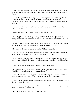"Cutting her third tooth and chewing her thumb to bits with the first two, and crawling after Ned Tyndall and his devilish little band," Jeanetta told him. "We've another due in October."

"So I see. Congratulations. John, my lad, it looks as if you've come out on top of it all. I'm deeply indebted to you. Without that pardon you cadged for me, right now I'd be selling my sword to some swinish German landgrave or some devilish poison-brewing Italian prince."

"I do not forget those who have befriended me. I'm just glad we didn't meet on the wrong side of a battlefield. "

"Were you at second St. Albans?" Tommy asked, swigging ale.

"No," I replied. "I was with Edward's levy almost all the time. That was just after we'd hammered Tudor at Mortimer's Cross, and we were rushing eastward trying to beat your lot into London."

"Second St. Albans was the closest I ever came to copping it. Got my foot caught in one of those bloody caltrops, but I thought I spied you in Warwick's lines."

"No, wasn't me. It might have been my brother William. He was there."

"Let's see, I was at Blore, Ludlow, Northampton, second St. Albans, and of course that bloody abattoir at Towton," said Tommy, counting off on his fingers.

"All of those for me as well save St. Albans, plus I was at Mortimer's cross plus the sea raid on Sandwich in '60. How came you to Northampton? I thought you would have been here watching over your fair charges?"

"Courier run at just the wrong time," grunted Tommy with a grimace.

"I'll fetch something to eat while you two old veterans swap war stories," said Jeanetta. "We'll have a proper banquet for you tonight, Tommy."

"Fatted calf and Turkish dancing girls, please," said Tommy. As soon as she had left the room he turned to me. "John, I need to talk to you, and there isn't much time."

"The last time I heard you say something like that was at Raby Castle," I laughed. "I hope this isn't a fiasco like that?"

"It's worse," he said grimly. "You should know damned well it's worse! Are you barking mad to do something like this, John?"

"What? What are you talking about?" I asked, puzzled.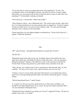"I'm not just here to receive my pardon and renew old acquaintance," he said. "I'm escorting the widow of Sir Humphrey Stratton, and when she arrives it means trouble, bad trouble. Are you trying to tell me that you honestly have no idea on earth what I am speaking of?" he demanded, studying me intently.

"Not in the least," I assured him. "What's the trouble?"

"John, Stratton's widow---she is Melisande Grey." The words struck me like a slap in the face. I recoiled, knocking over my mug, staring at him in stupefaction. "It doesn't surprise me that you didn't know," he went on with a sardonic smile. "No sane man knowingly unleashes such a cataclysm in his household.

I barely heard him, for one sudden thought overwhelmed me. "Sweet God in heaven!" I gasped. "I killed her husband!"

## XIX.

"Eh?" asked Tommy. "I thought Edward had him executed after Towton?"

"He did, but..."

"Melisande doesn't know that, by the way. Evidently whoever first told her the news didn't have all the facts. She thinks he died in combat. But what s this you said about killing her husband?" Quickly, I described the events on the morning we had left the Towton field. Tommy's lips pursed in a grim whistle at the conclusion of my tale.

"John, old son, you certainly seem to have a penchant for widowing this lady," he said carefully. "'Tis twice you've done it now, and once before she was even wed!"

"Tommy, I swear to you by all the saints that I did not know it was Sandy Grey whose lands I was receiving at King Edward's hands, else I'd have refused the grant!" I cried in despair.

"Did the king himself know?" asked Tommy.

"I...I cannot say. Nor can I say how much he knows of what went on at Raby, even though his sire Duke Richard knew all, of course. He may have heard somewhere that I was once betrothed to Melisande Grey."

"Mayhap His Grace thought he was doing you a favour?" suggested Tommy. "Giving you another crack at her, so to speak?"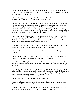"No, I'm certain he would have said something at the time," I replied, shaking my head. "This looks to be nothing more or less than sheer, cursed bad luck. But what in the name of the Virgin am I to do now?"

"Haven't the foggiest, coz, but you'd best bestir yourself and think of something," returned Tommy grimly. "She'll be here in a few hours' time."

"I'm here right now, cheeky!" interrupted Jeanetta, re-entering the room. Behind her came Gervase, the butler, carrying a large trencher of cold joints and bread and cheese, and behind him a boy bore a bucket of ale. While the meal was laid before us she watched us closely, and when they had left she spoke again, "What's wrong, John? Who's coming?" she asked quietly. "Nothing's amiss," I said, quickly falling to my meat. "Tommy was just telling me that he's escorting Lady Stratton to us here."

"Aye," said Tommy. "Tiptoft laid it on me. Seemed to feel I should begin my Yorkist career by making myself useful. The roads still aren't over safe. But damned if I don't think Tiptoft coveted my head, king's pardon or no. I caught him eyeing my neck a few times with an unpleasant glint of speculation, methinks!"

"My lord of Worcester is a renowned collector of rare artefacts," I told him. "Jewels, rare coins, books, Roman statuary, sacred relics, and Lancastrian heads."

"I hope Mistress Stratton is somewhat recovered from her bereavement?" inquired Jeanetta.

"Well enough in health," returned Tommy carefully. "I was just telling John that I fear she bears a grudge and there may in consequence be, ah, difficulties."

"So did Mistress Whitley bear us a grudge, and with some reason," said Jeanetta. "But we dealt with her fairly enough, I think. John, what of Mistress Stratton? Have you thought of Banham?"

"It's not the same as with Brantley," I reminded her. "Banham is entailed to Ned and his heirs, and I have but its oversight and revenues while I keep him in wardship. Besides, it's rather too close, methinks, I, ah, need to supervise it personally, I would say..." I was having difficulty bantering, my mind being in such a whirl.

"Oh, I forgot," said Jeanetta. "You're right, of course, John. "

"John was telling me of some rather, ah, unfortunate circumstances with regard to the death of the lady's husband," said Tommy.

"Precisely," said Jeanetta. "The fortunes of war are ill ones and even though John knew not what he did, I don't think she will ever feel at ease if she finds out."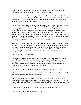"Jen," I said in a trembling voice which I tried to keep steady, *"She must not find out!* Promise me and Tommy both that you will say nothing to her!"

"Of course not," she said in some surprise. "I told you before I would say nothing. I sympathize with the poor thing, and I'll do all I can to make her feel welcome." Tommy's expression was very strange, and he hid it hurriedly by falling to and stuffing his mouth with food, not trusting himself to speak.

We managed to get away after the repast, and rode out along the eastward road. My mind was in utter turmoil, for I had never thought to see Melisande again, and the sudden proximity of her whom I had striven to put out of my mind threw all my feelings out of joint. Four violent years had passed since I had fled into the night from Raby Castle, a hunted fugitive. I knew now that it was on that night I had ceased to be a boy and had become a man, and fortune since had favored me and brought me up in the world. I was a baron now, wealthy and landed and high in the king's favor. What would the sight of her do to me? Would it sweep away all those years of war and madness like a broom sweeping cobwebs from a chamber long disused? Could it?

Soon we saw a small mote of dust in the distance, which grew larger and became a party of riders. One was in full armour, several of them were mounted billmen with pikes at the rest, there were a number of carts, and two female figures riding sidesaddle on mules. "One of the Stratton household knights rides with her," said Tommy. "He's a personable enough young fellow, albeit he necessarily doesn't think too much of you, I fear."

"What is he doing here?" I asked.

"On his way to Bristol, to take passage for Dublin. He fought for Lancaster, of course, and right bravely I'm told, but took the king's pardon and accepted a post over there. Young jumped-up lance by the name of Robin Balstrode." I laughed, suddenly recalling the scene in the Sandwich tavern that summer's night after our landing from Calais. "I know Sir Robin. Has he told you the tale of his dubbing?"

"No," replied Tommy. "I assumed a battlefield accolade from Lord Peregrine."

"Next chance you get, ask him how he earned his spurs, and from whom," I chuckled. "I was there at the time. And here he comes now."

The armoured knight cantered towards us, his visor raised but his hand on his sword. Reaching our side, he saluted me stiffly. "Well met, Sir Robin!" I said cheerily. "Do you recall our last meeting? You were most keen to be hanged, but I see you have escaped our recent national troubles unscathed in spite of that."

"I recall your face among many, sir baron," returned the young man, flushing.

"And how fair your uncle and fair sister?" I inquired.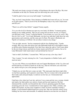"My uncle now keeps a tavern in London, in Eastcheap at the sign of the Key. My sister is attendant on the lady Sir Thomas and I are delivering into your custody."

"I shall be glad to feast you in my hall tonight," I said heartily.

"Nay, my lord, I must decline. I have business in Dublin but I must tell you, sir," he went on in grim earnest, "That if you do ill by Sir Humphrey's lady or my sister I shall return and kill you!"

"There's no call for that, Robin!" snapped Tommy angrily.

"It is you who do ill to threaten me upon my own lands, Sir Robin," I returned quietly, leaning on my saddle pommel. "But you are young and you know me not, so I forgive you that hasty word." *Young?* I reflected bitterly*. I am perhaps two years his senior. Why then do I feel so old?* "As to Lady Melisande, you have my oath that I shall show her only graciousness and courtoisie, and the same goes for Kate. My name is Redmond, not Tiptoft or Courtenay or Clifford. I do not abuse women in my charge."

"You are right, messire," the boy stammered with his face flushing hotly. "I spoke wrongly. But every man who knows the Lady Melisande holds her in the highest esteem, as did the entire Stratton household. Now that I have taken the oath to York I must abide by the new king's decree and hold my former master and all his line traitors, but as for Lady Melisande I shall stand ready to aid and defend her forever!"

"And so shall I, Sir Robin," I assured him. "Will you not stay a few days, then?"

"Nay, I cannot," he said, relaxing for a bit. "I carry despatches to Dublin Castle, and I must not tarry."

"As you wish. When you reach Bristol seek out Captain Blackthorne of the *Cog John* and tell him that his six barrels of pitch are on the way. Thus he will know you come from me, and he will give you a free passage to Ireland."

"I thank you, my lord. But now comes my lady." The main party had drawn nigh while we had been speaking, and I spurred to meet them. The two women slid to the ground off their mules and curtseyed deeply; I could not see her face yet. I dismounted and approached.

I had been a boy when last I saw her, and now I was a man and she was a woman, slender and stately, her dark amber eyes mirrors of pain and fear and suspicion. Her hair shimmered like cornsilk even beneath the dust of travel, gleaming against the black mourning gown she wore. I wondered how I must appear to her. Older, certainly, and harder and stockier, my hair close-cropped in a short cut from constantly wearing a helmet, a well-trimmed reddish beard now on my face. She rose from her curtsey at my bidding, her face tense and miserable. It suddenly dawned on me that she was afraid of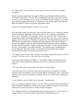me. "Hello, John," she said softly. "It seems you are to have your will of me despite everything."

Deeply it pierced, deeper than my dagger in Morris's gut that night in Raby's hall four years before, and I knew I was lost. Years of deliberate forgetting, of my wife's striving to win me, year of mending were now gone in a heartbeat and the wound in my soul was again fresh and gaping and burning, as it had been on the moonlit night when I had fled Raby with Morriss's blood on my hands and Jeanetta's dress.

*God pity me!* I moaned silently to myself. *I love her still!*

We rode along towards the hall slowly, after Sir Robin had left us to continue his journey. He had kissed Lady Melisande's hand, embraced his sister on parting, and told them before us all, "Remember, if I am needed, send for me and I will come." I let this pass, wished him godspeed, and helped Melisande remount. We let the slow wooden-wheeled baggage carts set the pace, so I had time to speak to her. One thing had been puzzling me. Why had her powerful relatives of Ruthin not intervened and asked either the king or myself if she might be taken into their household? Why had they seemingly abandoned her thus? I put this question to Sandy as delicately as possible. "I think, my lord, that they find me---inconvenient," she replied carefully. "An embarrassment, considering their present allegiance. My father-in-law is a powerful lord in the queen's party and has proven himself steadfast even during our recent reverses."

"You speak of your reverses, lady," I noted. "Are you now Lancastrian in heart as well as in name? You were not so at---not when I knew you before."

"I have grown and changed since Raby, sir," she replied. "But I am your prisoner now, John, and it would be neither becoming nor wise for me to anger you. Do you insist I answer?"

"No, I don't insist. But you may speak your mind. I won't get angry."

"Very well, then. Yes, I now cleave unto Lancaster because it is the party of my dead husband, whom I loved dearly, and of his noble father Lord Peregrine, who was kind and gracious to me, and of all our friends in Norfolk who are now either dead or widowed or outlawed."

"As we ourselves were in Calais, not too long ago," I reminded her.

"It is an evil thing to happen to anyone," she said. "But none the less I believe that King Henry and Queen Margaret are my lawful sovereigns, and that is another reason I would rather not live among my relatives, for they betrayed the queen."

"Yes, although I think you will understand why I can't fault them for it. Your uncle's, ah, change of heart at a crucial moment won the battle of Northampton for us."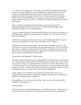"Yes, I know," she said gravely. "I was in the town nearby, having followed the army to be near my husband. When the rout started Humphrey managed to find me in all the confusion. I mounted behind him and he laid his shield across my back, and as we galloped down the road towards Norfolk I felt several nearly spent arrows strike the shield. Your lot were right behind us. Fortunately we had a good horse who didn't stumble and had a strong wind. I have no doubt what would have happened to us had we been caught."

"Nor I," I replied, remembering the bloody pursuit in the muggy July heat at Northampton. Had I seen them as they fled? "It would seem we both had a rather adventuresome time of it," I concluded inanely.

"I do not consider the death of my husband and the ruin of my country an adventure, sir!" she flared bitterly. "My life has been little short of hellish since you used me and then betrayed me at Raby!"

"I didn't have much choice other than turn my coat, there being little future at court for someone who'd stabbed one of the queen's important vassals," I sighed.

"John, there is no need to lie any longer," she said stiffly, jerking her eyes away. "You Yorks have won. You rule the land and I am your bondswoman now. I have no illusions about what is awaiting me at the end of this road. I have no doubt you will squeeze the last tear from me like an apple in a press is squeezed for its last drop of juice, but I pray that you spare me the final insult of lying to me!"

"Lying about what, Melisande?" I asked wearily.

"The queen showed me what you wrote to the duke of York. Oh, I forgive you for being a spy. I cannot forgive you the murder of Sir Robert Morriss, but that was a crime so black it is not mine to forgive or condemn but God's, and I leave it to Him. But to deceive me as you did, to make me feel as I had begun to feel for you---I have never been so hurt and ravaged in my heart, as when I knew that you had lied to me all along!" With every word she ripped and rent my very soul. How could I make her understand?

"I don't suppose you would believe me if I told you that the letter you saw was a complete forgery and the duke's seal and safe conduct were sent to me by my brother at Ludlow as a mistaken gesture of kindness?"

She regarded me with a tired look of contempt. "And who, pray tell, committed this uncharitable and cunning act?"

"Jeanetta Talbot."

"I believe her name is Jeanetta Redmond now," said Melisande coolly, "And I expect no more mercy from her than from you. If she thus betrayed you, then you rewarded her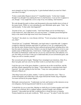most strangely my lord, by marrying her. A grim husband indeed you must be if that's your idea of revenge!"

"It does sound rather illogical, doesn't it?" I mumbled inanely. "At the time I simply thought I was thought I was making the best of a bad business. I can see how it appears to you, though." I was caught like a rat in a trap of my own making. And Jeanetta's.

We rode through the park in silence and dismounted at the great double doors in front of the manor house. While we were unloading the carts Melisande spoke again. "John," she said hesitantly, "Is that really what happened?"

"In point of fact, yes," I replied wearily. "And I don't blame you for not believing it. Come inside now, and I shall show you your new home." A shudder passed through her body as she stared at the high stone tower from Norman days.

"Up there?" she asked, in a voice throaty with fear. "You're not going to chain me up, are you, John?"

"Good God, no!" I exploded. "Melisande, your legal status is somewhat odd---I suppose it might be called the feminine equivalent of a prisoner of war. It's complicated by the fact that the entire Stratton house has been outlawed and proscribed, including those who bear the name by marriage. In fact, I believe you may be legally required to revert to your maiden name of Melisande Grey. I don't know, I shall inquire when I go to London this November for Parliament. Under the law you are my ward and I have full authority over you, but while you are here I want you to understand that you are an honoured guest, and I hope you will so consider yourself."

She wavered and said at length, "Mayhap I have misjudged your intentions, John. If so, then I am glad, and I am sorry for my bitter words to you back there on the road."

I took her up to one of the guest chambers, a spacious one on the second floor, and the girl Kate silently unpacked her few things. "I must admit this is somewhat better than I expected," she said, smiling for the first time. "I may owe some gratitude to you and Edward of March yet."

"One thing I must tell you plain, madam," I said in a quiet but firm voice. "This is a Yorkist household, and within these walls reigns Edward the Fourth, king of England. You must call him by his proper dignity."

Melisande curtseyed gravely. "I understand, my lord, and I protest at this intrusion on my own allegiance, but having protested I shall do as you command."

"I should like for you to meet him. Mayhap we shall all go to London together and I shall present you to Edward. He is a gallant captain, a peerless knight, and a brilliant monarch." I descended into the hall, wondering how to break the news to Jeanetta. Tommy handed me an ale jack wordlessly. "Well*, mon gar?"* he asked "Looks like you're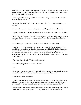betwixt Scylla and Charybdis. Melisande mislikes and mistrusts you, and when Jeanetta learns the identity of her guest I can foresee an upheaval which will make Towton look like a tavern brawl by comparison."

"I have hopes yet of winning Sandy's trust, if not her liking," I returned. "It's Jeanetta who's worrying me now."

"I can understand that. That's the sort of situation which drove our grandsires to go on crusade."

"I hear the Knights of Malta are looking for lances," I replied with a rueful smile.

"Fighting Turks would not be so unpleasant an alternative to fighting Mistress Jeanetta."

"Well," I sighed, "I suppose I must tell her sometime." I spied my wife's waiting woman passing by the open door and I went out to her. "Mary, find my lady wife and bid her attend me here."

"She's already gone upstairs to welcome Mistress Stratton," returned Mary.

I cursed heartily, with enough vigour to make the woman blush and turn away. "That tears it! Now there will be...!" Leaving the sentence unfinished, I looked up the stairs to see Jeanetta descending. One look at her face was enough. Tommy appeared from the hall, saw that look, drained his ale jack in a single gulp, tossed it into a corner, and without a word bolted out the front door. I met my wife's icy stare helplessly. "You have seen Melisande?"

"Yes, John, I have, briefly. What is she doing here?"

"That is Humphrey Stratton's widow," I told her.

"I see."

"No, madam, you do not see at all!" I insisted. "I had not the slightest idea who that poor Lancastrian dolt was married to when I accepted his estates. I swear it!"

"I don't believe you!" she snarled.

"It is the truth nonetheless. Mary!" I commanded the hovering maid, "Go and summon Mistress Stratton to us. We shall have this whole matter hammered straight right now, and you shall be present yourself, Jeanetta, to see that your fears are sleeveless!"

I took her by the arm and led her into the study. Her voice was deceptively calm; I could see she was on the verge of hysterics. "John, you know she cannot remain here!"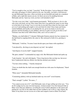"You've nought to fear, my lady," I growled. "In the first place, I am no depraved villain who takes advantage of widows placed in his care. Secondly, you built a wall between me and Melisande long since, when you broke up our betrothal and made me a murderer at Raby, and a right fine mason you are, for there can never be anything between Melisande and me. Upon my word, you have well attended to that!"

"Yet she is my rival, John," cried Jeanetta passionately. "Well you know it, for it is she who owns your heart, not me! How many times have you spoken her name in your sleep, or in the heat of our loving? I see it every day in you and I have done for four years, and yet ever I said nothing and sought to win your heart for mine! I have kept your house, waited faithfully and loyally on you during the war, given my body to you for your pleasure and the breeding of your children, and now in spite of it all you do this to me? Tolerance runs thin in the Talbot blood, John, *and I will not abide it!"*

"Madam, you shall abide it!" I shouted. Melisande Stratton entered, her face strained, for she had heard us arguing before she came in. She curtseyed to both of us, greeting us civilly.

"Melisande," I told her, "It seems I must decide upon your future with expedition."

"I am placed by...the king at your disposal, my lord," she replied.

"And dispose of you he shall!" snapped Jeanetta.

"Be quiet, madam!" I commanded my angry wife. But Melisande flushed and spoke up.

"Lady Jeanetta," she said with dignity, "I have long known that you hate me, but never have I understood what my offense was that has merited your enmity."

"You have done nothing..." I hastily interposed.

"I have no doubt that she shall soon enough furnish me with cause for displeasure," flared Jeanetta.

"What cause?" demanded Melisande heatedly.

"Committing adultery with my husband under my own roof!" raved Jeanetta.

"That's enough!" I yelled. "No more...!"

"You cannot accuse me of it!" cried Melisande, tears of rage welling up in her eyes. "You do ill to judge me by your own foul measure, wicked woman! You who betrayed John at Raby worse than any adulteress, revealing his secret Yorkist allegiance to the queen and putting his very life at risk rather than see him wedded to me! Look ye, lady serpent, the fabric of my heart was not woven on so false and warped a loom as thine! Even had I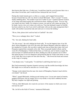then known that John was a Yorkist spy, I would have kept his secret because there was a time when I loved him, and I would not have betrayed the one I loved!"

During this tirade Jeanetta grew as white as a corpse, and I stepped between them because I feared that my wife was about to attack Melisande. *"That's enough!"* I roared, finally subduing them. "Not another word out of either of you!" I panted with the exertion of my lungs and leaned against the wall between them, shaking my head. "You see why you cannot stay here, Sandy. For whatever reason, you and my wife cannot get along. To be frank, I am at a loss as to what to do with you. Your late husband's manor in Norfolk has been ceded to me, but if you wish I could make with you the same arrangement that I made with another Lancastrian lady and send you to oversee the holding."

"Oh no, John, please don't send me back to Canfield!" she cried.

"Were you so unhappy there, then?" I asked.

"No," she said, shaking her head sadly.

"No, the reverse," she said, shaking her head sadly. "It was the happiest time of my life there, before Humphrey went off to the army after Queen Margaret called her subjects to her standard at Coventry. He was able to spend some time at home that winter, but Lord Peregrine required him constantly at his side. Then you people landed in Kent, and he went off to Northampton. I followed him there, as I told you, and we barely escaped. He took me back to Canfield and left me there, binding me with my promise not to follow him again because it was too dangerous and promising that he would come home as soon as he could. But I never again saw him after that day..." She bowed her head and seemed on the verge of weeping.

"I am deeply sorry," I said gently. "I would that I could bring him back to you."

But I had momentarily forgotten Jeanetta's presence and the terrible knowledge she bore. Her laugh was as cold and as merciless as a sword's edge.

"Strange words indeed from the man who struck off Humphrey Stratton's head with his own hands!" she hissed.

"What?" gasped Melisande, looking up and staring at me. I in my turn stared at Jeanetta, gripped with horror, but my tongue clove to my mouth, so dry had it suddenly become. My lady's laughter was light and gloating.

"Tell me, little Melisande, how much do you know of the manner in which your sweet lord met his end?"

"He...he fell on the field of Towton," stammered Melisande.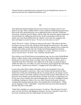"Wrong! He died on the block by the command of our new King Edward, and you see before you the man who wielded the headsman's axe!"

XX.

After Melisande had fled sobbing from the room I turned on Jeanetta, and I was not gentle in my rage. With a mindless bellow I seized a plaited cowhide hunting quirt from a hook on the wall, and knocking her over an upholstered settle to the floor I lashed her ferociously, slicing her gown to ribbons with the whip. She seized the tapestry against the wall and clung to it, stuffing the cloth into her mouth in an attempt to stifle her own shrieks, but as the blood bubbled from the whipcuts on her back she struggled to her knees and began to scream for mercy. *"No more, my lord, please no more!"*

*"Bitch! She-devil!"* I raged. "I'll flog you until your ribs show!" She rolled on the floor howling as my arm rose and fell, slicing her flesh through the tattered gown. The tumult brought a gaggle of staring, white-faced servants to the door, gaping at me as I lashed my pregnant wife within an inch of her life. Finally Jack Fletcher leaped forward from among them and seized me by the arm, wrestling me to a halt*. "Forebear, my lord, in mercy's name forebear!"* he cried. "You ll kill her, and the child!"

Never before in my life had I known such murderous rage, not even when I killed Robert Morriss at Raby, but his words cut through the feverish fog which wrapped my brain in bloody passion, and I knew that he was right. I threw the whip into a corner, where it stained the stone floor with blood, and I stalked out of the study, my people fleeing in sudden fear before me. I saw Mary, my wife's tirewoman, pressed against the wall staring at me in terror. "Attend to your mistress!" I snapped at her. She rushed to obey.

I went to the cellar, filled a basket with bottles of red wine and hauled it out to the duckpond in the garden to calm down. After a time Tommy and Jack joined me there, sitting down on the grass and drinking with me, not saying with me, not saying a word. I desperately wanted to get drunk, anything to keep me from having to think right now, but the power of my despair overcame the potency of drink. Or at least so it appeared to me, for my senses were woefully clear and my thoughts grim. For once I outstripped Tommy in imbibing, finishing two bottles to his one, which I tossed into the pond, morosely watching them floating among the ducks, who regarded them with disinterest. "Thank you for stopping it, Jack," I said finally. "I must have been out of my mind, beating her like that when she is with child."

"Father Peter and Mary are caring for her hurts," he told me. "She will mend. You had cause, my lord. We know what happened. Jeanetta is my sister, remember. I know her. I have been wondering when she would relapse into her true nature."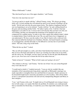"What of Melisande?" I asked.

"She shut herself up in one of the upper chambers," said Tommy.

"God, how she must hate me now!"

"Let me go and try to speak with her," offered Tommy, rising. "We always got along fairly well. At least mayhap she will unleash her grief on me instead of bottling it all up inside." He left and went into the great manor house. The shadows lengthened and the sun was beginning to set as he returned. "I spoke with her," he said, settling himself on the grass and uncorking another bottle. "Or rather I spoke *at* her. I told her what had happened as you told it to me. I swore to her in all sincerity that you knew not who you were killing, and that you interrupted the headsman at his bungled work out of compassion for a gallant enemy, in order to give him a quick and soldierly death. I admit it sounded idiotic when I told the tale to her. Oh, you and I know how it happened, we can understand it. We have seen the reality of war. But it's hard to tell a widowed wife that someone killed her husband out of kindness. Besides, she heard Jeanetta screaming as you flogged her, and that did make it a bit difficult to convince her of your kindly nature." He took a long swig on the bottle.

"What did she say then?" I asked.

"She sat stiff and straight on a settle, and when I had finished she looked at me with eyes that cut me to the heart and made me want to go crawling out of the room on my belly, and she said to me, 'Sir knight, you have done your duty for the life that John Redmond gave to you. Now leave me to mourn the life he has taken from me.'"

"Saints in heaven!" I moaned. "What in God's name am I going to do now?"

"The solution is obvious," said Tommy. "Get her out of here! Are you certain Reginald Grey won't take her in?"

"I would tend to doubt it," I replied morosely. "I can see why he wouldn't like any reminders of his Lancastrian past lying about, especially as Melisande's marriage was made especially to strengthen those ties and bind him to Lancaster. Sandy's presence in his household might lead to unseemly speculation as to his loyalties. After all her fatherin-law is a prominent Lancastrian exile and actively championing Margaret and Henry in their intrigues."

"I see," said Tommy with a nod. "It might look as if Lord Reginald were trying to keep a foot in both camps, so to speak. But that's his problem. If somehow you could persuade him to remember his blood duty, it would free you of this impossible situation. It's worth a try."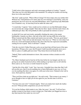"I shall write to him tomorrow and send a messenger posthaste to London," I agreed. "But what can I do with Melisande in the meantime? It's asking for trouble even having those two in the same house!"

"My lord," spoke up Jack, "What of Rose Cottage? It's been empty since my mother died Whitsun last. I had planned to live there after my own marriage to Joan Bixby, with your permission, but we're not to be wed until Michaelmas, and it would keep Lady Melisande out of Jeanetta's way. At least they'd not be under the same roof."

"A sound idea," I agreed. "Jack, would you be so kind as to see that Melisande's things are moved into the cottage tonight? Then take her there. Speak with that maid of hers, the redheaded girl, Kate. She will probably be able to persuade her mistress to move."

As dusk fell I rose and went inside, unsteadily climbing the stairs to the master bedchamber. Jeanetta was there, clad only in her shift, moving stiffly but on her feet. When I entered and she Mary started and stared at me nervously. "Fear not, good dame," I told the maid. "I have left my lash downstairs. Now leave us." When we were alone I sat down on a stool and Jeanetta perched on the side of the bed, her expression unreadable, waiting for me to speak. "Does it still hurt?" I asked.

"Like the very devil. Father Peter put a salve on my back that will heal most of the open lacerations. I'll keep a few scars, but I'll mend. Could I possibly persuade you to use a flail or a piece of saddle girth next time? They bruise but do not break the skin."

"Indeed? That's useful information to know. Has someone written a treatise on wife beating?"

"No, Mary's husband used to beat her all the time before he was hanged, and she was giving me an earful of practical advice while tending to my back, how to roll with the blows and so on. You were so wroth I feared for my life."

"And the life of the child," I said. "Jen, I am sorry. I shouldn't have done that. But I will tell you this now, that if you do anything else to harm Melisande in any way, or if you ever do anything like that to me again, it's a full year in the tower. Chained to the wall in irons. Don't push me, Jeanetta."

"Then you'd best chain me up right now," she said evenly. "That woman is my enemy. I never thought to have to fight you for her again for you, but this time it will be a l'outrance."

"You have lost your wits!" I shouted angrily. "Don't you realize how much she loathes me now? What possible competition can you fear from her?"

"It is not her feelings which matter to me, John, but yours," she said. "I will not have another woman in your heart so near to tempt you. I had rather you flogged me twice a day than keep her here under my own roof!"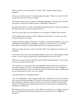"Well, you needn't worry about that," I told her. "She is going to Rose Cottage tomorrow."

"So you can visit her in secret?" returned Jeanetta heatedly. "That's even worse! Now I'll go mad every time you're out of my sight!"

"Then what would you have, madam?" I pleaded despairingly. "Tell me what will satisfy you, and if it can be done without injustice to Melisande it shall be so!"

She kept sullen silent for a while, not looking kept sullen silent for a while, not looking at me. Finally she said, "I want you, John, all of you."

"Not a few weeks back you were telling me it was all right if I bedded other wenches."

"That's different and you know it. She is different, and you know it. I want you to stop loving her and love me instead."

I sighed, and began pulling off my boots. "You know I can't do that, Jeanetta. Love is not something that one sheaths or unsheaths at will like a sword. Of course, you wouldn't know about such things." Jeanetta paled and bit her lip, turning away from me.

"Must you savage my heart as well as my body, John?" she whispered in a dismal voice of despair.

"Oh, Jen, I'm sorry, that was an inexcusable thing for me to say," I said, taking her hands in mine. "Jen, Jen, must you make this so much harder for me? For all of us?"

"What do you want me to do, John? Be friends with her? Stop hating her? I can't do that, even as you cannot stop loving her."

"All I want now is to put paid to this rotten thing that has been festering in our lives for four years. Jeanetta, you are my wife and I thought my friend as well, as we pledged to one another that night we were wed. We had a good life here before today, a bright future in a new reign and a new time. Let it be so again!"

"And what about her?" demanded Jeanetta.

"Yes, I love Melisande," I said, looking into her eyes. "And because I love her, I want her to be secure and whole and happy. You must live with that. I am going to give her peace and contentment, somehow, I don't know how at the moment. You have my oath that I will never do anything to dishonour myself where she is concerned, or to dishonour her. Will that not content you?"

She looked away from me, her eyes veiled. "Perforce it must for now, I suppose. Come to bed, my lord husband, and I hope your right arm is as stiff and sore as a saddle boil tomorrow!"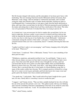My life became charged with tension, and the atmosphere of my house grew heavy with foreboding. The next morning I had Jack transfer Melisande and her tirewoman, Kate Balstrode, to the cottage. I did not attempt to confront her personally, and I avoided seeing her while Jack Fletcher rode to London shortly thereafter, bearing my letter to Lord Reginald Grey. I instructed him to wait upon a reply from the baron and brook no delay, and I gave him a second letter for the Earl of Warwick praying his good lordship in the matter and asking him to obtain from Lord Grey clarification of his intent. This letter was to be presented to Warwick if it looked like Grey was trying to put me off.

As it turned out, it was not necessary for Jack to employ this second letter, for he was back in eight days. He bore a polite, evasive missive in which Lord Grey told me that while he regretted the domestic discord his niece was causing, he could not at this time see his way clear to relieving me of my burden due to Lady Melisande's "unfortunate connections among the enemies of the realm", as he put it. "Connections which you yourself fostered when you were a Lancastrian, knave!" I shouted, throwing the letter into the fire.

"I gather Lord Grey's reply is not encouraging," said Tommy, lounging with a full goblet in his hand. "What now?"

"I don't know," I confessed. "How is Melisande, Tommy? You've seen something of her these past few days."

"Withdrawn, suspicious, and quietly terrified of you," he said bluntly. "I hate to say it, John, but any chance you may ever have had to reconcile yourself with the lady is now gone. I have had some little speech with her since I brought her out here, and I am convinced that she has never gotten over that night at Raby when you killed Robert Morriss in front of her eyes. Not really. Now there s this thing with her husband at Towton. She is convinced that she is in the hands of a blood-drinking savage like so many of this realm's nobles have become. We've steeped ourselves in blood for so long that we've come to revel in gore and death, and God only knows how many sweet and gentle spirits like Sandy's have been crushed and brutalized."

"You speak true," I said grimly. "But I would with all my heart I might do her a good turn, for once. Surely there is *something* I can do to soothe her pain."

"I suggest," said Tommy slowly, "That you find a suitable husband for her who will take her out of her present life and into a new one." This gibed exactly with my own thinking and it led into something I had been contemplating in the back of my mind for some time. "I think I may have found one," I said. "If I can interest him in the proposition."

"Who?" asked Tommy, startled.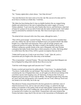"You."

"So," Tommy sighed after a short silence. "Am I that obvious?"

"Any man that knows her must come to love her, lad. She can never be mine and I've never been so foolish as to think that," I told him.

"My father has been hinting that it's time an eligible bachelor like me stopped being eligible and settled down to the task of replenishing the realm's supply of Caxtons," Tommy admitted. "I can't resist the call of family duty forever, and God knows what kind of harpy he's going to fit me up with if I don't take the matter in hand myself. And I admit I am not untouched by sentiment for the lady. She's been tossed upon some stormy waters."

"I'm afraid all she's dowered with is her Grey name, although her uncle..."

"That will be good enough," asserted Tommy. "We're even more newly ennobled than your clan, Johnny lad, and our manor in Stafford wasn't even granted enfeoff. My father bought it in a vulgar hard cash transaction. We're well off enough, property and commercial interests in London. My father is bailiff of the hundred, and my uncle William is piling up a goodly fortune at the court of Burgundy with some German contraption that makes books faster than a whole monastery of scribes. But being allied to a noble house like that of Grey will be a greater recompense than any dowry."

"I think she'll accept you, if only to get out of here," I said. "After all, you're a Lancastrian and you fought in the same army as her husband."

"Was a Lancastrian," corrected Tommy. "The next time that insane bitch Margaret sets foot in England I'm riding forth with the Snow Rose in my hat."

"Until the world changes again and Lancaster rises?" I asked.

Tommy scowled and stared into his goblet glumly. "I don't know," he admitted finally. "You know, I really dislike war and intrigue. They interfere with my drinking. I think considering the way of England these days, we all ought to be allowed one turning of the coat before anyone starts keeping score, eh? Seriously, if I discern that York gives England good governance I'll stick with the Whites. The English people being what they are, peace and order and prosperity will eventually win out. Come, drink up. Good wine was meant to lie in the belly, not in the cup."

That afternoon Tommy arrayed himself in the best garments he could find, some of which he borrowed of me, and we rode out to Rose Cottage, so called for the high trellises of rosebushes in the garden, both red and white petaled. Jeanetta had carried a sheaf of the white ones on her wedding day, and we had all worn them in our caps when we marched off to Ludlow two years before. I learned later with some irritation that Tommy had taken a large sheaf of the red ones to the Lancastrians at Northampton, and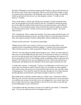the ladies of Margaret's court had worn them on their bodices as they waited anxiously in the town for news of their men in the battle. When we arrived I left him outside to await my summons after I had spoken with Melisande, and I entered the cottage. The girl Kate looked up and started when she saw me, then dropped a curtsey. "I would see your mistress," I told her.

"She is in the garden," said the girl, looking at me strangely. I strode towards the back door, but she grasped my arm and I turned to face her. I recalled her strained but proud face on the night she and her brother had tried to assassinate the prince, and I reflected that she was a most beautiful young woman. Therefore her question startled me, almost as if she had read my mind. "Tell me, my lord, do you think me comely?" she asked. "Most men do."

"Eh?" I stammered. "Well, certainly they should." It was true enough. She had a pale oval face framed beneath flaming red tresses, the reddest I had ever seen other than in Scots or Irish, and a light powdering of freckles adding allure without muddying her features.

"Would you like to bed me?" she asked me point-blank.

"Madam, the last time I saw a man try to bed you, two of your male relatives were waiting for him in concealment with drawn daggers!" I returned with some amusement. "May I ask the reason for so bold a proposition? Surely I'm not all that handsome?"

"My lord," she said, taking my hands and lowering her eyes, "I know not what manner of man you are to do the things that you have done or to persecute my mistress so, but I beg you to let me take her place now! I don't know what you are planning, but whatever it is, do it to me instead of to her! I will willingly submit to anything in order to spare her more anguish!" She looked up at me, her eyes begging for favour. I shook my head slowly in wonderment, and taking her by the shoulders I sat her down upon a bench by the wall

"A noble offer, mistress," I said gently. "I rejoice to see Melisande so well served in you. I know that you will take no oath of mine for surety, for you think me a base murderer and a traitor to boot, but you have my word of honour that I do not seek your lady's harm or disparagement. I have done her much ill in the past, through my own reckless passion and through plain cursed bad luck, and I long for naught so much as to mend it."

She studied me for a moment, and then spoke in a solemn voice, "I don't know what to think, my lord. Your face and your eyes are honest, and yet when last I was in your house we could hear the screams of your lady wife as you whipped her. I am a lowly maid of no parts or birth, and I am sure I mean nothing to you, but if you are false to your oath and you hurt Melisande I swear I will kill you."

"Your brother made the same threat. It seems to be a habit in your family," I commented dryly. "You two are really most keen to be hanged, aren't you?"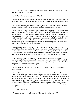"I am eager to see Sandy's hurts healed and see her happy again, like she was with poor dead Lord Humphrey," said Kate.

"Well, I hope that can be brought about," I said.

I strode towards the door to seek out Melisande, when the girl called out, "Lord John!" I turned to face her. "You are indeed most handsome," she said with an embarrassed smile.

"Don't let my wife hear you say that," I said with a grin, "She is jealous enough of your mistress as things stand, without a second fair Lancastrian captive to fret upon."

I found Sandy in a simple smock and apron, on her knees, digging in a flower bed with a trowel. She leaped to her feet when she saw me, dropping me a stiff curtsey and waiting for me to speak, her eyes downcast, her face a mask. I told her without embellishment of Tommy Caxton's suit, and waited for her reply. "Sir Thomas is fair and well spoken," she replied gravely. "I thank you for arranging so pleasant a match. Tell me, my lord, will you allow us to get as far as the altar this time before you kill him? Does Tommy die by the dagger or by the axe? Or do you tire of such crudities and aspire to something more exotic, poison perhaps, or the Italian garrote?"

"Actually I was planning on having Tommy flayed alive and pulled apart by wild horses," I could not resist saying. She gasped and jumped back from me, her face a mask of shocked terror. *Sweet Jesu, she believes me!* I moaned to myself. Aloud I cried out, "Lady, you wrong me! How many times must I beg your forgiveness for one act which was unintentional on my part and for another to which I was unendurably provoked?"

"There can never be any justification for murder, John," she cried. "As for your murdering my husband unintentionally, you lie, may your soul burn in hell!" I flinched before her sudden outburst, and she burst into weeping, collapsing onto a stone bench in the garden and hiding her face in her apron.

"Is there anything at all that I can do to make up for it all?" I asked her after a while, bleak and helpless.

"You can let me join my husband," she said, wiping the tears from her eyes. "I mean it, John. I would die by your hand even as Humphrey and Robert Morriss did. I would kill myself but holy church teaches that it is a sin. The greatest mercy you could give me right now would be to cease tormenting me and lying to me and turn on me with your sword. It is the lying that hurts most, John. You do it to torture me, for you know how much I want to believe in you. Then just when I begin to see some little ray of light in the darkness which is your soul, you bear your savage fangs and you tear at me like a wild dog, again and again."

"I am cursed," I muttered.

"Your curse is your own black heart, sir. John, why do you hate me so?"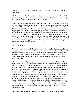"Hate you?" I cried. "Sandy, how can you say that? You know that more than any on earth I love-."

"No!" she shrieked. "Speak not that word! Don't you dare soil that most precious of all words by letting it fall from your lying lips! You hate me, not with passion hot and angry like a real man, but cold and cruel like a snake, a monster!"

I could only stare at her in uncomprehending confusion. "That night at Raby's hall, when all your schemes were shattered-I think it was then you began to hate me," she went on in a dull voice. "Before that I was just a pawn in your game, an object to be won, but from that moment on hate for me filled your heart. But why could you not have turned your dagger against *me?* I would have died forgiving you, as our Saviour has commanded us to forgive, but instead you murdered that gallant young knight and you left me with the knowledge that he had died for my sake. You fiend! Then my poor Humphrey. He was another pawn in this stupid overgrown children's game of Lancaster and York! He did not have to die! No thrones or belted earldoms hung upon his life or death. But you conspired to have him condemned by your oh so knightly King Edward, and then as a final ghoulish gesture you swung the axe yourself!"

## "No!" I shouted wildly.

*"Don't lie to me!"* she howled, closing her eyes and clenching her fists, stamping her feet. "I beg you, please, please, no more lies! Beat me, ravish me, humiliate me, kill me, I will welcome the end, but please, oh please, don't lie to me any more!" She fell to her knees before me in a heap, sobbing uncontrollably. I gaped. It was all so monstrously false, I knew not where to begin to refute it, and then suddenly I realized that I never could. I knelt by her side.

"Melisande," I said softly, raising her chin and looking into her anguished eyes, "It is plainly the will of God, or whatever power rules this vale of pain and tragedy, that you and I are to go ever hard with one another. I pray, I hope, and I live for the day, perhaps before our deaths, perhaps afterwards, when somehow, through some inconceivable miracle of grace, hatred and fear between us can end and we can be together. That day is not now, nor is it anywhere near. But I would see you happy, and therefore I ask you to consider favourably the suit of Sir Thomas Caxton for your hand in marriage. I ask you to accept this new life from me, in a very partial payment for the wrongs I have done you. I admit those wrongs freely, although never shall I cease trying to persuade you that I meant them not and that all of this has just been some kind of diabolical accident of fortune, which is the only way I can explain it to myself. But one thing I must tell you. By all that is sacred in this world, Melisande, I have loved you from the first moment I saw you and every hour of every day since then. I shall love you until the day I die." I leaned over and kissed her on the cheek, and she stared at me in wonder. "I will send Tommy to you now."

I rose and at the cottage door I turned to look back at her. "You are a saint," I said.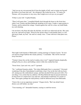"And you are my own personal devil from the depths of hell, sent to torture me beyond the limits of my heart and soul," she whispered. She looked up at me. "If I marry Sir Thomas, will you promise to stay away, that I might never set eyes on you again?"

"If that is your will," I replied bleakly.

"Then I will marry him." I stumbled blindly back through the house to the front door, where I saw Tommy and Kate Balstrode speaking in low tones. I made a vague gesture to Tommy, and he entered the cottage. I leaned against the wall for a time, my mind blank, my soul churning.

I do not know why Kate did what she did then, nor did I ever afterward ask her. She came up to me, and took my hand. "Down by the stream where I wash laundry there is a soft and mossy bank, my lord," she said in a steady voice. "Come with me to that place now. Please."

## XXI.

That night I told Jeanetta of Melisande's coming marriage to Tommy Caxton. "So now you need no longer harbour this insane jealousy," I concluded. "She will be wed and away from here."

"Tommy's house lies on the road to London, does it not?" inquired Jeanetta skeptically, sitting by the *pres-dieux* and holding a mirror while she combed her hair.

"Sweet Jesus, I just can't win, can I?" I groaned.

"No," confirmed Jeanetta calmly. "Not where Melisande Grey is concerned." I frowned, wondering if the ploy I had planned would help or hurt. I lay on the bed with my boots off, staring up at the embroidered canopy, and then decided I'd best proceed with it. For one thing, I was certain that my adultery with Kate Balstrode had not passed unnoticed, for the forests of a manor have eyes and ears, and Jeanetta would hear of it sooner or later. Then again, perhaps her mad jealousy could be deflected away from Melisande.

"I know this is not an opportune moment," I began slowly, "But I am afraid I must distress you still further, my lady."

"Your meaning, sir?" demanded Jeanetta, ceasing to comb her tresses.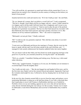"You will recall the, ah, agreement we made back before all this started that if I ever, er, lapsed from my marital vows I should do you the courtesy of telling you first before you heard it from gossip?"

Jeanetta laid down her comb and stared at me. "If it's her I shall go mad," she said flatly.

"No, no, dammit all, woman, don't you believe a word I tell you?" I said, exasperated. "The fact is, though, I don't think you'll be too happy with my---choice. I didn't intend for it to happen, and to tell the truth I still don't know how it happened, and I swear to you, Jen, this is the first time I've ever done it." I had no need to play the part of the penitent husband, for I genuinely was penitent. The fact was that I had enjoyed my encounter with Kate Balstrode more than I had expected, and I had a prickly conscience over it. But Jeanetta cut off my stuttered explanations. *"Who?"* she cried in exasperation.

"Melisande's servant girl, Kate," I finally confessed.

"Eh?" I could see she was genuinely surprised. "How did that come about, if you don't mind my asking?"

"I went out to see Melisande and discuss her marriage to Tommy, then he went into the house to speak with her and I was left alone outside in the yard with Kate, and..." I managed to look acutely embarrassed, but Jeanetta suddenly broke into merry laughter.

"Do you mean to tell me that while your best friend was inside proposing marriage to the great love of your life, you consoled yourself by swiving the maid?" she demanded.

"Well, yes, actually," I mumbled, flushing and looking away. Put that way, it did sound rather ridiculous.

"Well-a-day," giggled Jeanetta. "It appears as if even you, Sir Galahad, are not immune to occasional lapses from the knightly ideal."

"Jen, I really am truly sorry...." But she just hugged me and laughed all the more, and for the first time since Sandy's arrival she seemed relaxed and amused. Apparently I had read the womanly mind aright for once, I reflected as she lay sleeping later on, her head on my shoulder.

In the next few days Jeanetta seemed fully to recover from her anger and jealousy, never mentioning Melisande or rating me as she had been doing. It was with a calm heart then that I made plans to travel with Tommy to Staffordshire and then on to Canfield in Norfolk to look over my new holding, appoint my new reeve (the old one had died in some obscure skirmish during the war) and go over the accounts. Tommy was to return for Melisande a week before Michaelmas and escort her to Staffordshire they would be wed.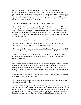We rode out on a warm day, the last day of August, and by early afternoon we had reached Market Drayton, near the old Blore Heath battlefield, where Tommy and Jack and I had all been first blooded. We supposed at an inn there, and when the time came for the reckoning I was extremely chagrined to discover that I had forgotten my purse. "I'll pay," said Tommy. "I'm sure this good host has heard the 'forgot my money' song often enough." He tossed the landlord a gold crown.

"'Tis Scottish, sir knight," said the innkeeper, eyeing it suspiciously.

"Yes, but look at the arms. That's good gold coin from King James' reign, not Mary of Guelders' junk." The innkeeper nevertheless took the precaution of weighing the coin on a small scale before accepting it. "King Jamie Red-face was killed by a bursting cannon during the war, while the Scots were besieging Roxburgh castle," commented Tommy. "They say the first thing his Queen Regent did was to gather up the pieces of the gun and cast them into ducats."

"I can't have you paying all the way," I told him. "We'll have to go back."

"Why not wait here for the night and let me make a quick gallop back for your purse?" suggested Jack. "I can be back here by tomorrow morning with it."

"No," I demurred. "I've seen how you like to race Black Prince. You're going to break his wind one of these days, and destriers are too expensive to be turned into plow horses."

"Besides," said Tommy, "A lone man carrying a heavy purse is easy prey for those bold fellows who make their living off the public highways. No, we'd best all go back. We need only lose a day."

We kept a steady pace, and we regained the boundaries of Whitewood by nightfall. I paused to urinate against the boundary stone, and on remounting I noticed the last scarlet glow of the sun's final rays, silhouetting the treetops. "Market Drayton to Whitewood between noon and sunset," I remarked to Tommy. "Not bad time. It took Salisbury's army three days to march from Blore to Ludlow after the battle, much the same distance in the other direction."

Tommy frowned. "John, the last I heard the sun is always wont to rise in the east and set in the west. Yonder glow is in the north."

I stared up at the flickering red rays, startled, and realisation hit me like a hammer blow. "Melisande's cottage is on fire!"

We spurred out horses up the track towards the burning house, as the church bell began to ring a tocsin from the dell. Peasants who heard the alarm rushed out of their own cots and followed on foot. Tom Simkins bolted from his doorway and paced our galloping horses. When we burst into the clearing the cottage was an inferno, nor were there any signs of life in the yard or the garden where the rosebushes withered blackly in the heat. It was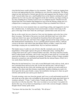clear that the house would collapse in a few moments. "Sandy!" I cried out, leaping from my horse and approaching the door, shielding my eyes from the searing heat. The flames singed my hair and beard as I kicked open the door and staggered into the furnace of hell itself. I sensed rather than saw a small huddled form on the charred, smoking floor and I gathered my love into my arms and staggered out the door with her, my lungs sizzling in my chest, handing her to Tommy Caxton even as I collapsed myself. I blacked out and learned later that Tom Simkins had dragged me away from the blazing cottage just as it collapsed into a roaring pyre, sending a column of flame up a hundred feet in the air.

I awoke from my swoon moments later, my seared lungs aching, and staggered to my feet like a drunken man. A small group of men stood around a woman's form lying on the grass at the edge of the track where the yard began. I pushed them aside and saw her.

She lay on the sward, her eyes closed as if she were but sleeping, and on her face at last there was peace. The bodice of her gown was fresh with blood, and I saw in the silk a small rent which I tore open. Just beneath her breastbone blood still seeped from a vertical slit in her pale skin, and I knew that a dagger had pierced her lungs and heart, and that death had been instantaneous. It was a carefully placed assassin's thrust, a delicate version of the blow with which I had slain Robert Morriss at Raby. I stared, the awful knowledge creeping into my numbed brain. My love had been murdered.

The kindest mercy I could ever ask of God is that He vouchsafes unto me the gift of forgetfulness of that night I spent in the grass by Melisande's body, watching Rose Cottage burn down into a pile of charred timbers and ashes. The house had been sturdily built of oaken boards and beams, and it took a long time to burn itself out. I sat there and stared into the flames, not wondering, just hurting. The flames of Rose Cottage wreathed themselves around my soul and burned and burned like the infernal flames of hell, for it was surely thence that they came.

When the fire had burned low, I rose and covered Melisande's body with my cloak, and at last I stretched down and lay by her side, for the first and last time. I did not sleep; I simply stared into the sky at the cold, mocking stars she could not see and would never see again. The others kept their distance respectfully, doubtless thinking me mad to lie down upon the dewy grass beside a corpse, but nonetheless leaving me to share my grief with the earth and the stars and my poor dead love.

Towards morning a mist rose from the ground, and I rose as well and brushed myself off, and strode up to the others who sat huddled on the ground, their heads upon their knees in weariness and grief. "Come," I said to them, Tommy and Jack and Tom Simkins. "We must discover who has done this." My voice was dead as was my heart. I was glad to be dead in this way, for my brain was beginning to crawl with a noxious thought, a hideous thought which Tommy spoke aloud.

"You know who has done this," he said flatly. "We all know."

"My wife?"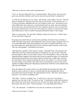"Who else on the face of the earth would harm her?"

"If it is so, then she shall suffer for it," I promised them. "But Tommy, she's given me good years and three children, and I must at least have proof before I condemn her."

"I would not ask otherwise of you, John," said Tommy, rising stiffly to his feet. "The first thing we should do is find the servant girl. She may be dead as well in yonder ruins, so we must search them. Methinks they are cool enough to touch, now." He looked over to where Melisande's fair corpse lay, covered decently with my cloak, and went and knelt by her side to give his last farewell to her who would have been his wife. I saw him lift the garment and bend down to give her a last tender kiss, then he covered her face again and walked back to where we poked among the blackened timbers of the cottage.

"Here is a great stroke," he said softly, rubbing a wetness from his eyes. "I find I cared for her more than I suspected."

We grimly proceeded with our search for the maid Kate, but before long we halted, as Father Peter the manor priest came puffing down the track post-haste, stopping with a cry as he spied Melisande's body, then dropping to his knees to mumble Paternosters over her. He brought news: Kate Balstrode was alive and had sought sanctuary in the church. "Has she said anything?" I demanded of the priest.

"Only that she is guiltless of her mistress's death," said Father Peter. We mounted, and Father Peter and Tom walked along before us leading the way, the fat cleric wheezing and muttering his offices, his face pale in place of its usual ruddiness. This was the most important thing to happen in his parish since he had occupied the pulpit. We reached the churchyard and entered the stone church, dimly lit inside from a single taper, and from the early light of dawn seeping in through the narrow slit windows. A crowd of tenants, men and women, stood outside. They had come for morning mass, but now they stood together in huddles talking and whispering in hushed tone while the sexton forbade them entry into the building.

In the dim light of the somber interior I saw Kate Balstrode kneeling by the altar. She heard us come in and rose to face us, one hand upon the altar grasping the cloth as prescribed in the ancient formula. We approached her slowly. "My lord, I claim right of sanctuary!" she cried in a trembling voice.

"Soft, Kate," I said in a soothing voice. "I will not try to seize you. I am going to approach you, but only to talk. You need not fear." I clambered over the altar rail and sat down beside her on the stone step. She sat as well, her eyes black with horror. "There is blood upon your dress, Kate," I observed grimly. "Is it Lady Melisande's blood?"

"Yes," she whispered. "I cradled her in my arms for a moment as she lay dead."

"Did you see her slayer?" I asked.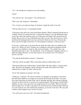"Yes," she whispered, closing her eyes and nodding.

"Well?"

"You will say I lie," she moaned. "You will beat me!"

"Was it my wife, Jeanetta?" I demanded.

"Yes. I swear to you upon my hope of salvation, I speak the truth. It was she."

"Tell me what you saw," I commanded sternly.

"I had gone to the mill to by a hen from Dame Simkins. When I returned I had the hen in a basket, which I set outside the door. I entered the cottage to see Lady Melisande lying on the floor and Lady Jeanetta in the act of firing the roof thatch with a brand from the hearth. She saw me as I ran to Melisande and wept over her. She cursed me for a whore and thrust the burning brand in my face and tried to blind me, but I ran. I fled into the forest, and at first light I came here. It is but temporary sanctuary. I will be accused."

It was true. I could sense in my heart that she spoke the truth, and I was chilled by the horror of it. What to do now? Jeanetta was a murderess and must be punished, but the girl's story was unlikely to stand up. She read my thoughts. "You needn't fear, your beautiful noble lady is safe," she said bitterly. "I am an innkeeper's daughter and she is a high and mighty baroness. It won't take long for my accusing voice to be silenced forever, my lord."

"You and she shall both have justice," I promised.

"And who will be my judge? Who is the king's justiciar at Shrewsbury now?"

"The newly belted earl of Shrewsbury. Gerald Talbot. My lady's father," I agreed with a sigh. "He knows his daughter, and he will know the truth, but I doubt if he would condemn her to death, no matter what she did."

"So he will condemn me instead," she wept.

"I think not," I told her. "He will not send his own daughter to the gallows, but I know him and I don't think he is so unjust as to send an innocent girl in her place. You may have more hope than you think, Kate, but by claiming sanctuary here instead of placing yourself on trial by the law you seem to be confessing guilt. The prospect of death didn't frighten you once, years ago when you sought justice for your father. Will you not take that risk again now, in order to get justice for yourself and your murdered lady? Will you not come with me now and confront the murderess, accuse her to her face? We may find evidence which supports your version of events."

"You will accuse your own wife?" she asked incredulously.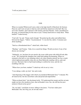"I will see justice done."

## XXII.

When we reached Whitewood I sent a rider to the high sheriff of Hereford, Sir Germyn Parseval, and I sent servants to find my wife and bid her attend me in the hall. She was not in her chamber, and I entered it with Tommy and Jack Fletcher. Ashes smouldered in the grate, an unusual thing for this time of year. Tommy knelt down to study them. "What burned?" I asked tersely.

"Can't tell," he said. "Funny smell, though." He picked up the ashes and rubbed them between his fingers. "Tallow," he pronounced. "A very hot fire, tallow. Consumes just about anything."

"Such as a bloodstained dress?" asked Jack, white-faced.

"Mayhap," said Tommy. "John, let us search her things. Would you know if any of her dresses are missing?"

"Ordinarily, yes, but these let-out smocks she wears while great with child all look alike to me." We searched the chambers but could find nothing incriminating. When we returned to the hall we were debating what to do when Jeanetta entered, her face a mask which tightened perceptibly when she saw Kate Balstrode standing with us, pale and nervous. She knew that we had found nothing to confirm her story, and she was trembling with fear.

"Where have you been, madam?" I asked my wife in an icy voice.

"I was taking a walk, my lord," she said evenly.

"And disposing of the dagger with which you murdered Melisande Grey?" I shouted. We all stared at her, but she stood there calm and proud and unperturbed.

"What an absurd idea!" she disclaimed airily. "If I understand the tenants and the servants aright you have the murderess here, that red-headed vixen. See, she still has her poor mistress's blood on her gown!"

"No, my lady!" cried Kate in terror, falling to her knees, "You have taken poor Melisande's life, but I beg you, do not take mine!"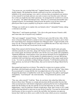"You accuse me, you wretched little tart?" laughed Jeanetta, her lip curling. "Here is double iniquity. My husband has already confessed to me how you lured him into infidelity to his sacred marriage vows, and it is obvious that you murdered your mistress to free yourself of servitude and now you seek to remove me from the scene with your lies so that you might become John's paramour. An arrangement he would never consent to, of course," she added with delicate irony, "Since he is a notoriously honourable man." I gasped in horror, for unwittingly I had given her the perfect cover for her crime and placed poor Kate in grave jeopardy by giving her a motive to kill Melisande.

"Perhaps you would care to explain why you burned a dress?" demanded Tommy, taking a wild shot in the dark.

"What dress?" said Jeanetta mockingly. "I lit a fire in the grate because I feared a chill, and I must take care of myself in my condition."

"She's got it pegged!" moaned Tommy. "You'll never get a true bill on her, John. All the more so because King Edward is certain to insist on scrupulous due process, just to show how much things have changed in England since Margaret ruled." I raged inwardly at the irony of it all, of having fought for two years to re-establish the rule of law only to have it shelter the slayer of the one I loved most in the world.

Father Peter entered with Sir Germyn Parseval, and I took the sheriff aside and spoke with him earnestly for some time, along with Tommy Caxton. When we approached the two women again, Sir Germyn took Kate's arm, but his eyes were gentle and sympathetic. "Katherine Balstrode, I must perforce seize your person and hold you for arraignment on a charge of petty treason, to wit the murder of a gentlewoman by a servant. But having conferred with Lord John here and having had the particulars of this matter made known to me, " he went on, pointedly avoiding looking at Jeanetta, "I will therefore petition the king's justiciar, my lord earl of Shrewsbury, that you be tried not by King's Bench but by ordeal."

Kate gasped and stared at us in horror. The ordeal for women was to grasp a red-hot plowshare with both hands and walk ten paces, then say "God save the king!" three times. If an accused girl or woman did this she was judged innocent of her crime, but if she dropped the plowshare or fumbled the words she was dragged to the gallows and hanged immediately. "I am betrayed!" she cried miserably. "You promised me justice, Lord John!"

"Nay, nay, calm yourself," I told her. "Kate, do you know why ordeal has fallen into disuse in these times? Because so corrupt and uncertain did the procedure become that when accused persons with friends in high places picked up the hot iron or plunged their hands into the boiling oil, the iron and the oil were but lukewarm, by some strange happenstance. And you shall have friends in high places, Kate, that I swear to you. I shall petition the king himself to intervene in your favour if need be. You must be arrested and tried because we have no proof to convict the real killer, but I promise you upon my honour that I shall never allow you to suffer for this crime which you never committed.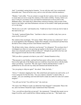And," I concluded, staring hard at Jeanetta, "As my wife has said, I am a notoriously honorable man." Parseval led her away, and we were left alone with the murderess.

"Madam," I aid coldly, "You are certain to escape the law's justice, but it is my intention to ensure that you never escape the calumny of the realm's nobility. Tommy, before you leave I will give you letters in my own hand for transmission to divers lords in the Midlands shires. Jack shall ride to Shrewsbury tomorrow bearing a full account of this horror to her father, and when Parliament convenes in November I shall speak personally of it to the king."

"Revile me as you will," said Jeanetta icily, "I shall never fear to look any lord or lady in this land in the eye."

"No doubt," muttered Father Peter. "And that is what is so terrible. Lady, have you no sense at all of your sin?"

She smiled at him mockingly. "Of course, Father. Will you hear my confession?" All of us stood appalled at this blasphemy. Father Peter abruptly crossed himself and fled from the hall as from a thing accursed. Jack Fletcher stared at her.

"By all that is holy, Jenny, what have you become?" he whispered. "Do you know how I worshipped you when we were growing up together in this house, how proud I was to share even a bastard's portion of blood with you?" Abruptly he spat full in her face and then staggered towards the door like a drunken man.

"Will you allow a peasant to do that to your wife?" shouted Jeanetta in fury.

"That peasant is your brother, and had God been juster with us all he would have been born on the right side of the blanket and you would have been born down with the drabs where you belong," I growled. "My only regret is that he did that before I could." I grabbed her by one arm into my study and slammed and latched the door.

"Are you going to whip me again?" she asked. "John, the baby..."

*"Silence!"* I shouted, slapping her face. She reeled back and stared at me and I at her, as if I were seeing her for the first time. "Are you a demon, Jeanetta?" I asked softly, in wonder. "Are you something sent from hell itself to make me suffer for some sin I cannot imagine?"

"You still care for her! You still love her!" she cried out.

"Of course I do! Whatever made you think that I had changed?" I demanded. Then it hit me, and even before I heard her reply I understood what I had done.

"You...you told me about that servant girl," she stammered. "I thought that meant you no longer loved her, and I could kill her without making you hate me..." Her hands were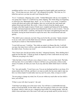trembling and her voice was cracked. She grasped my hands tightly and searched my face. "You do hate me now, don't you?" she whispered feverishly. "Oh, God, no, I've killed her and now you hate me and I can't bring her back..."

"It is I," I muttered, collapsing onto a settle. "I killed Melisande with my own stupidity." I was going mad. I knew it. I could feel my sanity slipping. The whole thing was beginning to catch up to me. Melisande dead...dead*?...no, no, not dead...never dead...*I wanted to scream and shout and cackle with laughter, draw my sword and slice and smash and splatter blood and rend flesh. My sword....I drew it slowly from the sheath, gazed lovingly at the lithe length of purest Toledo steel, weighted and balanced for the dealing of death. I advanced upon her and her faced blanched as white as snow in terror. "You are post-haste for hell, bitch," I told her, shoving her to her knees and gathering her hair into my hands, forcing her head forward to expose her neck. She crossed herself and said quietly,

"The child I carry is innocent, my lord. I beg you for his life, not mine." Sanity returned to me in a rush, and I cast the blade from me in horror, appalled at what I had seen in myself just as much as what Jeanetta had done.

"I won't kill you now," I told her. "Not while my mind is in flames like this. I will kill you later, but when I do it will be a calm and considered thing, and it won't be until after the child is born. You have my word."

"Now I know how she felt just before she died," whispered Jeanetta. "How thrilling that I made her feel like that." I shook my head; no depravity of hers could shock me any more. "What are you going to do, John?"

"After the baby is born I will give you a chance to leave. I owe you that much. The baby will stay here. Go to your father or whoever will have you, go become a whore on the streets of London, do what you want. If you stay after the child's birth I know I will kill you."

"No," she said steadily. "I won't leave you. You are my husband and this is my home. If it means death, then I will die, and there is no man on earth who has more right to take my life or at whose hands I would rather meet my end. I'm yours, John, to keep or to kill."

"I'm not going to change my mind, Jen. If you are within my reach after our last child is born, you will die."

"If that is your will, then I accept it," she said.

"Until then I am taking you to the tower room. You will have a comfortable bed and plenty of food and drink, for the child's sake, but I am going to chain you to the wall like an animal, which is what you are, a dangerous beast unfit to be among people. After the child is born and taken out of the room I will wall you up inside and let you die slowly. I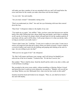will make sure that a number of rats are entombed with you, and I will stand below the tower and listen for the sounds you make when those rats become hungry."

"As you wish," she said steadily.

"Are you mad, woman?" I demanded, staring at her.

"Don't you understand yet, John?" she said, her eyes brimming with tears that coursed down her face.

"Dear God," I whispered, shaken to the depths of my soul.

"You made me cry again," she sniffled. "John, you have some time between now and the birth of the child. During that time, please think long and deeply, and if there is anything at all I can do, by living or by dying, which will gain back for me the smallest particle of your heart, tell me, and it will be done. I will accept whatever it is that you decide, John, so long as you know you really want it."

"I know what I want, Jen," I told her. "I want you to confess to your crime. I want you to remove all suspicion from that girl in there whom you falsely accused. I want to stand in a crowd at Ludlow and watch you die bobbing and gasping and choking at the end of a rope. Are you willing to give me that?"

"Will you love me again if I do?" she whispered.

"No. But I will respect and honor your courage, and I will always be thankful you relieved me of the sin of murder." I looked at her. "It's the best I can do, Jen."

She nodded. "Then it shall be done. Send the sheriff and his clerk to me after a while, and I will tell them everything."

She ascended to the tower room calmly, without trembling or faltering. Before I closed and barred the door I could not resist asking her one question. "Madam, will you tell me one thing? Before you slew Melisande Grey, what were her last words on this earth?"

Jeanetta raised her head and looked at me strangely. "That, sir, you shall never know," she said with finality.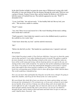In the dark October twilight I sat upon the stone steps of Whitewood, toying with a halffull goblet of wine and staring off into the distance through the misty park. With me were a group of friends, Tommy Caxton, Kate, and her brother Sir Robin as well. Robin now held the manor of Canfield from me. The midwife appeared at my side. "Well?" I demanded of her.

"A son, Lord John," she said nervously. "A fine healthy little lad. But my lord, your wife..." She ran down, unable to continue.

"Dead?" I asked.

"Aye, lord. There was no real reason for it. She wasn't bleeding all that much, nothing burst inside that I could tell."

"I half expected it. I don't think she wanted to survive the childbed merely to perish on the scaffold in a few weeks' time."

"I don't know about that, my lord," said the midwife timorously.

"Eh?"

"Before she died left you this." She handed me a parchment note. I opened it and read:

*My husband:*

*I don't think I'm going to make it. Pray God our child does. I am sorry to cheat the county out of a fine spectacle. I was rather looking forward to it myself. The gallows would be far more dramatic an exit than bleeding to death on this straw. I would have taken my leave of the world young and strong, with my head up and my eyes open in the sun, not staring at these stone walls around me. I've spent my time up here planning an impressive exit. First, I was going to cut my hair and braid the hangman a noose from it. A poetic touch, that ought to have been good for a ballad or two. Then I was going to make a lovely low-cut mourning gown of black velvet to show off my figure while I did the dance. The world would have remembered me.*

*Now you can marry that red-headed slut. Keep her out of the tower, though. I'm going to haunt this chamber, and I'll go for her throat if she ever comes up here.*

*My sweet friend, this whole life of ours was always my choice and my doing, not yours.*  Let me pay the reckoning for it. Try to forgive me, or if you can't, at least try not to hate *me too harshly. If our son lives I charge you with my dying wish: do not make him or Cecily suffer for my sake. I am guilty, they are innocent, and so are you. Don't punish them and don't punish yourself. My soul is yours forever, my love for you shall live through all time, and in whatever flesh and name and land where in ages to come you walk, I shall be there. Farewell. - Jen.*